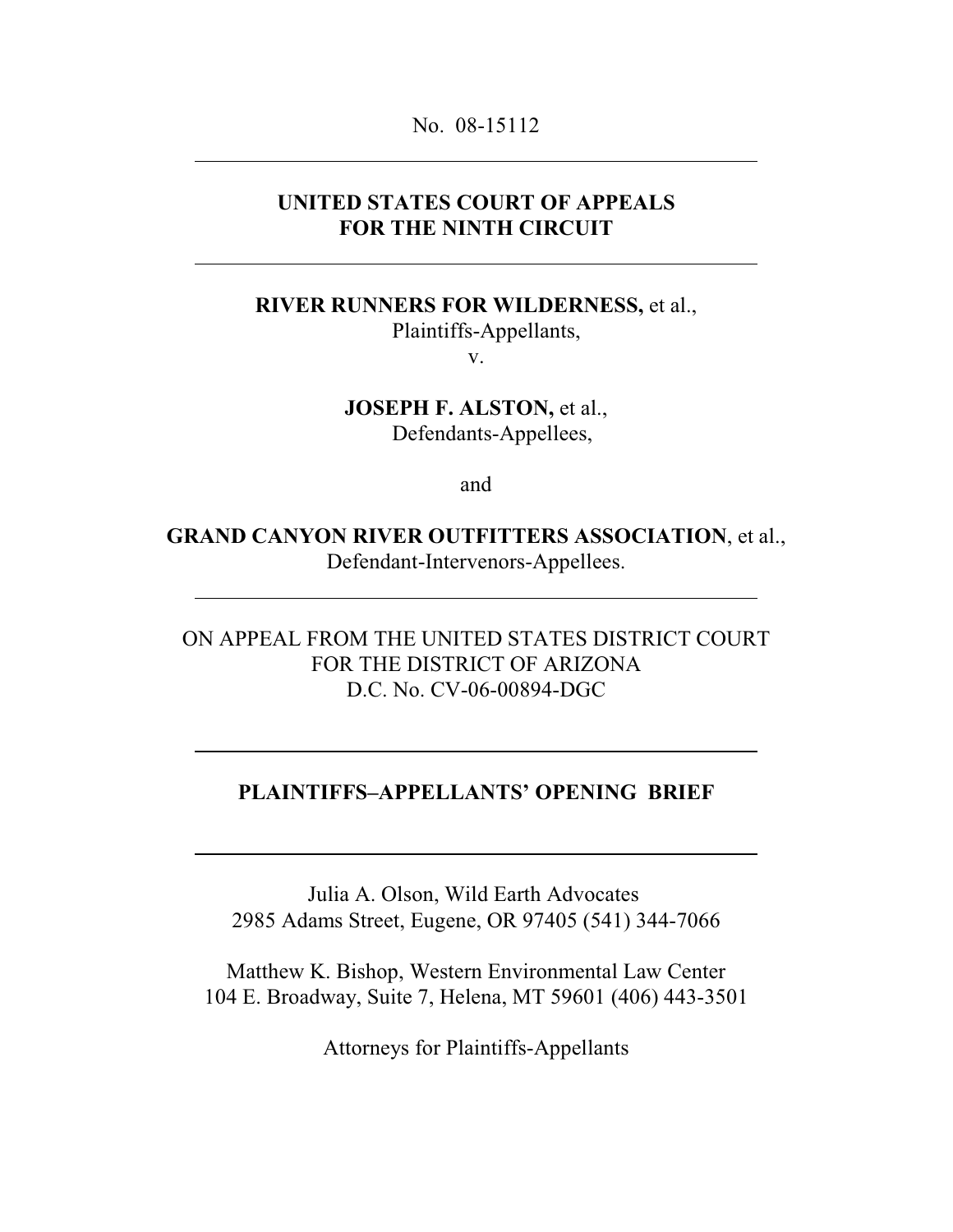#### No. 08-15112

### **UNITED STATES COURT OF APPEALS FOR THE NINTH CIRCUIT**

**RIVER RUNNERS FOR WILDERNESS,** et al.,

Plaintiffs-Appellants,

v.

**JOSEPH F. ALSTON,** et al., Defendants-Appellees,

and

**GRAND CANYON RIVER OUTFITTERS ASSOCIATION**, et al., Defendant-Intervenors-Appellees.

ON APPEAL FROM THE UNITED STATES DISTRICT COURT FOR THE DISTRICT OF ARIZONA D.C. No. CV-06-00894-DGC

### **PLAINTIFFS–APPELLANTS' OPENING BRIEF**

Julia A. Olson, Wild Earth Advocates 2985 Adams Street, Eugene, OR 97405 (541) 344-7066

Matthew K. Bishop, Western Environmental Law Center 104 E. Broadway, Suite 7, Helena, MT 59601 (406) 443-3501

Attorneys for Plaintiffs-Appellants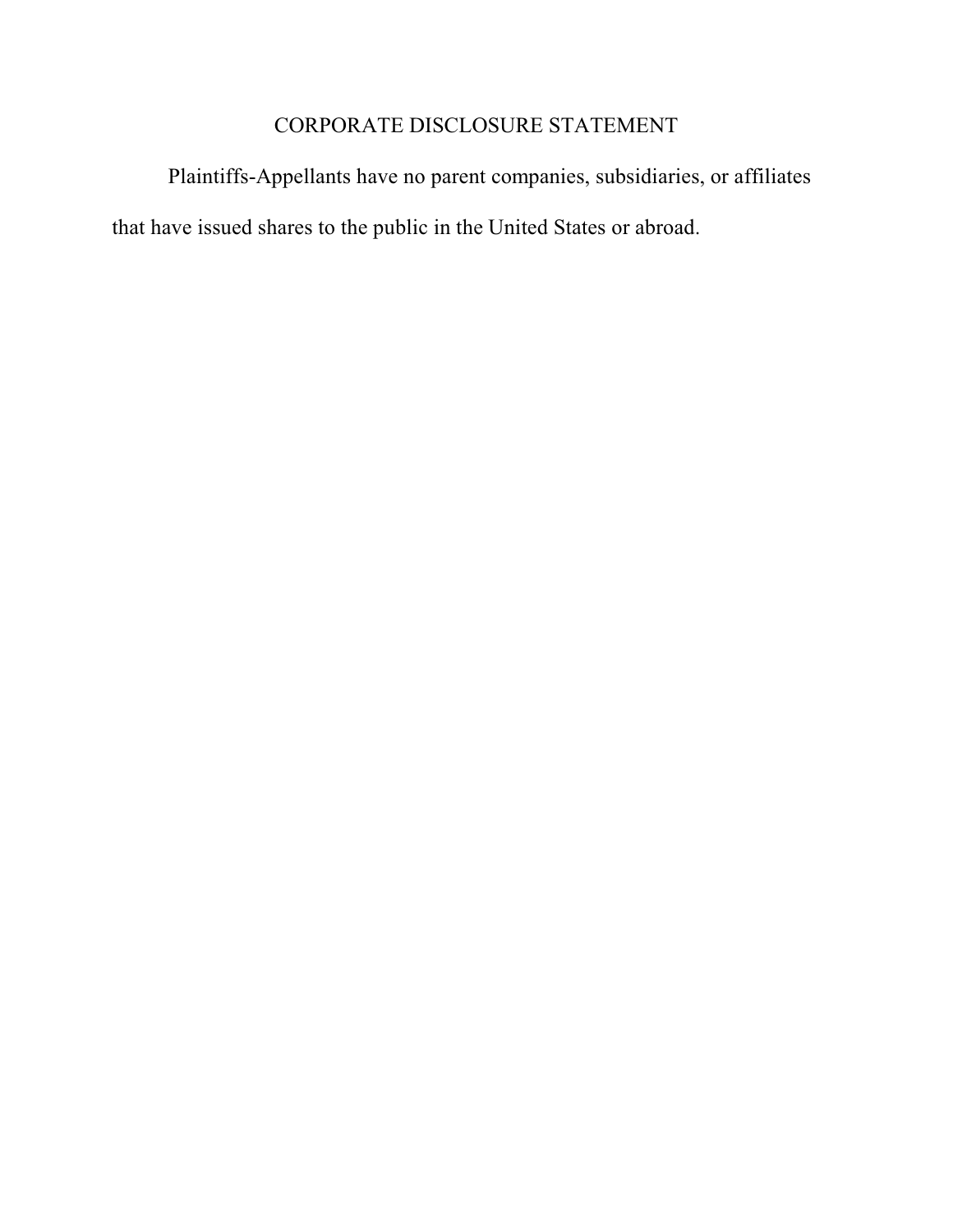# CORPORATE DISCLOSURE STATEMENT

Plaintiffs-Appellants have no parent companies, subsidiaries, or affiliates that have issued shares to the public in the United States or abroad.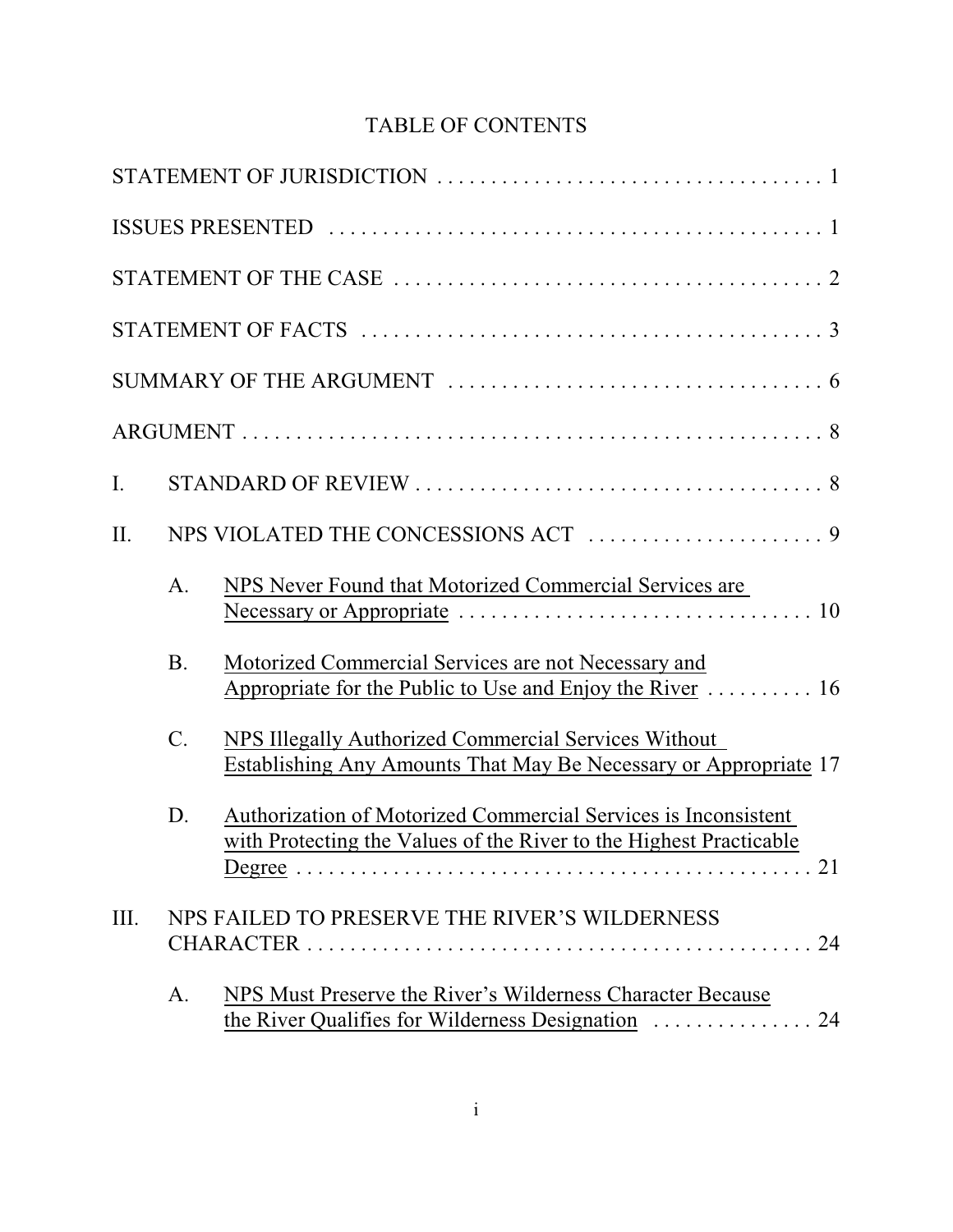# TABLE OF CONTENTS

| I.   |                |                                                                                                                                      |
|------|----------------|--------------------------------------------------------------------------------------------------------------------------------------|
| II.  |                |                                                                                                                                      |
|      | A.             | NPS Never Found that Motorized Commercial Services are                                                                               |
|      | <b>B.</b>      | Motorized Commercial Services are not Necessary and<br>Appropriate for the Public to Use and Enjoy the River  16                     |
|      | $\mathcal{C}.$ | NPS Illegally Authorized Commercial Services Without<br><b>Establishing Any Amounts That May Be Necessary or Appropriate 17</b>      |
|      | D.             | Authorization of Motorized Commercial Services is Inconsistent<br>with Protecting the Values of the River to the Highest Practicable |
| III. |                | NPS FAILED TO PRESERVE THE RIVER'S WILDERNESS                                                                                        |
|      | A.             | NPS Must Preserve the River's Wilderness Character Because                                                                           |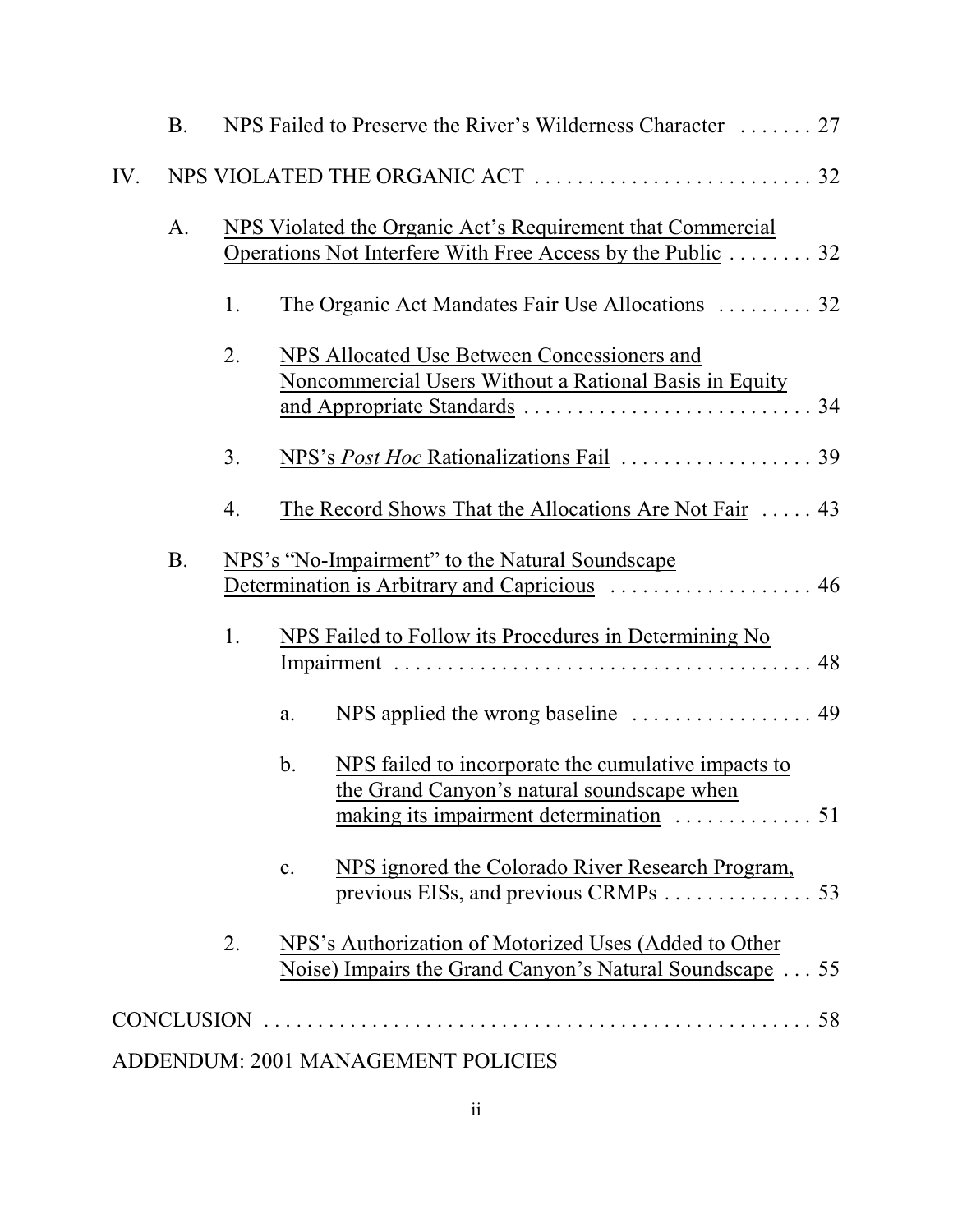|     | <b>B.</b> |    | NPS Failed to Preserve the River's Wilderness Character  27                                                              |
|-----|-----------|----|--------------------------------------------------------------------------------------------------------------------------|
| IV. |           |    |                                                                                                                          |
|     | A.        |    | NPS Violated the Organic Act's Requirement that Commercial<br>Operations Not Interfere With Free Access by the Public 32 |
|     |           | 1. | The Organic Act Mandates Fair Use Allocations  32                                                                        |
|     |           | 2. | NPS Allocated Use Between Concessioners and<br>Noncommercial Users Without a Rational Basis in Equity                    |
|     |           | 3. |                                                                                                                          |
|     |           | 4. | The Record Shows That the Allocations Are Not Fair $\dots$ 43                                                            |
|     | <b>B.</b> |    | NPS's "No-Impairment" to the Natural Soundscape<br>Determination is Arbitrary and Capricious  46                         |
|     |           | 1. | NPS Failed to Follow its Procedures in Determining No                                                                    |
|     |           |    | NPS applied the wrong baseline  49<br>a.                                                                                 |
|     |           |    | NPS failed to incorporate the cumulative impacts to<br>b.<br>the Grand Canyon's natural soundscape when                  |
|     |           |    | NPS ignored the Colorado River Research Program,<br>c.<br>previous EISs, and previous CRMPs 53                           |
|     |           | 2. | NPS's Authorization of Motorized Uses (Added to Other<br>Noise) Impairs the Grand Canyon's Natural Soundscape 55         |
|     |           |    |                                                                                                                          |
|     |           |    | $\mathbf{D}$                                                                                                             |

## ADDENDUM: 2001 MANAGEMENT POLICIES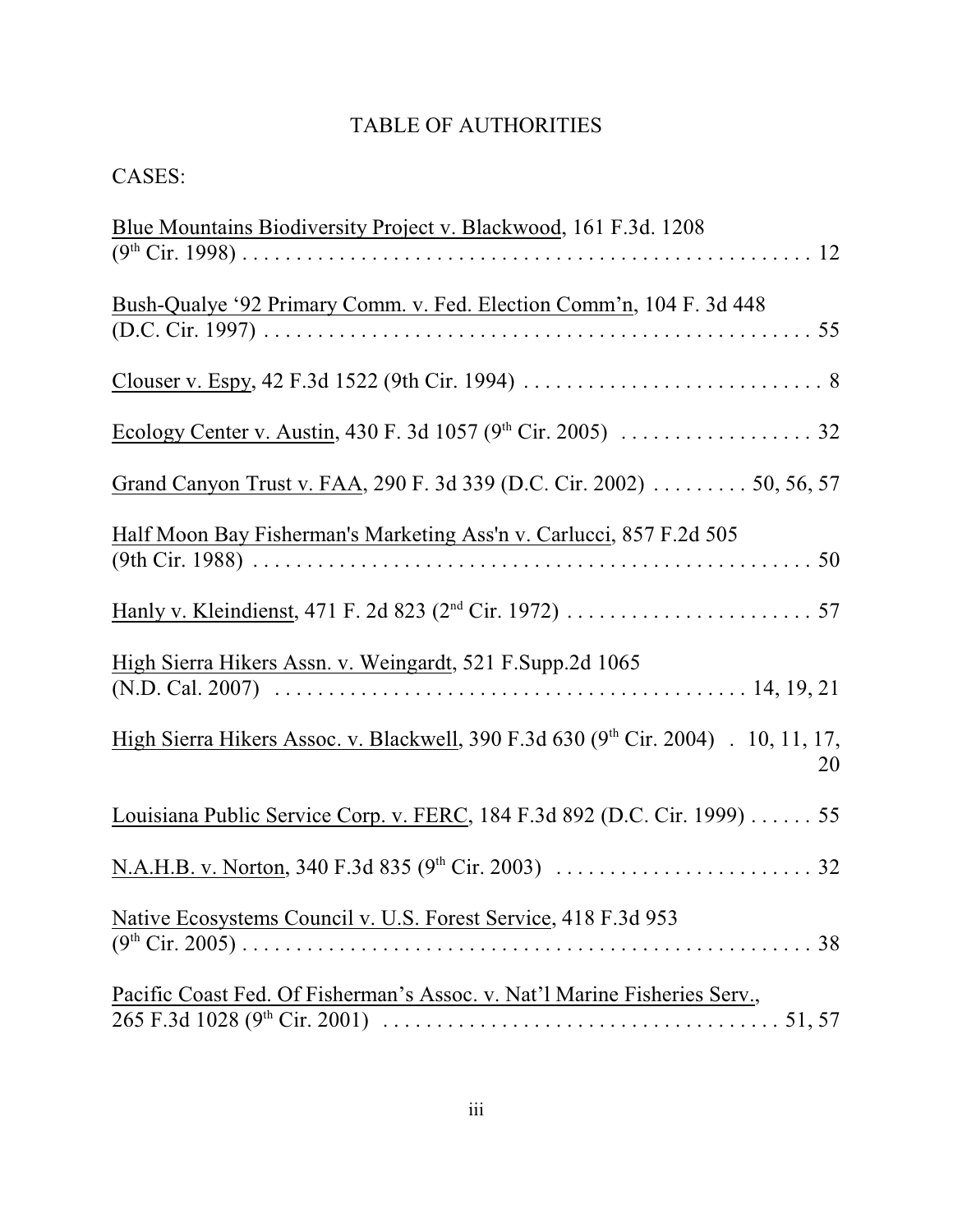# TABLE OF AUTHORITIES

# CASES:

| Blue Mountains Biodiversity Project v. Blackwood, 161 F.3d. 1208                                                                                                                            |
|---------------------------------------------------------------------------------------------------------------------------------------------------------------------------------------------|
| Bush-Qualye '92 Primary Comm. v. Fed. Election Comm'n, 104 F. 3d 448                                                                                                                        |
|                                                                                                                                                                                             |
|                                                                                                                                                                                             |
| Grand Canyon Trust v. FAA, 290 F. 3d 339 (D.C. Cir. 2002) 50, 56, 57                                                                                                                        |
| Half Moon Bay Fisherman's Marketing Ass'n v. Carlucci, 857 F.2d 505                                                                                                                         |
|                                                                                                                                                                                             |
| High Sierra Hikers Assn. v. Weingardt, 521 F.Supp.2d 1065<br>(N.D. Cal. 2007) $\ldots$ $\ldots$ $\ldots$ $\ldots$ $\ldots$ $\ldots$ $\ldots$ $\ldots$ $\ldots$ $\ldots$ $\ldots$ 14, 19, 21 |
| High Sierra Hikers Assoc. v. Blackwell, 390 F.3d 630 (9th Cir. 2004) . 10, 11, 17,<br>20                                                                                                    |
| Louisiana Public Service Corp. v. FERC, 184 F.3d 892 (D.C. Cir. 1999) 55                                                                                                                    |
|                                                                                                                                                                                             |
| Native Ecosystems Council v. U.S. Forest Service, 418 F.3d 953                                                                                                                              |
| Pacific Coast Fed. Of Fisherman's Assoc. v. Nat'l Marine Fisheries Serv.,                                                                                                                   |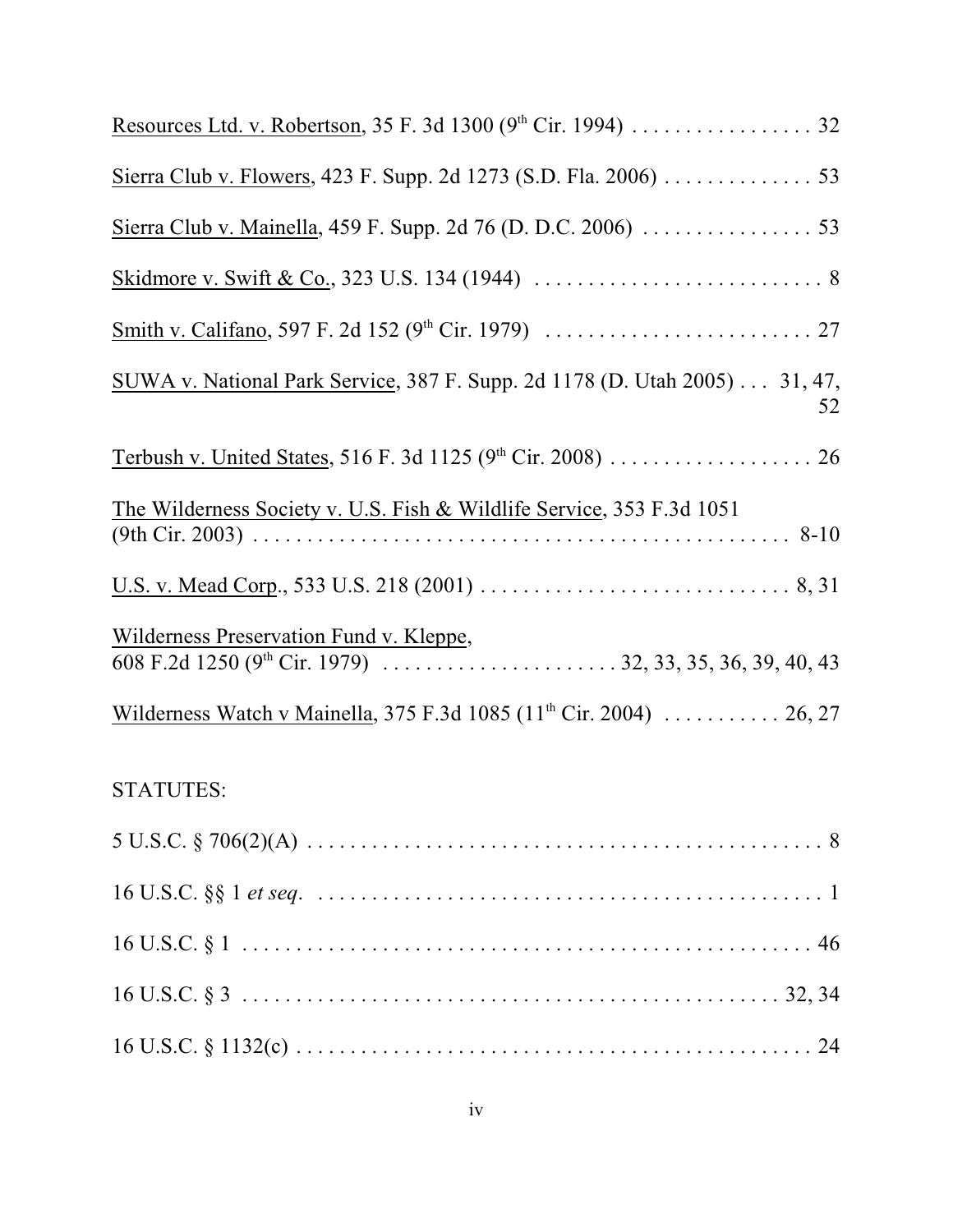| Resources Ltd. v. Robertson, 35 F. 3d 1300 (9 <sup>th</sup> Cir. 1994) 32        |
|----------------------------------------------------------------------------------|
| Sierra Club v. Flowers, 423 F. Supp. 2d 1273 (S.D. Fla. 2006) 53                 |
|                                                                                  |
|                                                                                  |
|                                                                                  |
| SUWA v. National Park Service, 387 F. Supp. 2d 1178 (D. Utah 2005) 31, 47,<br>52 |
|                                                                                  |
| The Wilderness Society v. U.S. Fish & Wildlife Service, 353 F.3d 1051            |
|                                                                                  |
| Wilderness Preservation Fund v. Kleppe,                                          |
| Wilderness Watch v Mainella, 375 F.3d 1085 $(11th Cir. 2004)$ 26, 27             |
| <b>STATUTES:</b>                                                                 |
|                                                                                  |
|                                                                                  |
|                                                                                  |
|                                                                                  |
|                                                                                  |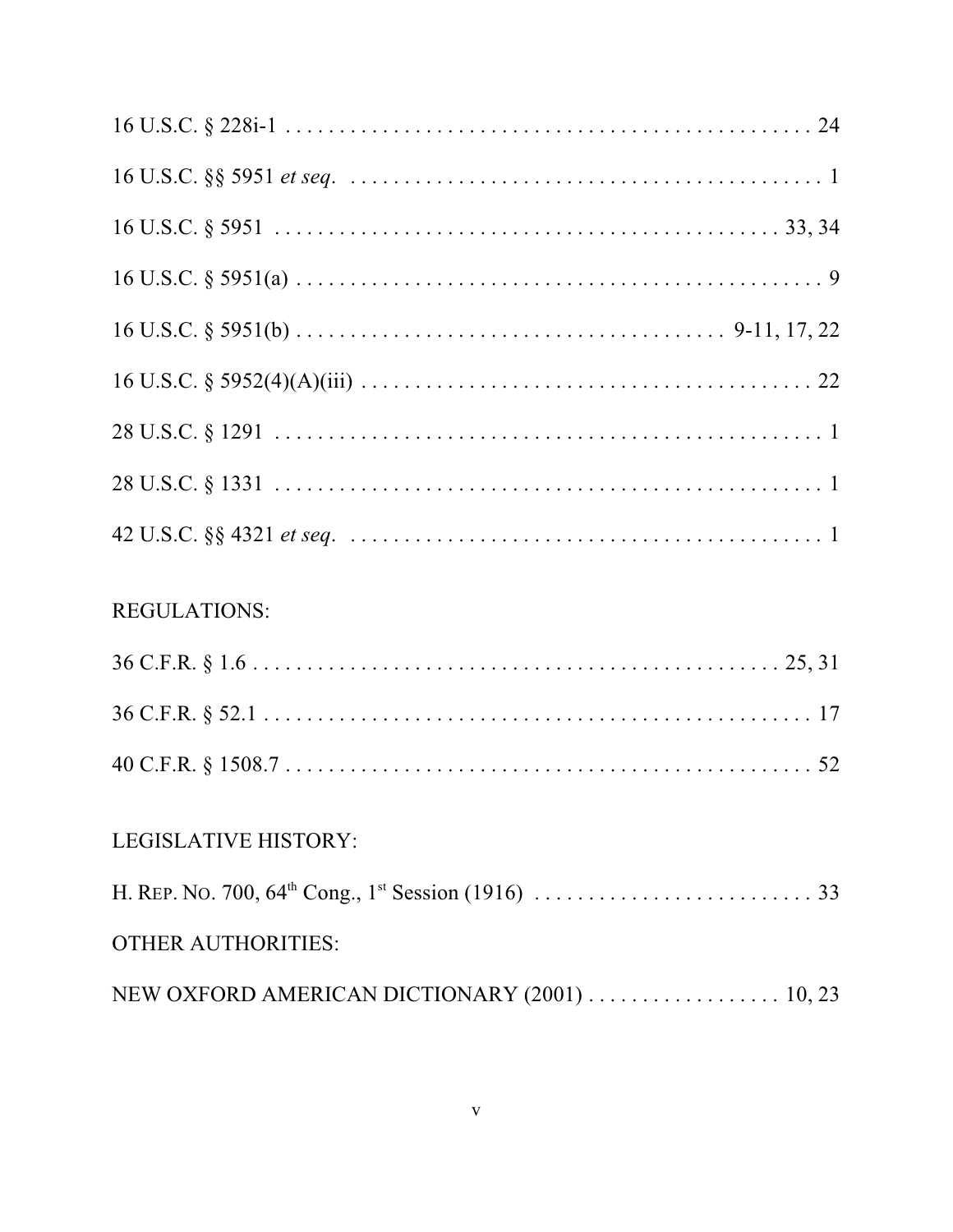| <b>REGULATIONS:</b>         |
|-----------------------------|
|                             |
|                             |
|                             |
| <b>LEGISLATIVE HISTORY:</b> |
|                             |
| <b>OTHER AUTHORITIES:</b>   |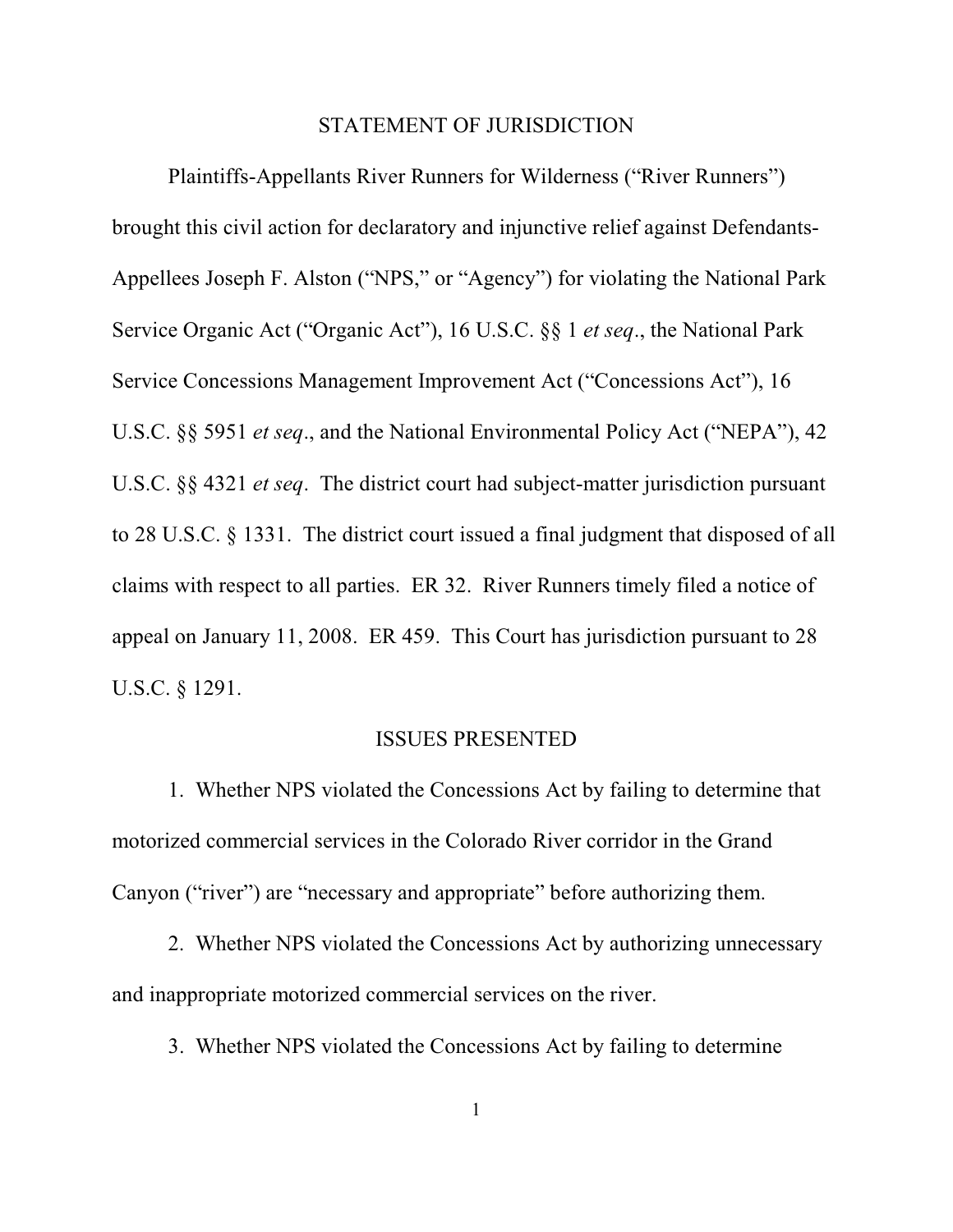#### STATEMENT OF JURISDICTION

Plaintiffs-Appellants River Runners for Wilderness ("River Runners") brought this civil action for declaratory and injunctive relief against Defendants-Appellees Joseph F. Alston ("NPS," or "Agency") for violating the National Park Service Organic Act ("Organic Act"), 16 U.S.C. §§ 1 *et seq*., the National Park Service Concessions Management Improvement Act ("Concessions Act"), 16 U.S.C. §§ 5951 *et seq*., and the National Environmental Policy Act ("NEPA"), 42 U.S.C. §§ 4321 *et seq*. The district court had subject-matter jurisdiction pursuant to 28 U.S.C. § 1331. The district court issued a final judgment that disposed of all claims with respect to all parties. ER 32. River Runners timely filed a notice of appeal on January 11, 2008. ER 459. This Court has jurisdiction pursuant to 28 U.S.C. § 1291.

### ISSUES PRESENTED

1. Whether NPS violated the Concessions Act by failing to determine that motorized commercial services in the Colorado River corridor in the Grand Canyon ("river") are "necessary and appropriate" before authorizing them.

2. Whether NPS violated the Concessions Act by authorizing unnecessary and inappropriate motorized commercial services on the river.

3. Whether NPS violated the Concessions Act by failing to determine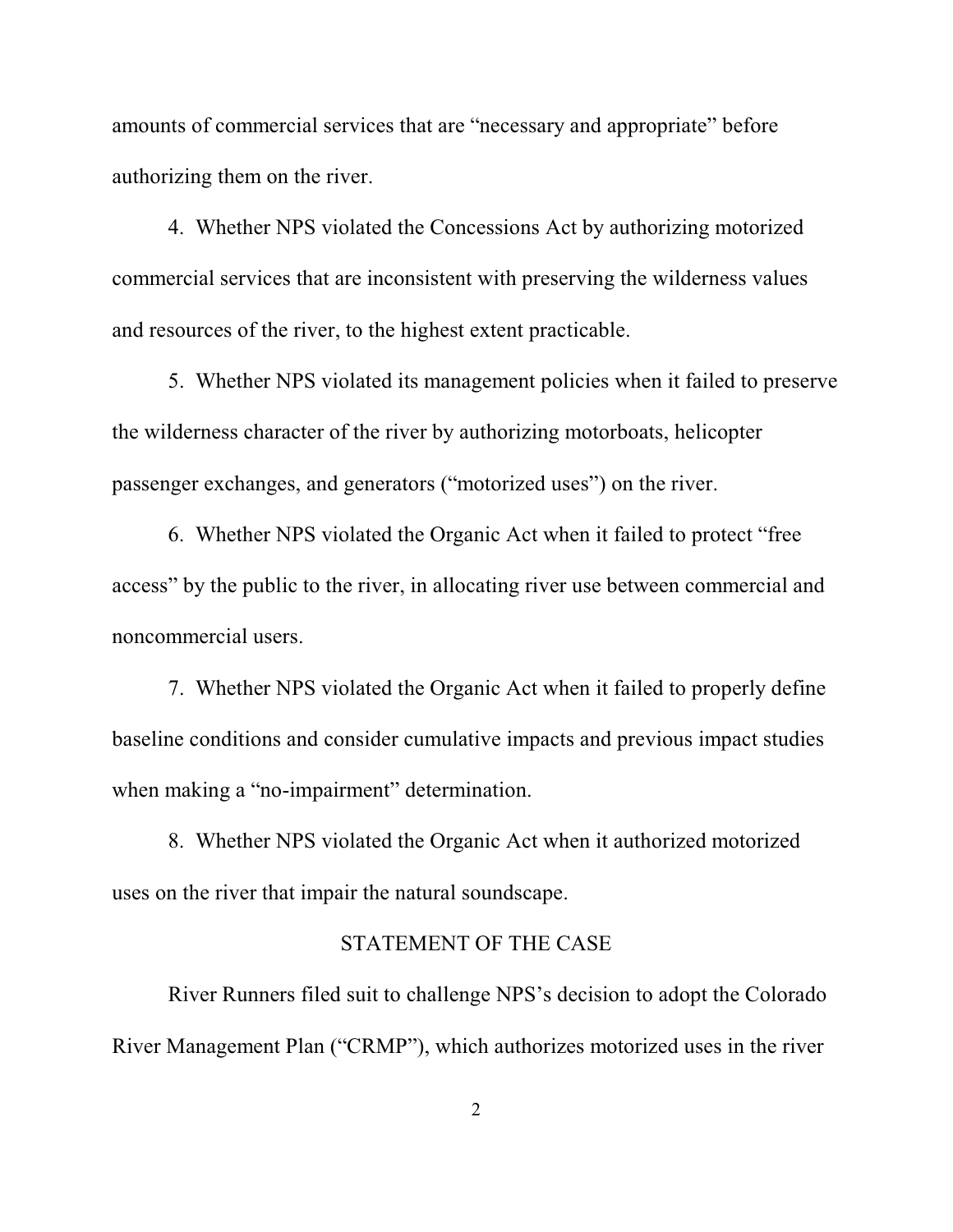amounts of commercial services that are "necessary and appropriate" before authorizing them on the river.

4. Whether NPS violated the Concessions Act by authorizing motorized commercial services that are inconsistent with preserving the wilderness values and resources of the river, to the highest extent practicable.

5. Whether NPS violated its management policies when it failed to preserve the wilderness character of the river by authorizing motorboats, helicopter passenger exchanges, and generators ("motorized uses") on the river.

6. Whether NPS violated the Organic Act when it failed to protect "free access" by the public to the river, in allocating river use between commercial and noncommercial users.

7. Whether NPS violated the Organic Act when it failed to properly define baseline conditions and consider cumulative impacts and previous impact studies when making a "no-impairment" determination.

8. Whether NPS violated the Organic Act when it authorized motorized uses on the river that impair the natural soundscape.

### STATEMENT OF THE CASE

River Runners filed suit to challenge NPS's decision to adopt the Colorado River Management Plan ("CRMP"), which authorizes motorized uses in the river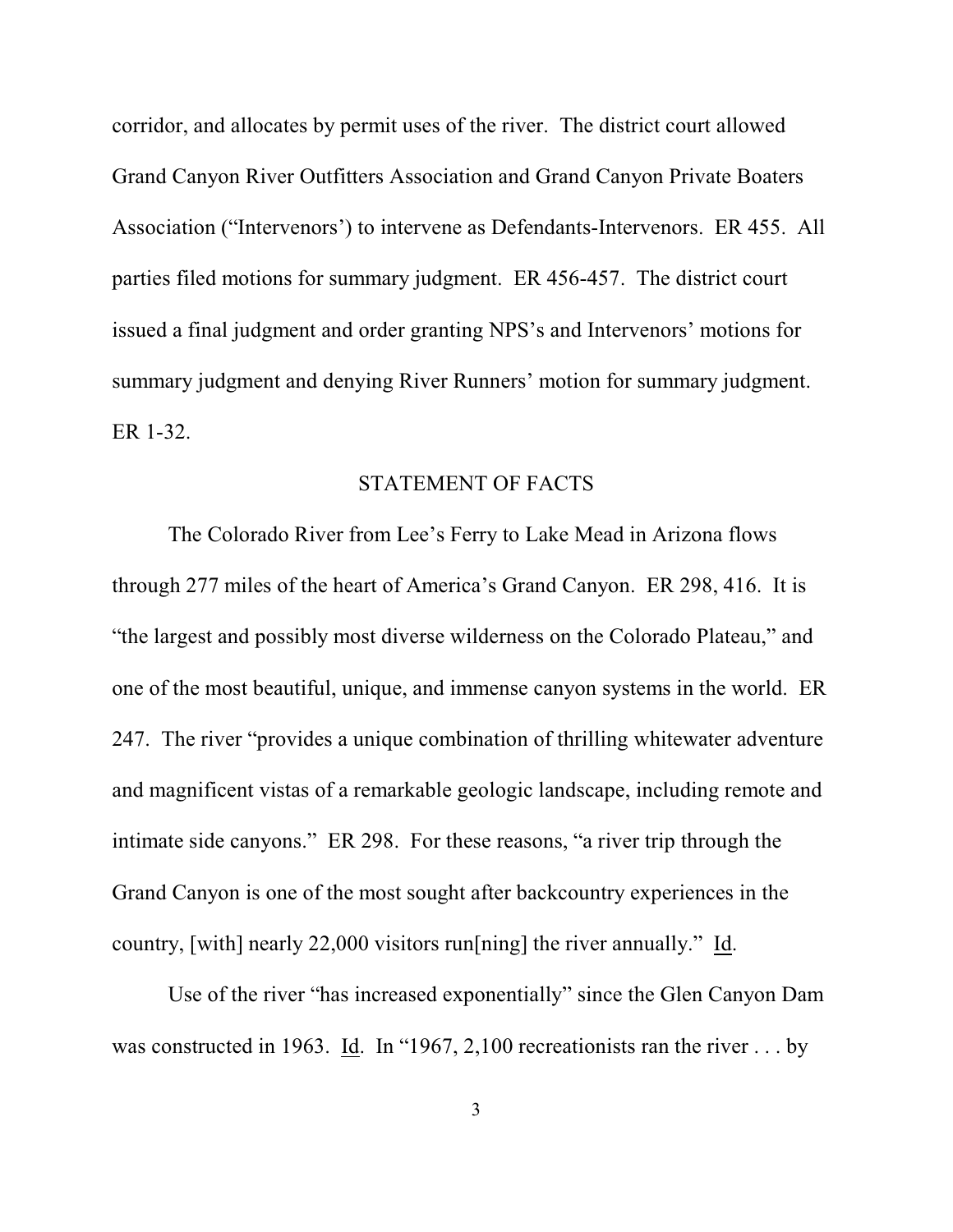corridor, and allocates by permit uses of the river. The district court allowed Grand Canyon River Outfitters Association and Grand Canyon Private Boaters Association ("Intervenors') to intervene as Defendants-Intervenors. ER 455. All parties filed motions for summary judgment. ER 456-457. The district court issued a final judgment and order granting NPS's and Intervenors' motions for summary judgment and denying River Runners' motion for summary judgment. ER 1-32.

### STATEMENT OF FACTS

The Colorado River from Lee's Ferry to Lake Mead in Arizona flows through 277 miles of the heart of America's Grand Canyon. ER 298, 416. It is "the largest and possibly most diverse wilderness on the Colorado Plateau," and one of the most beautiful, unique, and immense canyon systems in the world. ER 247. The river "provides a unique combination of thrilling whitewater adventure and magnificent vistas of a remarkable geologic landscape, including remote and intimate side canyons." ER 298. For these reasons, "a river trip through the Grand Canyon is one of the most sought after backcountry experiences in the country, [with] nearly 22,000 visitors run[ning] the river annually." Id.

Use of the river "has increased exponentially" since the Glen Canyon Dam was constructed in 1963. Id. In "1967, 2,100 recreationists ran the river . . . by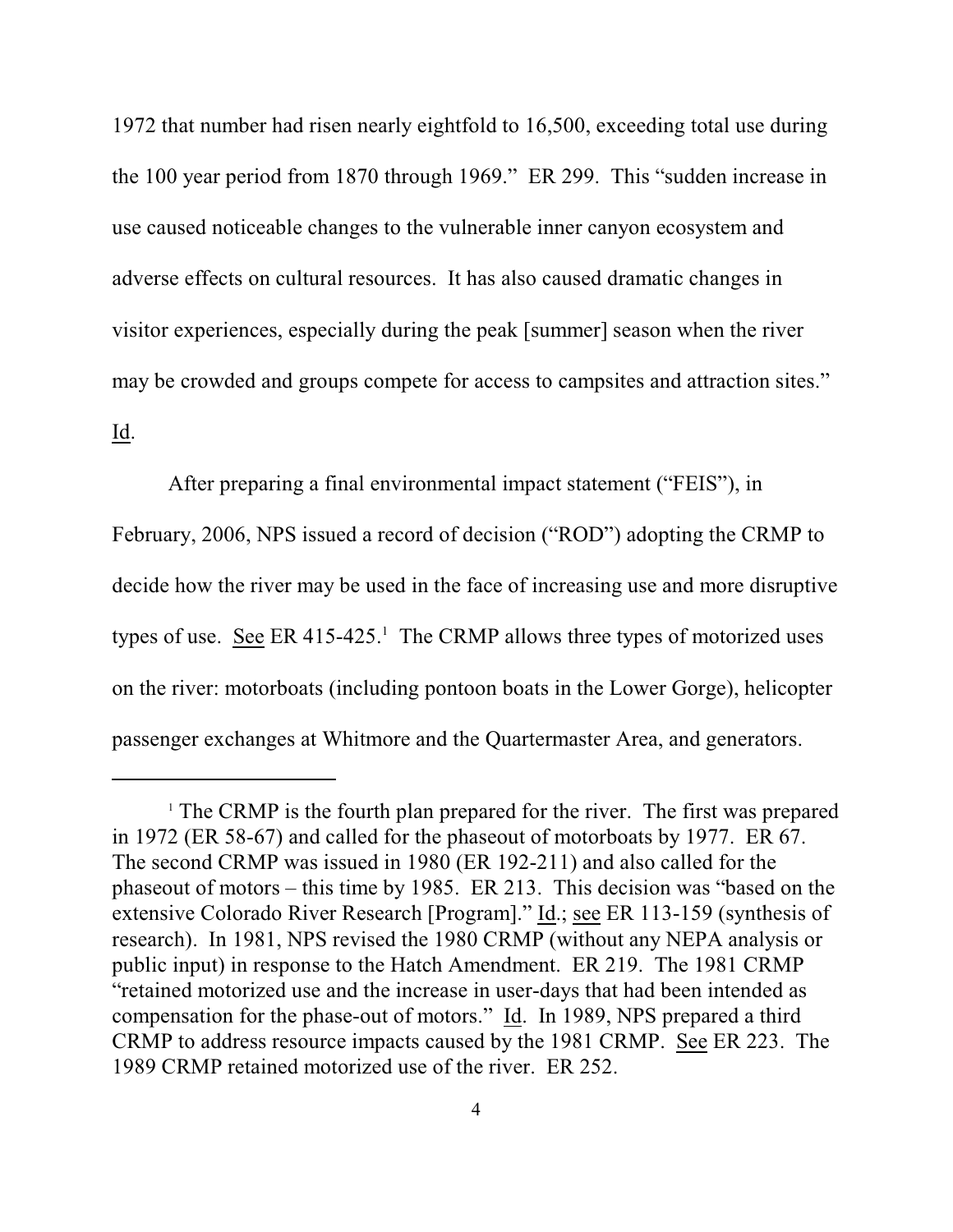1972 that number had risen nearly eightfold to 16,500, exceeding total use during the 100 year period from 1870 through 1969." ER 299. This "sudden increase in use caused noticeable changes to the vulnerable inner canyon ecosystem and adverse effects on cultural resources. It has also caused dramatic changes in visitor experiences, especially during the peak [summer] season when the river may be crowded and groups compete for access to campsites and attraction sites."

### Id.

After preparing a final environmental impact statement ("FEIS"), in February, 2006, NPS issued a record of decision ("ROD") adopting the CRMP to decide how the river may be used in the face of increasing use and more disruptive types of use. See ER  $415-425$ .<sup>1</sup> The CRMP allows three types of motorized uses on the river: motorboats (including pontoon boats in the Lower Gorge), helicopter passenger exchanges at Whitmore and the Quartermaster Area, and generators.

 $\Gamma$ <sup>1</sup> The CRMP is the fourth plan prepared for the river. The first was prepared in 1972 (ER 58-67) and called for the phaseout of motorboats by 1977. ER 67. The second CRMP was issued in 1980 (ER 192-211) and also called for the phaseout of motors – this time by 1985. ER 213. This decision was "based on the extensive Colorado River Research [Program]." Id.; see ER 113-159 (synthesis of research). In 1981, NPS revised the 1980 CRMP (without any NEPA analysis or public input) in response to the Hatch Amendment. ER 219. The 1981 CRMP "retained motorized use and the increase in user-days that had been intended as compensation for the phase-out of motors." Id. In 1989, NPS prepared a third CRMP to address resource impacts caused by the 1981 CRMP. See ER 223. The 1989 CRMP retained motorized use of the river. ER 252.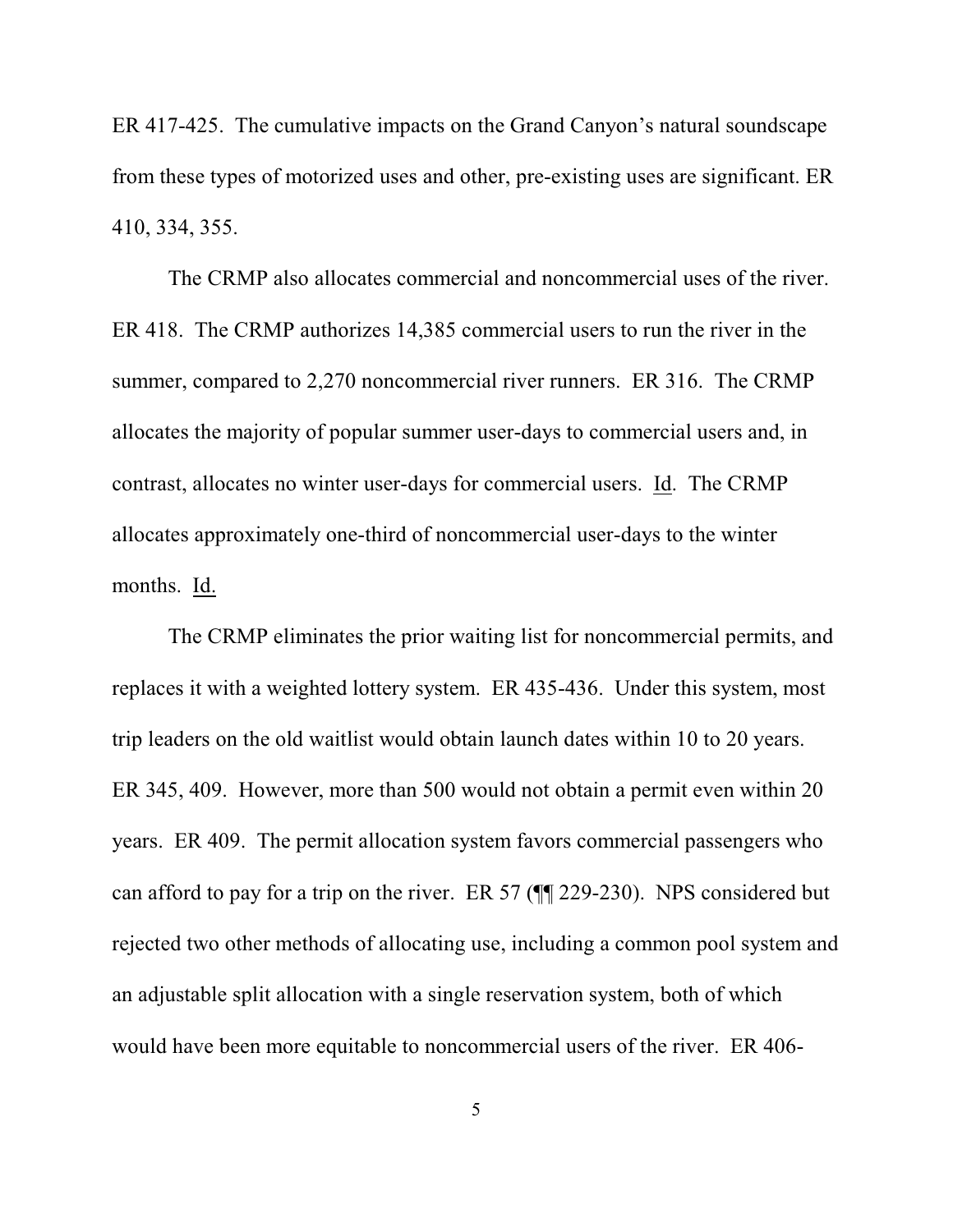ER 417-425. The cumulative impacts on the Grand Canyon's natural soundscape from these types of motorized uses and other, pre-existing uses are significant. ER 410, 334, 355.

The CRMP also allocates commercial and noncommercial uses of the river. ER 418. The CRMP authorizes 14,385 commercial users to run the river in the summer, compared to 2,270 noncommercial river runners. ER 316. The CRMP allocates the majority of popular summer user-days to commercial users and, in contrast, allocates no winter user-days for commercial users. Id. The CRMP allocates approximately one-third of noncommercial user-days to the winter months. Id.

The CRMP eliminates the prior waiting list for noncommercial permits, and replaces it with a weighted lottery system. ER 435-436. Under this system, most trip leaders on the old waitlist would obtain launch dates within 10 to 20 years. ER 345, 409. However, more than 500 would not obtain a permit even within 20 years. ER 409. The permit allocation system favors commercial passengers who can afford to pay for a trip on the river. ER 57 (¶¶ 229-230). NPS considered but rejected two other methods of allocating use, including a common pool system and an adjustable split allocation with a single reservation system, both of which would have been more equitable to noncommercial users of the river. ER 406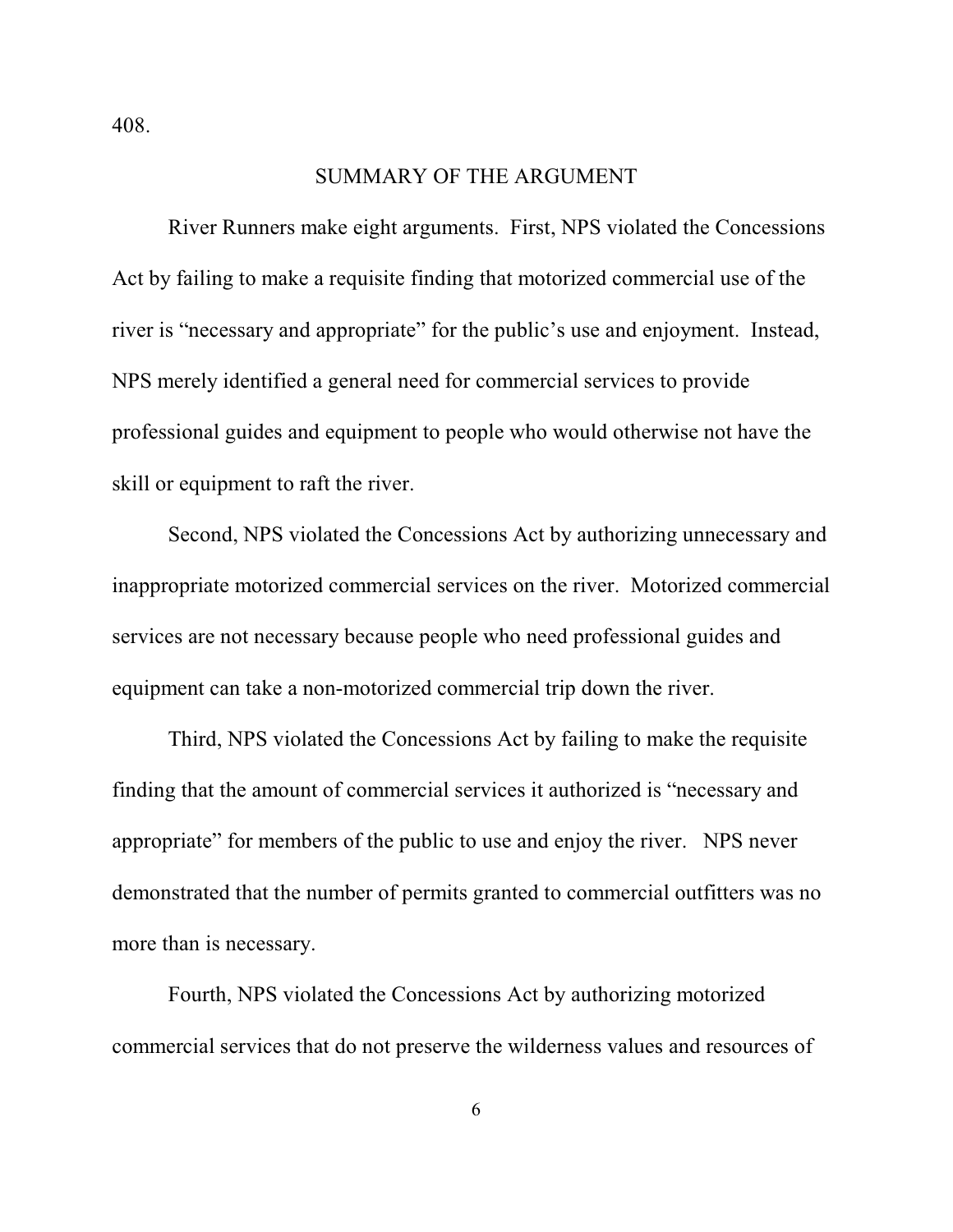408.

#### SUMMARY OF THE ARGUMENT

River Runners make eight arguments. First, NPS violated the Concessions Act by failing to make a requisite finding that motorized commercial use of the river is "necessary and appropriate" for the public's use and enjoyment. Instead, NPS merely identified a general need for commercial services to provide professional guides and equipment to people who would otherwise not have the skill or equipment to raft the river.

Second, NPS violated the Concessions Act by authorizing unnecessary and inappropriate motorized commercial services on the river. Motorized commercial services are not necessary because people who need professional guides and equipment can take a non-motorized commercial trip down the river.

Third, NPS violated the Concessions Act by failing to make the requisite finding that the amount of commercial services it authorized is "necessary and appropriate" for members of the public to use and enjoy the river. NPS never demonstrated that the number of permits granted to commercial outfitters was no more than is necessary.

Fourth, NPS violated the Concessions Act by authorizing motorized commercial services that do not preserve the wilderness values and resources of

6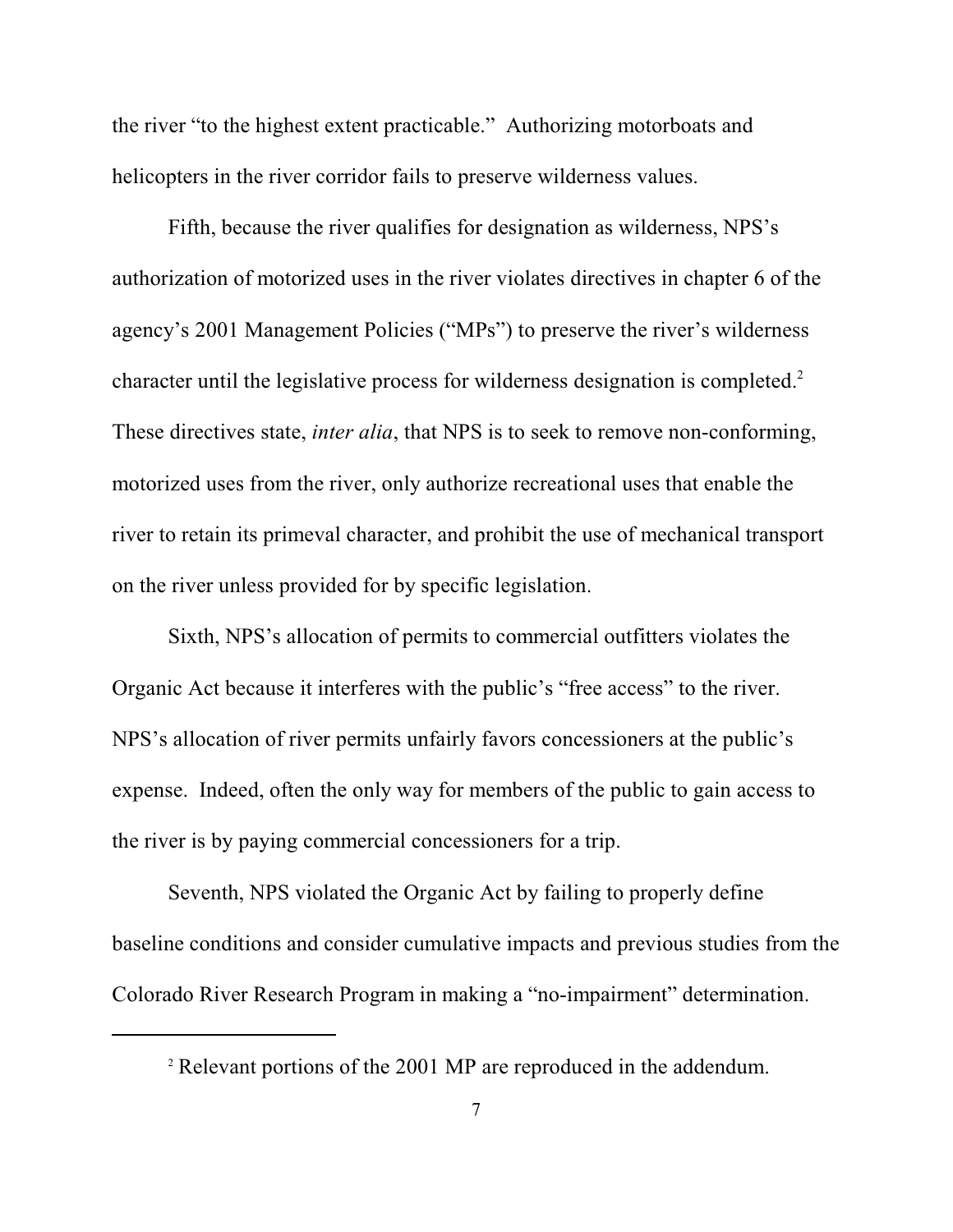the river "to the highest extent practicable." Authorizing motorboats and helicopters in the river corridor fails to preserve wilderness values.

Fifth, because the river qualifies for designation as wilderness, NPS's authorization of motorized uses in the river violates directives in chapter 6 of the agency's 2001 Management Policies ("MPs") to preserve the river's wilderness character until the legislative process for wilderness designation is completed.<sup>2</sup> These directives state, *inter alia*, that NPS is to seek to remove non-conforming, motorized uses from the river, only authorize recreational uses that enable the river to retain its primeval character, and prohibit the use of mechanical transport on the river unless provided for by specific legislation.

Sixth, NPS's allocation of permits to commercial outfitters violates the Organic Act because it interferes with the public's "free access" to the river. NPS's allocation of river permits unfairly favors concessioners at the public's expense. Indeed, often the only way for members of the public to gain access to the river is by paying commercial concessioners for a trip.

Seventh, NPS violated the Organic Act by failing to properly define baseline conditions and consider cumulative impacts and previous studies from the Colorado River Research Program in making a "no-impairment" determination.

<sup>&</sup>lt;sup>2</sup> Relevant portions of the 2001 MP are reproduced in the addendum.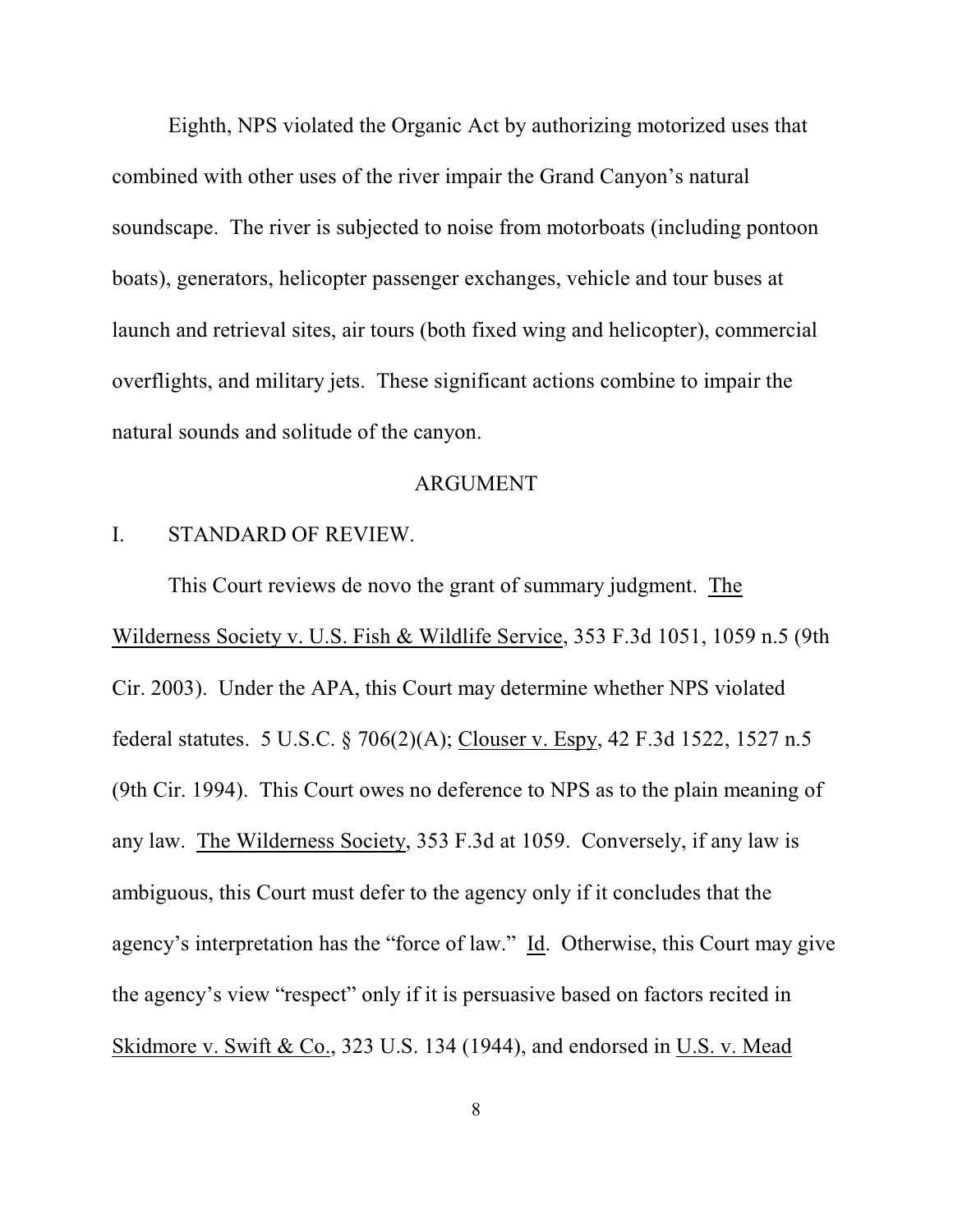Eighth, NPS violated the Organic Act by authorizing motorized uses that combined with other uses of the river impair the Grand Canyon's natural soundscape. The river is subjected to noise from motorboats (including pontoon boats), generators, helicopter passenger exchanges, vehicle and tour buses at launch and retrieval sites, air tours (both fixed wing and helicopter), commercial overflights, and military jets. These significant actions combine to impair the natural sounds and solitude of the canyon.

### ARGUMENT

### I. STANDARD OF REVIEW.

This Court reviews de novo the grant of summary judgment. The Wilderness Society v. U.S. Fish & Wildlife Service, 353 F.3d 1051, 1059 n.5 (9th Cir. 2003). Under the APA, this Court may determine whether NPS violated federal statutes. 5 U.S.C. § 706(2)(A); Clouser v. Espy, 42 F.3d 1522, 1527 n.5 (9th Cir. 1994). This Court owes no deference to NPS as to the plain meaning of any law. The Wilderness Society, 353 F.3d at 1059. Conversely, if any law is ambiguous, this Court must defer to the agency only if it concludes that the agency's interpretation has the "force of law." Id. Otherwise, this Court may give the agency's view "respect" only if it is persuasive based on factors recited in Skidmore v. Swift & Co., 323 U.S. 134 (1944), and endorsed in U.S. v. Mead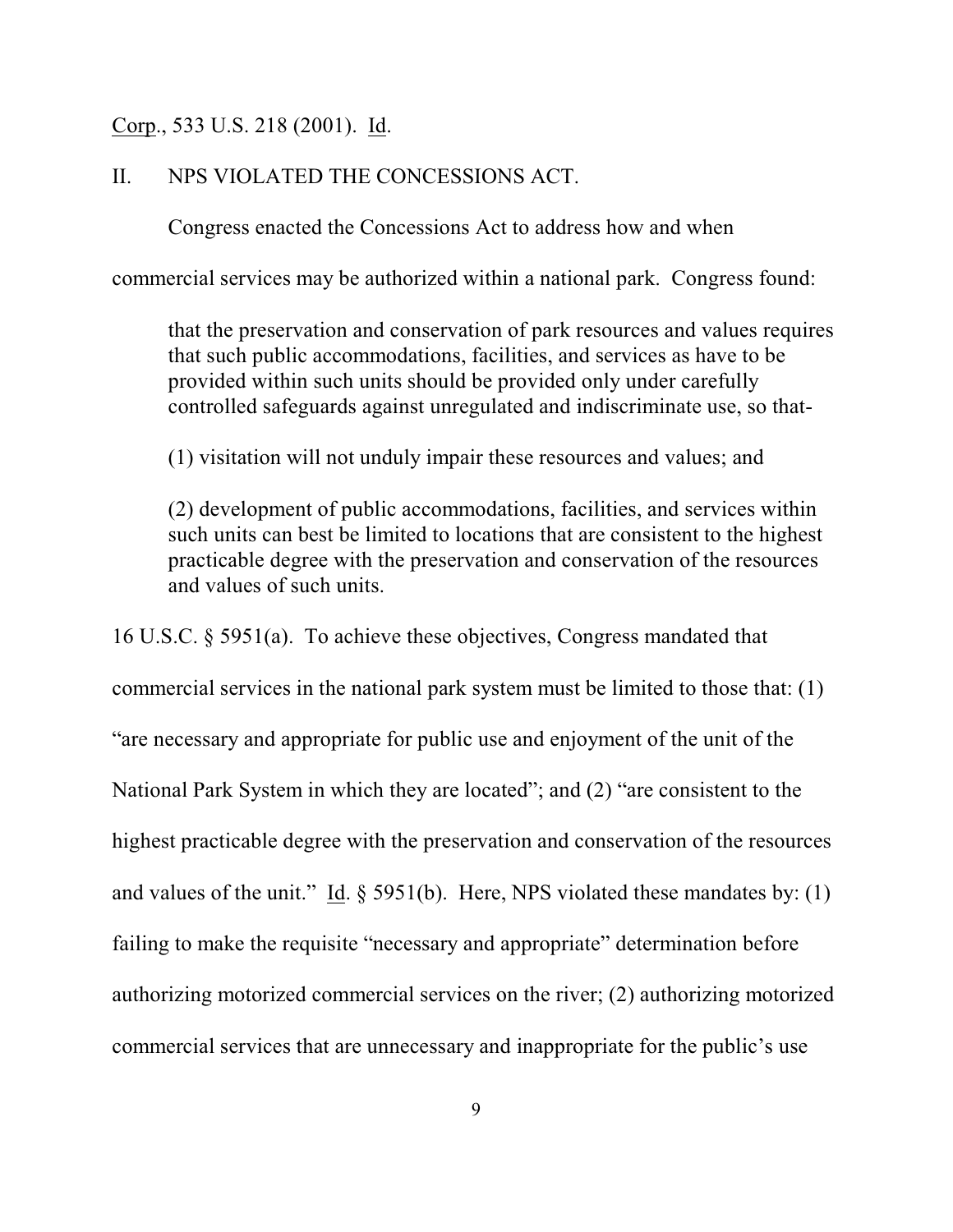### Corp., 533 U.S. 218 (2001). Id.

### II. NPS VIOLATED THE CONCESSIONS ACT.

Congress enacted the Concessions Act to address how and when

commercial services may be authorized within a national park. Congress found:

that the preservation and conservation of park resources and values requires that such public accommodations, facilities, and services as have to be provided within such units should be provided only under carefully controlled safeguards against unregulated and indiscriminate use, so that-

(1) visitation will not unduly impair these resources and values; and

(2) development of public accommodations, facilities, and services within such units can best be limited to locations that are consistent to the highest practicable degree with the preservation and conservation of the resources and values of such units.

16 U.S.C. § 5951(a). To achieve these objectives, Congress mandated that

commercial services in the national park system must be limited to those that: (1) "are necessary and appropriate for public use and enjoyment of the unit of the National Park System in which they are located"; and (2) "are consistent to the highest practicable degree with the preservation and conservation of the resources and values of the unit." Id. § 5951(b). Here, NPS violated these mandates by: (1) failing to make the requisite "necessary and appropriate" determination before authorizing motorized commercial services on the river; (2) authorizing motorized commercial services that are unnecessary and inappropriate for the public's use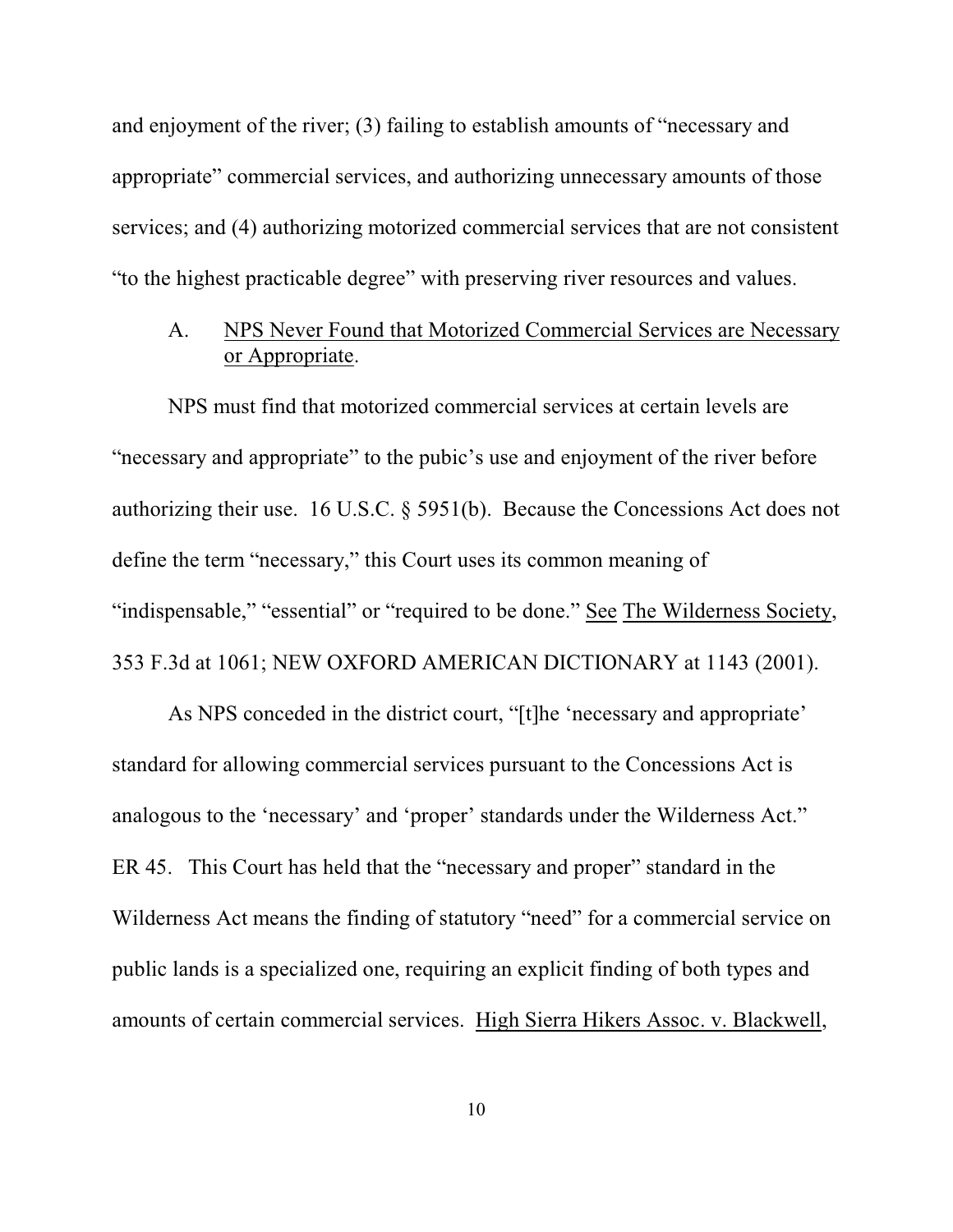and enjoyment of the river; (3) failing to establish amounts of "necessary and appropriate" commercial services, and authorizing unnecessary amounts of those services; and (4) authorizing motorized commercial services that are not consistent "to the highest practicable degree" with preserving river resources and values.

# A. NPS Never Found that Motorized Commercial Services are Necessary or Appropriate.

NPS must find that motorized commercial services at certain levels are "necessary and appropriate" to the pubic's use and enjoyment of the river before authorizing their use. 16 U.S.C. § 5951(b). Because the Concessions Act does not define the term "necessary," this Court uses its common meaning of "indispensable," "essential" or "required to be done." See The Wilderness Society, 353 F.3d at 1061; NEW OXFORD AMERICAN DICTIONARY at 1143 (2001).

As NPS conceded in the district court, "[t]he 'necessary and appropriate' standard for allowing commercial services pursuant to the Concessions Act is analogous to the 'necessary' and 'proper' standards under the Wilderness Act." ER 45. This Court has held that the "necessary and proper" standard in the Wilderness Act means the finding of statutory "need" for a commercial service on public lands is a specialized one, requiring an explicit finding of both types and amounts of certain commercial services. High Sierra Hikers Assoc. v. Blackwell,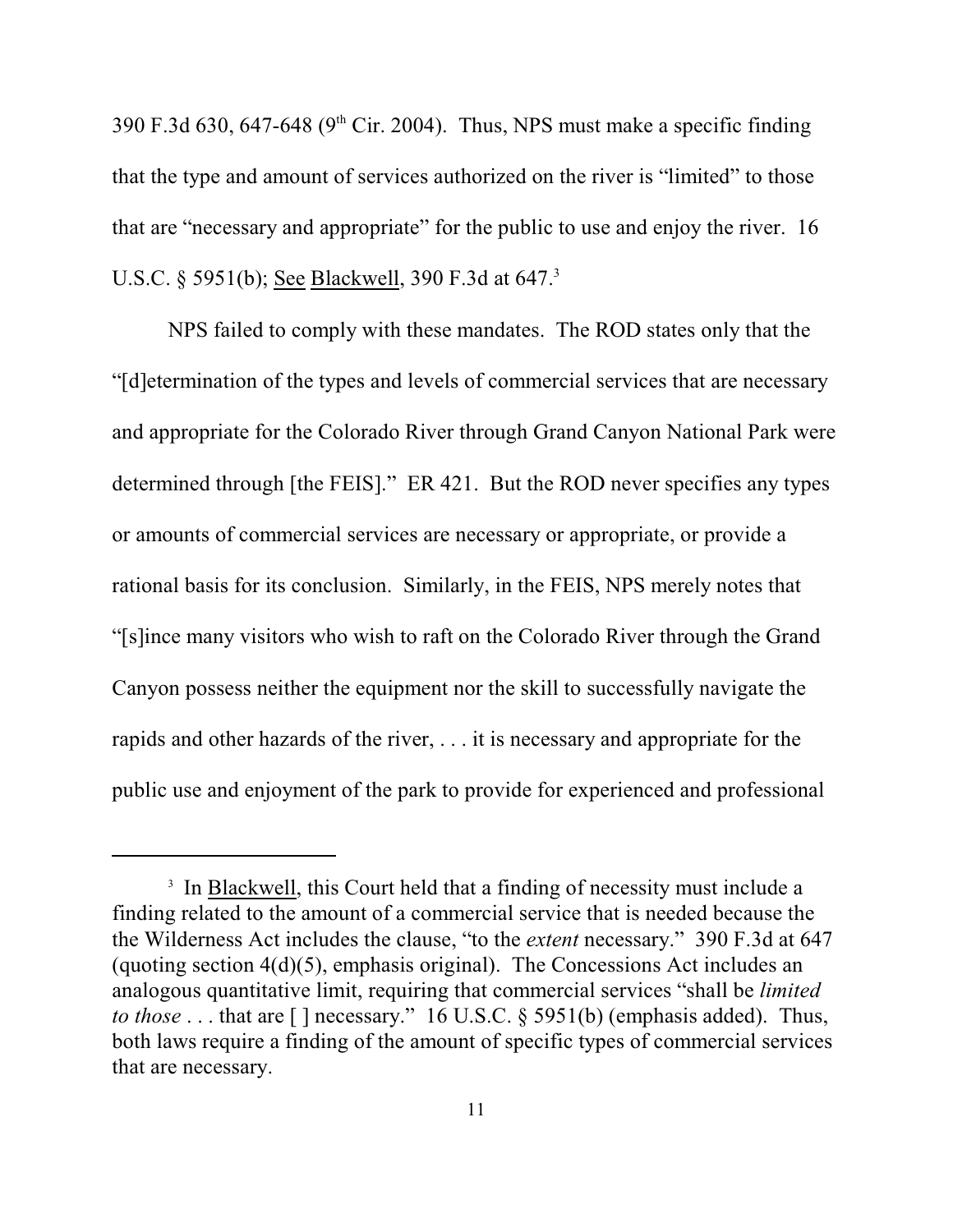390 F.3d 630, 647-648 (9<sup>th</sup> Cir. 2004). Thus, NPS must make a specific finding that the type and amount of services authorized on the river is "limited" to those that are "necessary and appropriate" for the public to use and enjoy the river. 16 U.S.C. § 5951(b); <u>See Blackwell</u>, 390 F.3d at 647.<sup>3</sup>

NPS failed to comply with these mandates. The ROD states only that the "[d]etermination of the types and levels of commercial services that are necessary and appropriate for the Colorado River through Grand Canyon National Park were determined through [the FEIS]." ER 421. But the ROD never specifies any types or amounts of commercial services are necessary or appropriate, or provide a rational basis for its conclusion. Similarly, in the FEIS, NPS merely notes that "[s]ince many visitors who wish to raft on the Colorado River through the Grand Canyon possess neither the equipment nor the skill to successfully navigate the rapids and other hazards of the river, . . . it is necessary and appropriate for the public use and enjoyment of the park to provide for experienced and professional

<sup>&</sup>lt;sup>3</sup> In Blackwell, this Court held that a finding of necessity must include a finding related to the amount of a commercial service that is needed because the the Wilderness Act includes the clause, "to the *extent* necessary." 390 F.3d at 647 (quoting section 4(d)(5), emphasis original). The Concessions Act includes an analogous quantitative limit, requiring that commercial services "shall be *limited to those* . . . that are [] necessary." 16 U.S.C. § 5951(b) (emphasis added). Thus, both laws require a finding of the amount of specific types of commercial services that are necessary.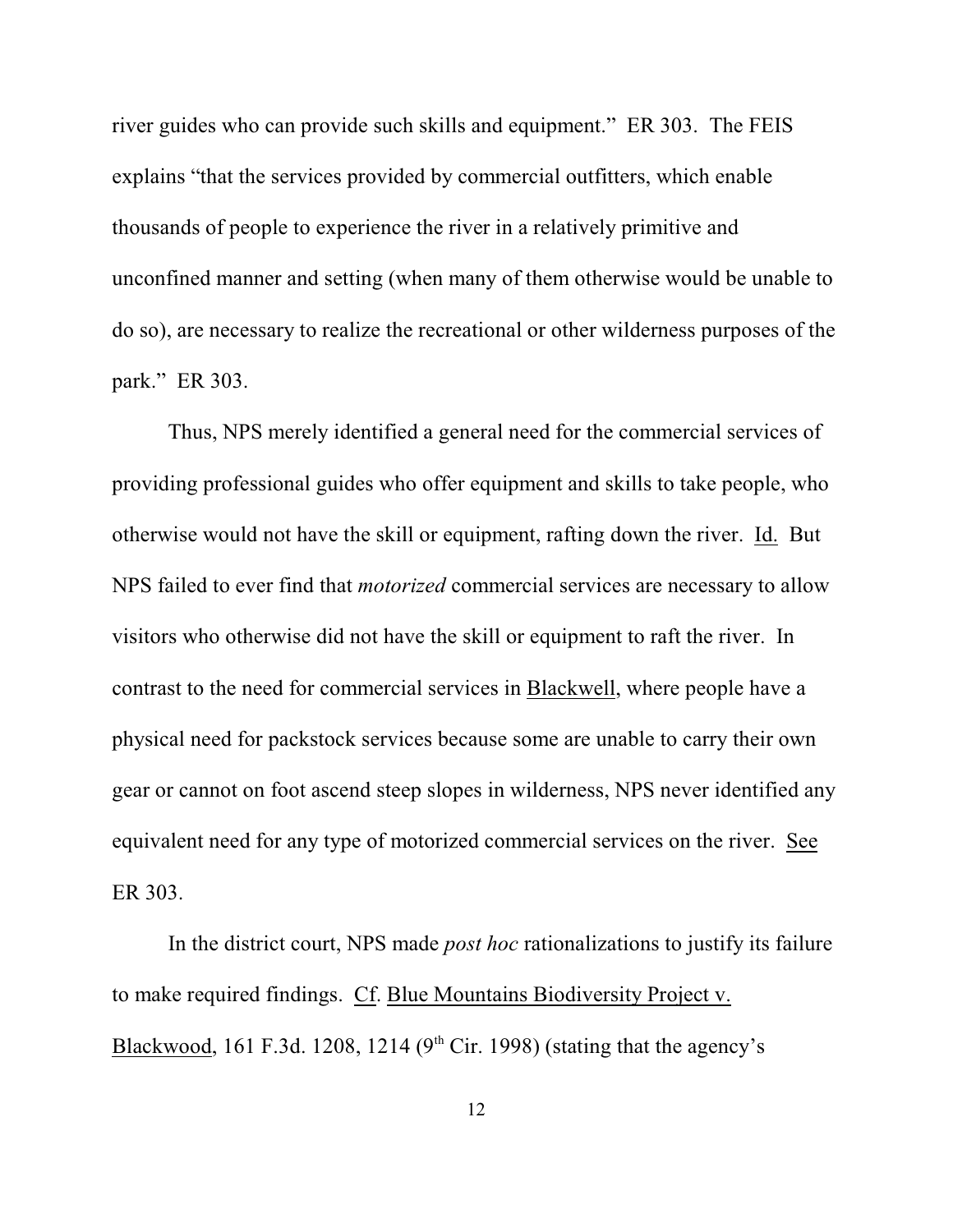river guides who can provide such skills and equipment." ER 303. The FEIS explains "that the services provided by commercial outfitters, which enable thousands of people to experience the river in a relatively primitive and unconfined manner and setting (when many of them otherwise would be unable to do so), are necessary to realize the recreational or other wilderness purposes of the park." ER 303.

Thus, NPS merely identified a general need for the commercial services of providing professional guides who offer equipment and skills to take people, who otherwise would not have the skill or equipment, rafting down the river. Id. But NPS failed to ever find that *motorized* commercial services are necessary to allow visitors who otherwise did not have the skill or equipment to raft the river. In contrast to the need for commercial services in Blackwell, where people have a physical need for packstock services because some are unable to carry their own gear or cannot on foot ascend steep slopes in wilderness, NPS never identified any equivalent need for any type of motorized commercial services on the river. See ER 303.

In the district court, NPS made *post hoc* rationalizations to justify its failure to make required findings. Cf. Blue Mountains Biodiversity Project v. Blackwood, 161 F.3d. 1208, 1214 ( $9<sup>th</sup>$  Cir. 1998) (stating that the agency's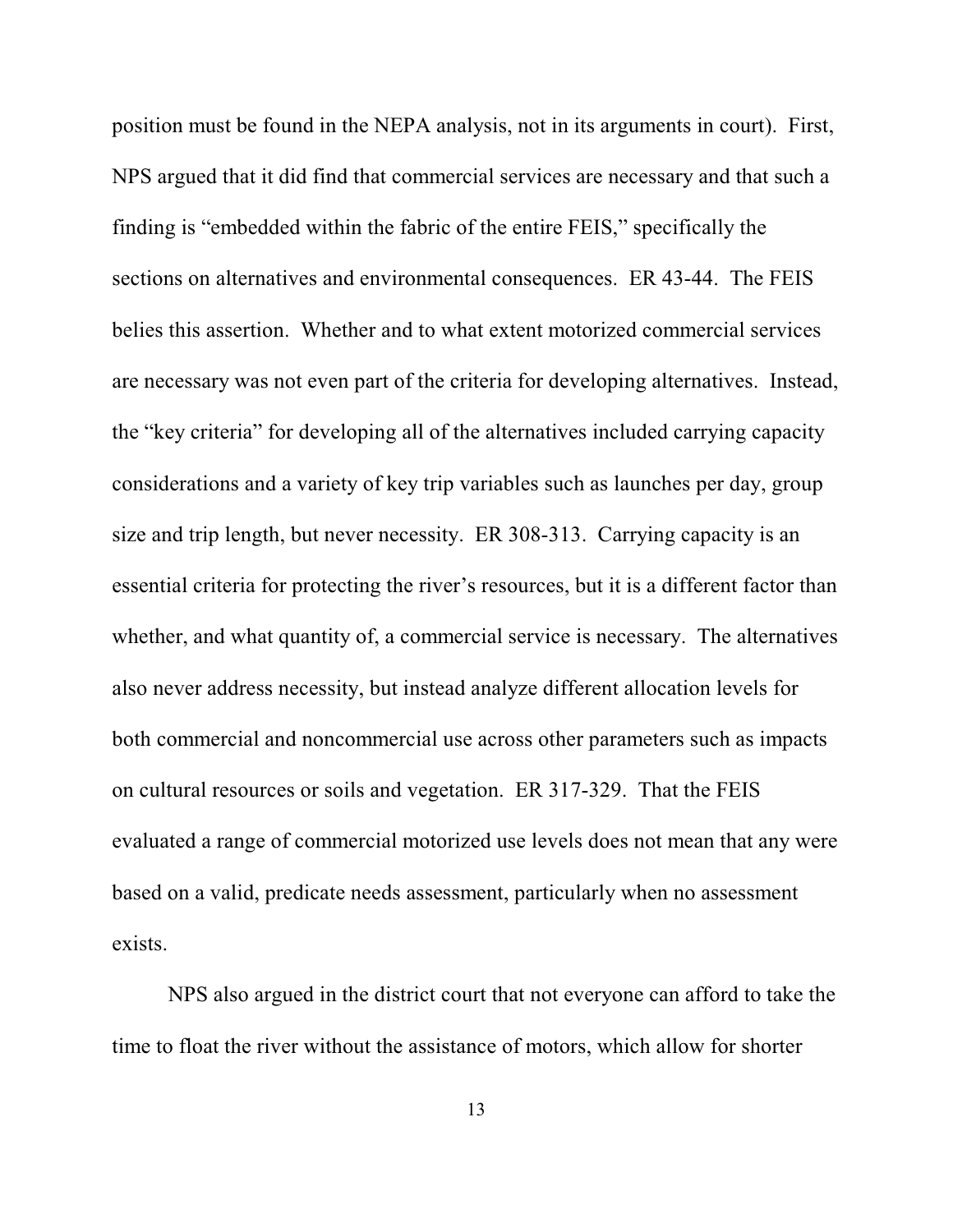position must be found in the NEPA analysis, not in its arguments in court). First, NPS argued that it did find that commercial services are necessary and that such a finding is "embedded within the fabric of the entire FEIS," specifically the sections on alternatives and environmental consequences. ER 43-44. The FEIS belies this assertion. Whether and to what extent motorized commercial services are necessary was not even part of the criteria for developing alternatives. Instead, the "key criteria" for developing all of the alternatives included carrying capacity considerations and a variety of key trip variables such as launches per day, group size and trip length, but never necessity. ER 308-313. Carrying capacity is an essential criteria for protecting the river's resources, but it is a different factor than whether, and what quantity of, a commercial service is necessary. The alternatives also never address necessity, but instead analyze different allocation levels for both commercial and noncommercial use across other parameters such as impacts on cultural resources or soils and vegetation. ER 317-329. That the FEIS evaluated a range of commercial motorized use levels does not mean that any were based on a valid, predicate needs assessment, particularly when no assessment exists.

NPS also argued in the district court that not everyone can afford to take the time to float the river without the assistance of motors, which allow for shorter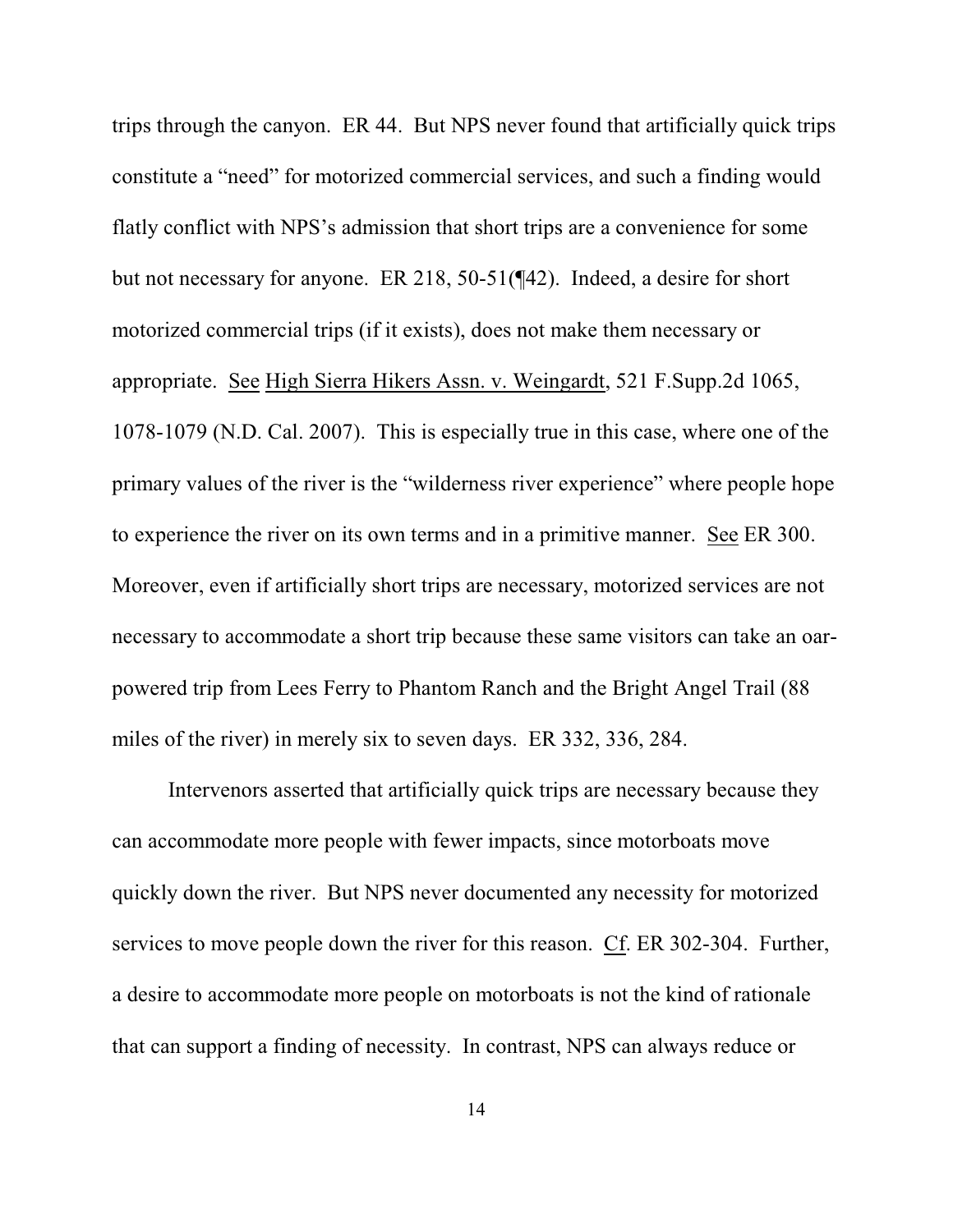trips through the canyon. ER 44. But NPS never found that artificially quick trips constitute a "need" for motorized commercial services, and such a finding would flatly conflict with NPS's admission that short trips are a convenience for some but not necessary for anyone. ER 218, 50-51(¶42). Indeed, a desire for short motorized commercial trips (if it exists), does not make them necessary or appropriate. See High Sierra Hikers Assn. v. Weingardt, 521 F.Supp.2d 1065, 1078-1079 (N.D. Cal. 2007). This is especially true in this case, where one of the primary values of the river is the "wilderness river experience" where people hope to experience the river on its own terms and in a primitive manner. See ER 300. Moreover, even if artificially short trips are necessary, motorized services are not necessary to accommodate a short trip because these same visitors can take an oarpowered trip from Lees Ferry to Phantom Ranch and the Bright Angel Trail (88 miles of the river) in merely six to seven days. ER 332, 336, 284.

Intervenors asserted that artificially quick trips are necessary because they can accommodate more people with fewer impacts, since motorboats move quickly down the river. But NPS never documented any necessity for motorized services to move people down the river for this reason. Cf. ER 302-304. Further, a desire to accommodate more people on motorboats is not the kind of rationale that can support a finding of necessity. In contrast, NPS can always reduce or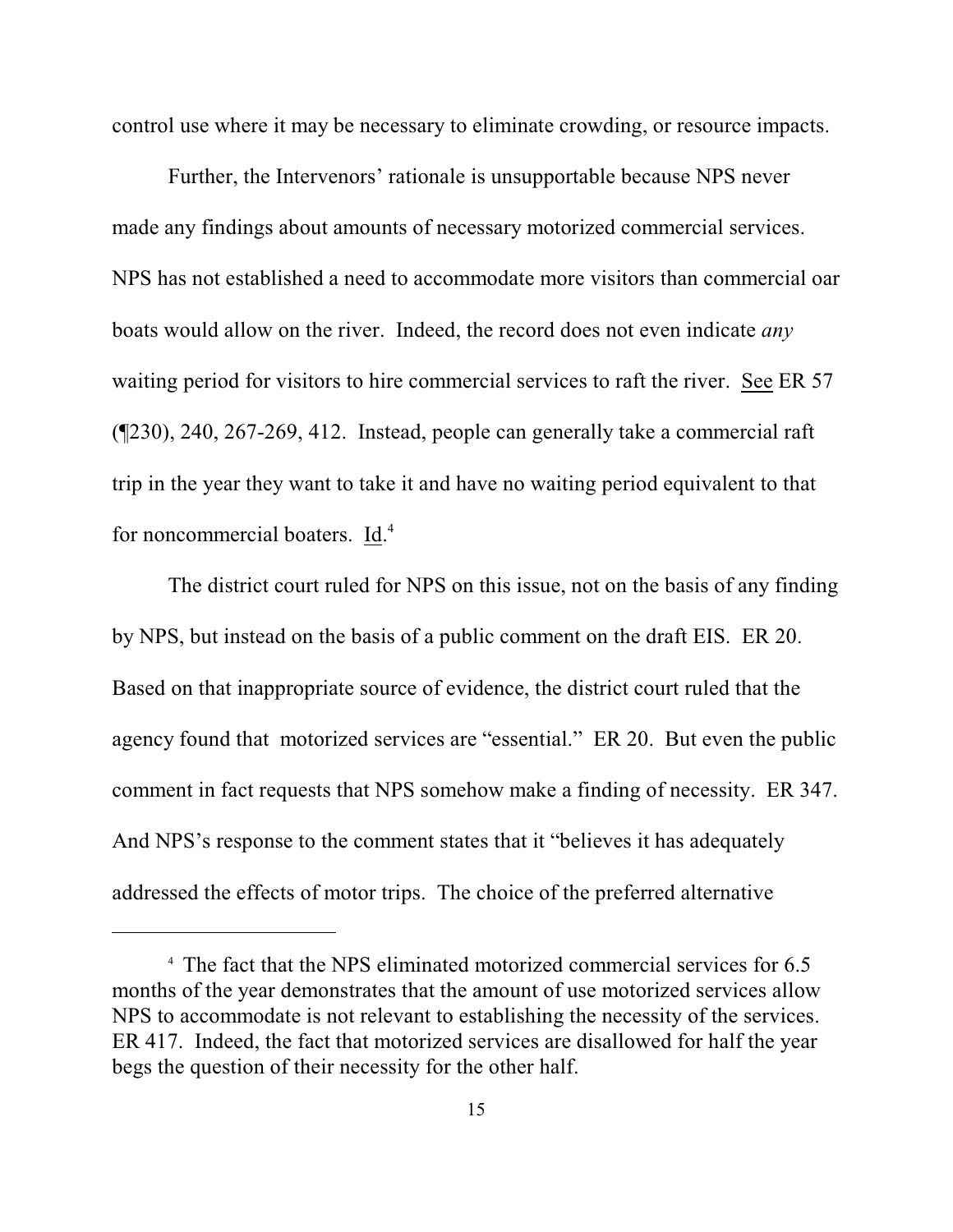control use where it may be necessary to eliminate crowding, or resource impacts.

Further, the Intervenors' rationale is unsupportable because NPS never made any findings about amounts of necessary motorized commercial services. NPS has not established a need to accommodate more visitors than commercial oar boats would allow on the river. Indeed, the record does not even indicate *any* waiting period for visitors to hire commercial services to raft the river. See ER 57 (¶230), 240, 267-269, 412. Instead, people can generally take a commercial raft trip in the year they want to take it and have no waiting period equivalent to that for noncommercial boaters. Id.<sup>4</sup>

The district court ruled for NPS on this issue, not on the basis of any finding by NPS, but instead on the basis of a public comment on the draft EIS. ER 20. Based on that inappropriate source of evidence, the district court ruled that the agency found that motorized services are "essential." ER 20. But even the public comment in fact requests that NPS somehow make a finding of necessity. ER 347. And NPS's response to the comment states that it "believes it has adequately addressed the effects of motor trips. The choice of the preferred alternative

<sup>&</sup>lt;sup>4</sup> The fact that the NPS eliminated motorized commercial services for 6.5 months of the year demonstrates that the amount of use motorized services allow NPS to accommodate is not relevant to establishing the necessity of the services. ER 417. Indeed, the fact that motorized services are disallowed for half the year begs the question of their necessity for the other half.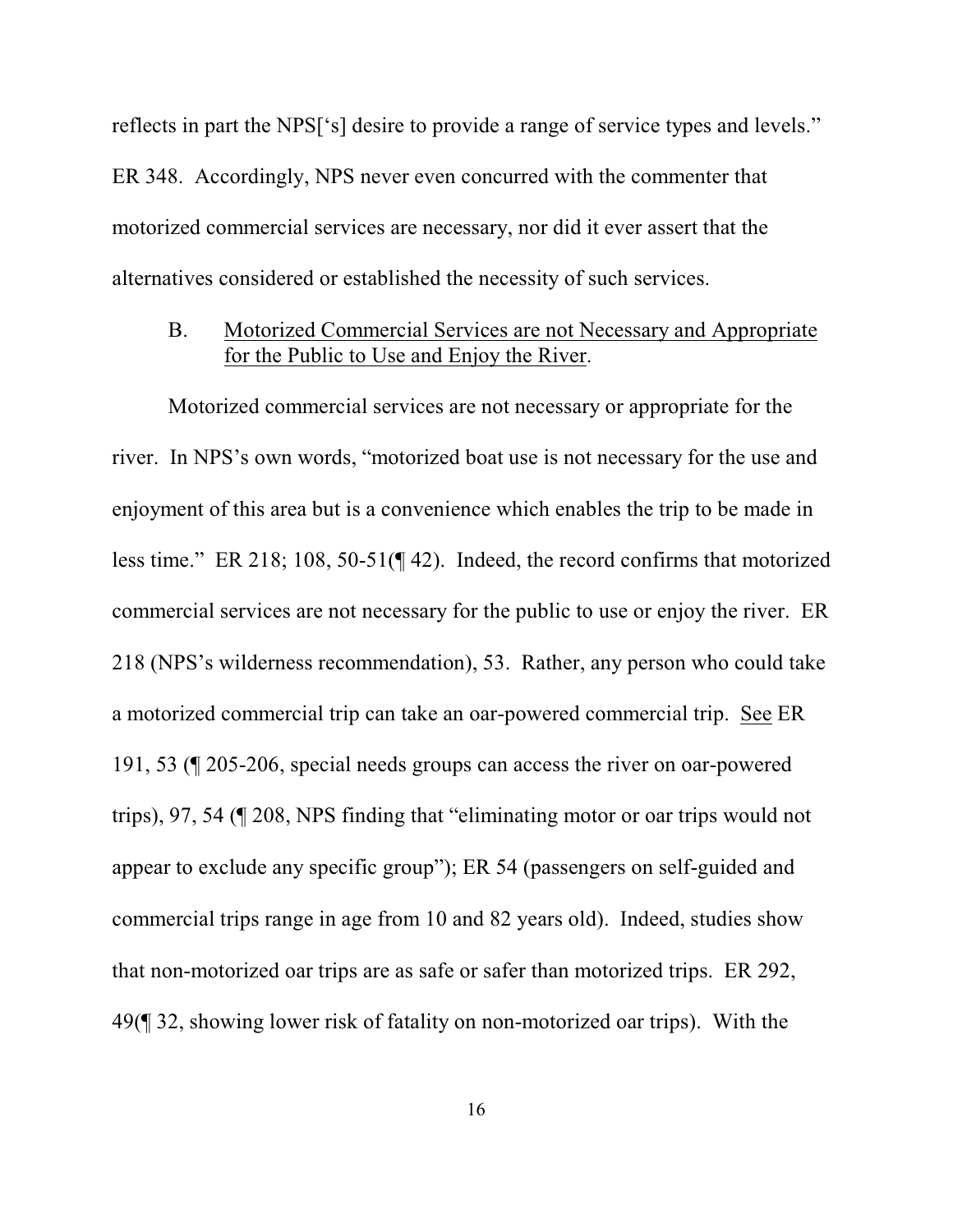reflects in part the NPS['s] desire to provide a range of service types and levels." ER 348. Accordingly, NPS never even concurred with the commenter that motorized commercial services are necessary, nor did it ever assert that the alternatives considered or established the necessity of such services.

## B. Motorized Commercial Services are not Necessary and Appropriate for the Public to Use and Enjoy the River.

Motorized commercial services are not necessary or appropriate for the river. In NPS's own words, "motorized boat use is not necessary for the use and enjoyment of this area but is a convenience which enables the trip to be made in less time." ER 218; 108, 50-51(¶ 42). Indeed, the record confirms that motorized commercial services are not necessary for the public to use or enjoy the river. ER 218 (NPS's wilderness recommendation), 53. Rather, any person who could take a motorized commercial trip can take an oar-powered commercial trip. See ER 191, 53 (¶ 205-206, special needs groups can access the river on oar-powered trips), 97, 54 (¶ 208, NPS finding that "eliminating motor or oar trips would not appear to exclude any specific group"); ER 54 (passengers on self-guided and commercial trips range in age from 10 and 82 years old). Indeed, studies show that non-motorized oar trips are as safe or safer than motorized trips. ER 292, 49(¶ 32, showing lower risk of fatality on non-motorized oar trips). With the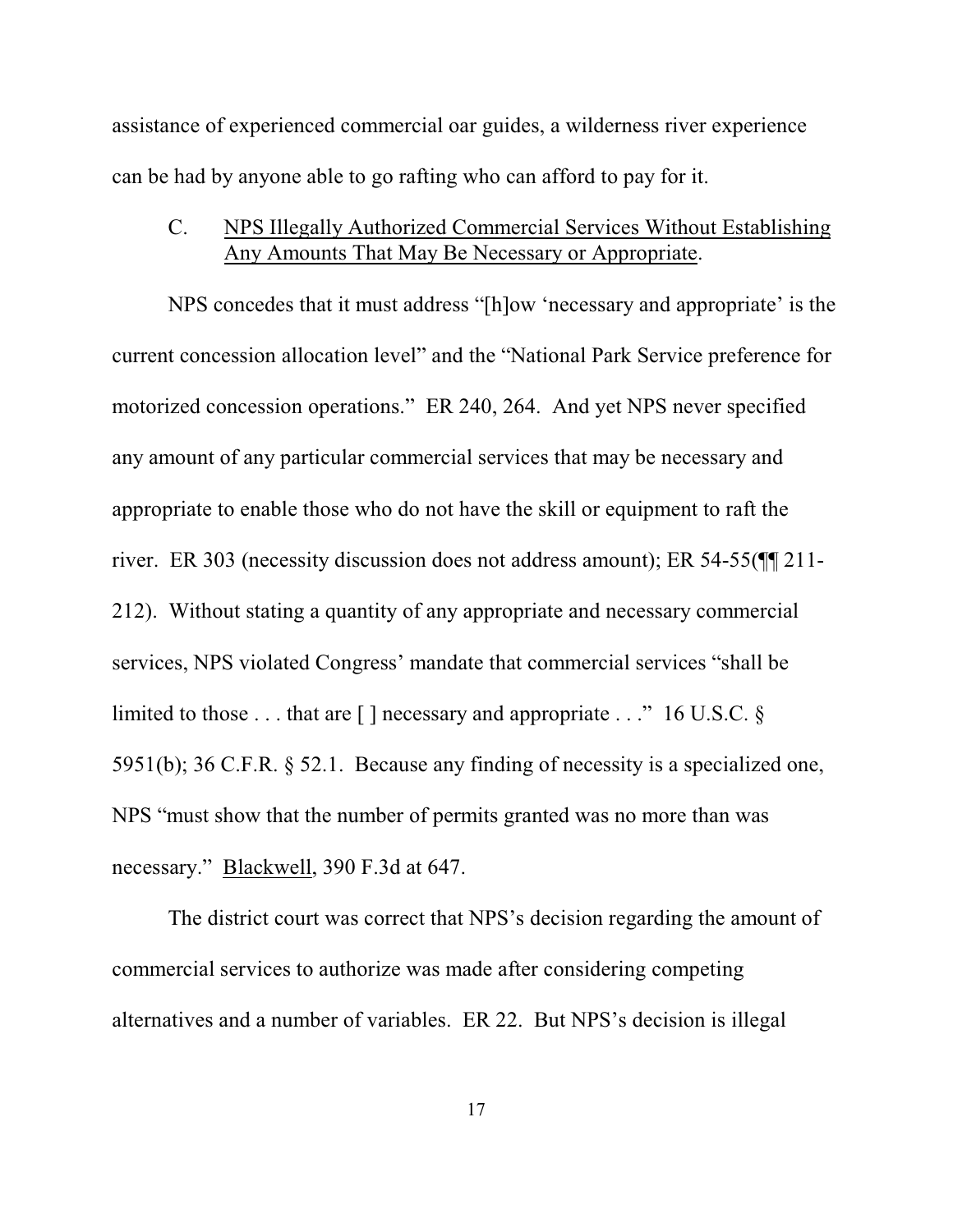assistance of experienced commercial oar guides, a wilderness river experience can be had by anyone able to go rafting who can afford to pay for it.

# C. NPS Illegally Authorized Commercial Services Without Establishing Any Amounts That May Be Necessary or Appropriate.

NPS concedes that it must address "[h]ow 'necessary and appropriate' is the current concession allocation level" and the "National Park Service preference for motorized concession operations." ER 240, 264. And yet NPS never specified any amount of any particular commercial services that may be necessary and appropriate to enable those who do not have the skill or equipment to raft the river. ER 303 (necessity discussion does not address amount); ER 54-55(¶¶ 211- 212). Without stating a quantity of any appropriate and necessary commercial services, NPS violated Congress' mandate that commercial services "shall be limited to those  $\dots$  that are [ ] necessary and appropriate  $\dots$  " 16 U.S.C. § 5951(b); 36 C.F.R. § 52.1. Because any finding of necessity is a specialized one, NPS "must show that the number of permits granted was no more than was necessary." Blackwell, 390 F.3d at 647.

The district court was correct that NPS's decision regarding the amount of commercial services to authorize was made after considering competing alternatives and a number of variables. ER 22. But NPS's decision is illegal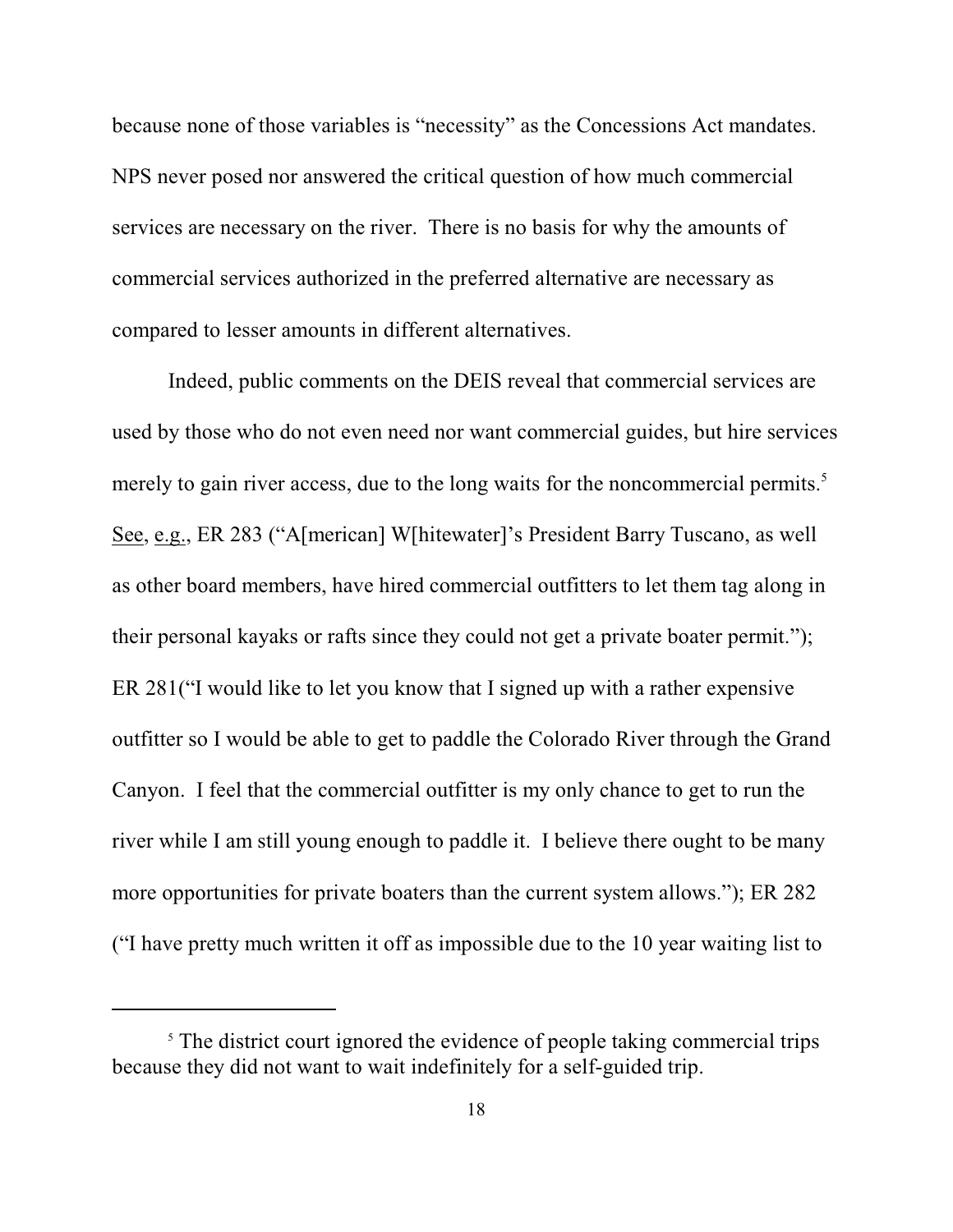because none of those variables is "necessity" as the Concessions Act mandates. NPS never posed nor answered the critical question of how much commercial services are necessary on the river. There is no basis for why the amounts of commercial services authorized in the preferred alternative are necessary as compared to lesser amounts in different alternatives.

Indeed, public comments on the DEIS reveal that commercial services are used by those who do not even need nor want commercial guides, but hire services merely to gain river access, due to the long waits for the noncommercial permits.<sup>5</sup> See, e.g., ER 283 ("A[merican] W[hitewater]'s President Barry Tuscano, as well as other board members, have hired commercial outfitters to let them tag along in their personal kayaks or rafts since they could not get a private boater permit."); ER 281("I would like to let you know that I signed up with a rather expensive outfitter so I would be able to get to paddle the Colorado River through the Grand Canyon. I feel that the commercial outfitter is my only chance to get to run the river while I am still young enough to paddle it. I believe there ought to be many more opportunities for private boaters than the current system allows."); ER 282 ("I have pretty much written it off as impossible due to the 10 year waiting list to

<sup>&</sup>lt;sup>5</sup> The district court ignored the evidence of people taking commercial trips because they did not want to wait indefinitely for a self-guided trip.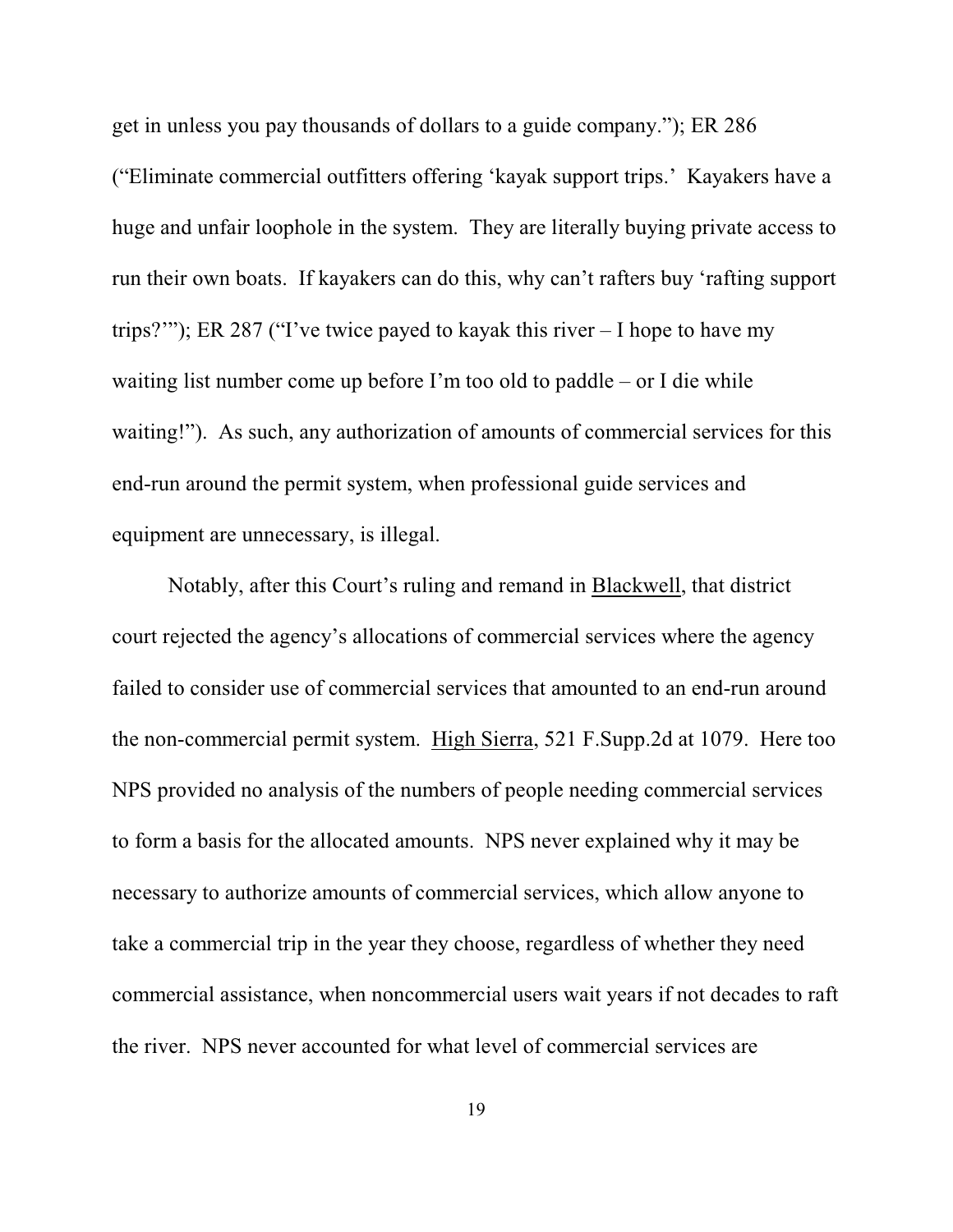get in unless you pay thousands of dollars to a guide company."); ER 286 ("Eliminate commercial outfitters offering 'kayak support trips.' Kayakers have a huge and unfair loophole in the system. They are literally buying private access to run their own boats. If kayakers can do this, why can't rafters buy 'rafting support trips?""); ER 287 ("I've twice payed to kayak this river  $-1$  hope to have my waiting list number come up before I'm too old to paddle – or I die while waiting!"). As such, any authorization of amounts of commercial services for this end-run around the permit system, when professional guide services and equipment are unnecessary, is illegal.

Notably, after this Court's ruling and remand in Blackwell, that district court rejected the agency's allocations of commercial services where the agency failed to consider use of commercial services that amounted to an end-run around the non-commercial permit system. High Sierra, 521 F.Supp.2d at 1079. Here too NPS provided no analysis of the numbers of people needing commercial services to form a basis for the allocated amounts. NPS never explained why it may be necessary to authorize amounts of commercial services, which allow anyone to take a commercial trip in the year they choose, regardless of whether they need commercial assistance, when noncommercial users wait years if not decades to raft the river. NPS never accounted for what level of commercial services are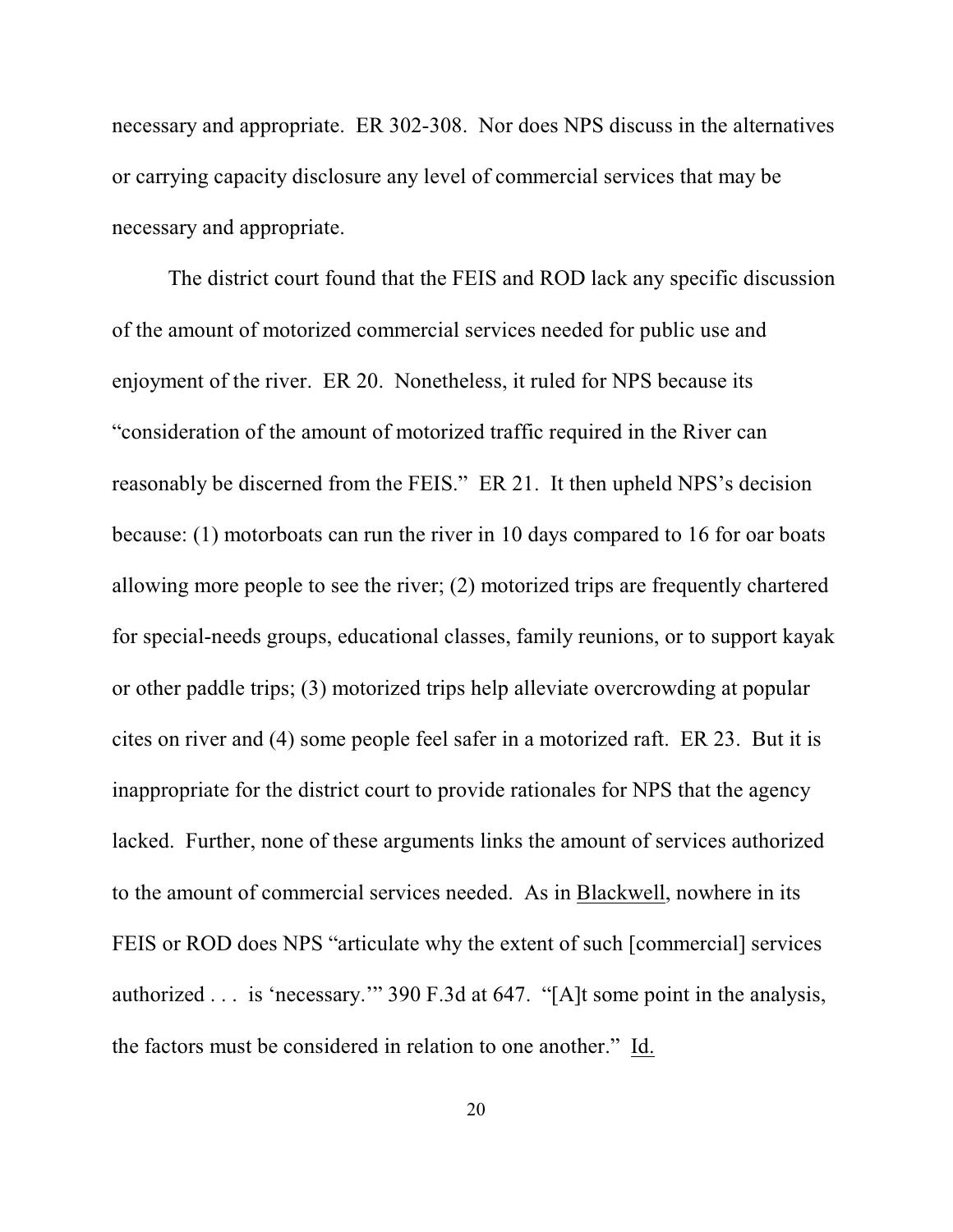necessary and appropriate. ER 302-308. Nor does NPS discuss in the alternatives or carrying capacity disclosure any level of commercial services that may be necessary and appropriate.

The district court found that the FEIS and ROD lack any specific discussion of the amount of motorized commercial services needed for public use and enjoyment of the river. ER 20. Nonetheless, it ruled for NPS because its "consideration of the amount of motorized traffic required in the River can reasonably be discerned from the FEIS." ER 21. It then upheld NPS's decision because: (1) motorboats can run the river in 10 days compared to 16 for oar boats allowing more people to see the river; (2) motorized trips are frequently chartered for special-needs groups, educational classes, family reunions, or to support kayak or other paddle trips; (3) motorized trips help alleviate overcrowding at popular cites on river and (4) some people feel safer in a motorized raft. ER 23. But it is inappropriate for the district court to provide rationales for NPS that the agency lacked. Further, none of these arguments links the amount of services authorized to the amount of commercial services needed. As in Blackwell, nowhere in its FEIS or ROD does NPS "articulate why the extent of such [commercial] services authorized . . . is 'necessary.'" 390 F.3d at 647. "[A]t some point in the analysis, the factors must be considered in relation to one another." Id.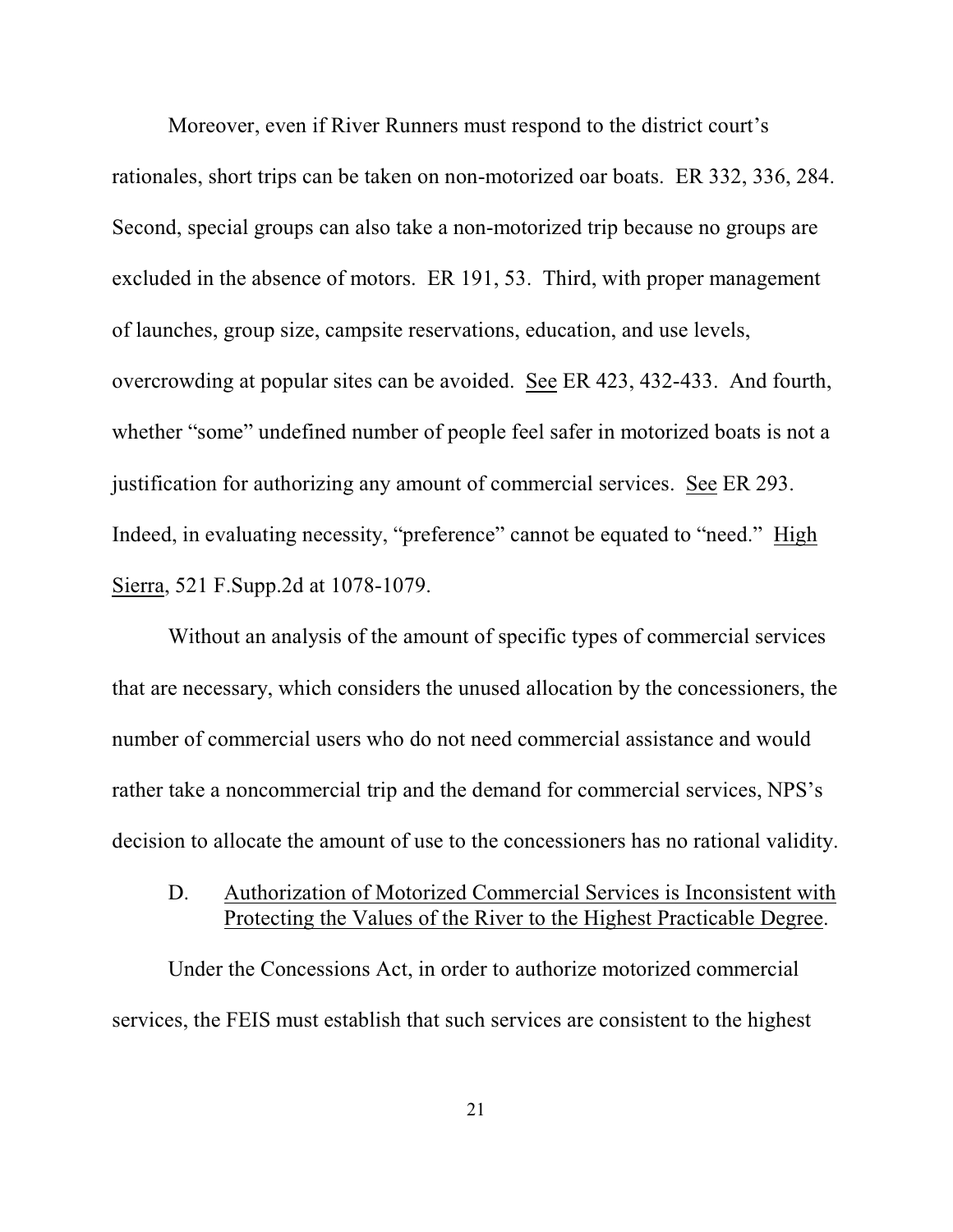Moreover, even if River Runners must respond to the district court's rationales, short trips can be taken on non-motorized oar boats. ER 332, 336, 284. Second, special groups can also take a non-motorized trip because no groups are excluded in the absence of motors. ER 191, 53. Third, with proper management of launches, group size, campsite reservations, education, and use levels, overcrowding at popular sites can be avoided. See ER 423, 432-433. And fourth, whether "some" undefined number of people feel safer in motorized boats is not a justification for authorizing any amount of commercial services. See ER 293. Indeed, in evaluating necessity, "preference" cannot be equated to "need." High Sierra, 521 F.Supp.2d at 1078-1079.

Without an analysis of the amount of specific types of commercial services that are necessary, which considers the unused allocation by the concessioners, the number of commercial users who do not need commercial assistance and would rather take a noncommercial trip and the demand for commercial services, NPS's decision to allocate the amount of use to the concessioners has no rational validity.

D. Authorization of Motorized Commercial Services is Inconsistent with Protecting the Values of the River to the Highest Practicable Degree.

Under the Concessions Act, in order to authorize motorized commercial services, the FEIS must establish that such services are consistent to the highest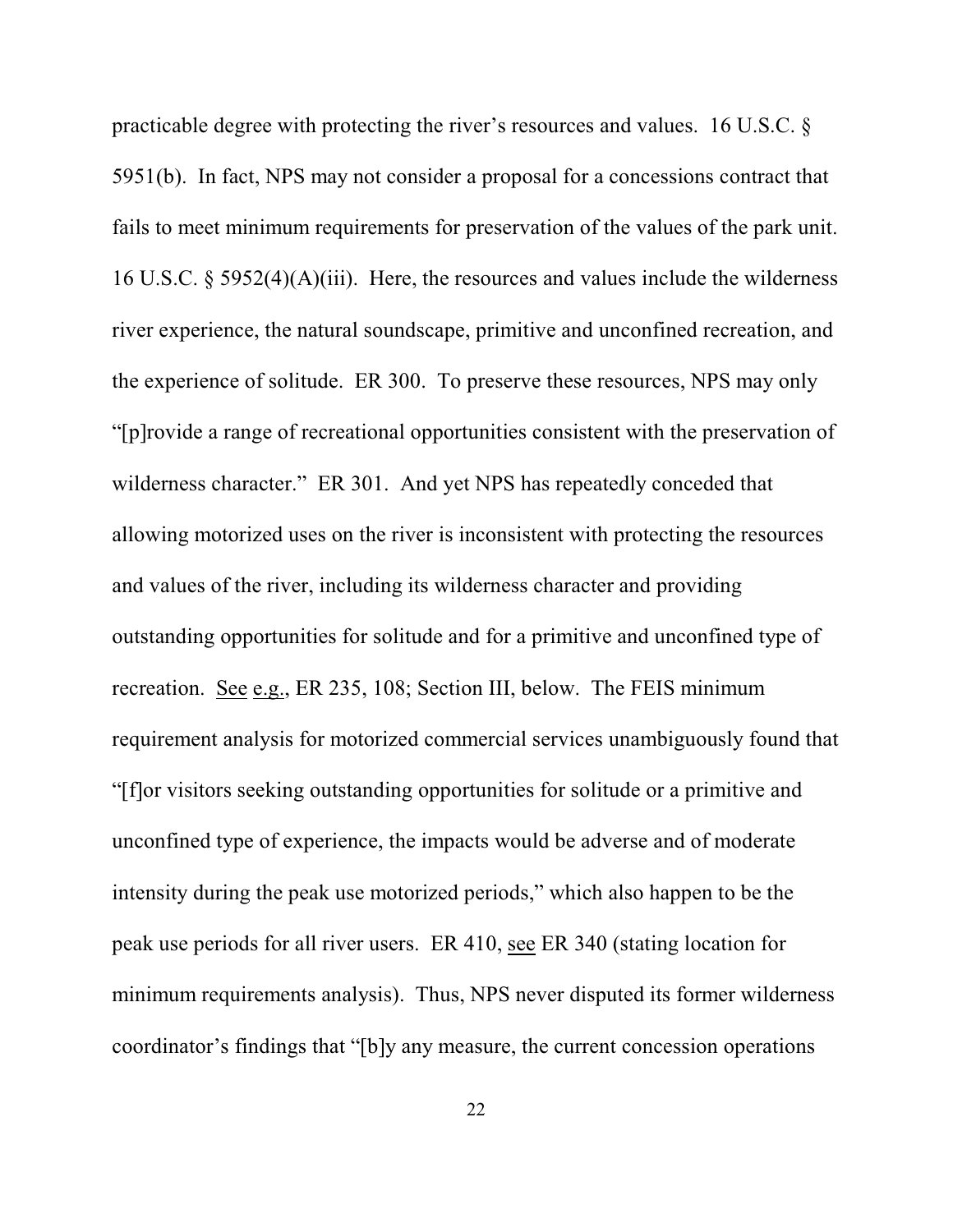practicable degree with protecting the river's resources and values. 16 U.S.C. § 5951(b). In fact, NPS may not consider a proposal for a concessions contract that fails to meet minimum requirements for preservation of the values of the park unit. 16 U.S.C. § 5952(4)(A)(iii). Here, the resources and values include the wilderness river experience, the natural soundscape, primitive and unconfined recreation, and the experience of solitude. ER 300. To preserve these resources, NPS may only "[p]rovide a range of recreational opportunities consistent with the preservation of wilderness character." ER 301. And yet NPS has repeatedly conceded that allowing motorized uses on the river is inconsistent with protecting the resources and values of the river, including its wilderness character and providing outstanding opportunities for solitude and for a primitive and unconfined type of recreation. See e.g., ER 235, 108; Section III, below. The FEIS minimum requirement analysis for motorized commercial services unambiguously found that "[f]or visitors seeking outstanding opportunities for solitude or a primitive and unconfined type of experience, the impacts would be adverse and of moderate intensity during the peak use motorized periods," which also happen to be the peak use periods for all river users. ER 410, see ER 340 (stating location for minimum requirements analysis). Thus, NPS never disputed its former wilderness coordinator's findings that "[b]y any measure, the current concession operations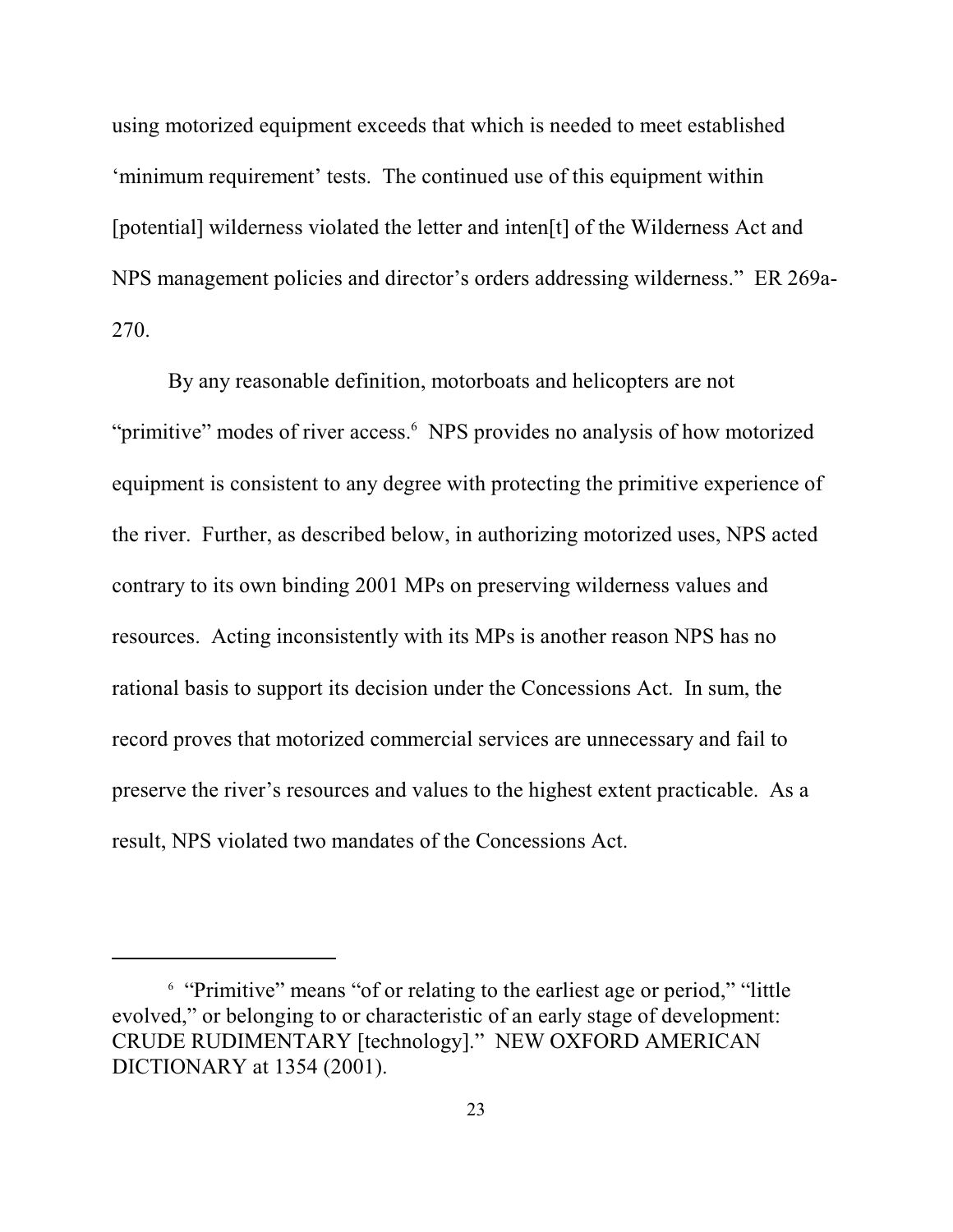using motorized equipment exceeds that which is needed to meet established 'minimum requirement' tests. The continued use of this equipment within [potential] wilderness violated the letter and inten[t] of the Wilderness Act and NPS management policies and director's orders addressing wilderness." ER 269a-270.

By any reasonable definition, motorboats and helicopters are not "primitive" modes of river access.<sup>6</sup> NPS provides no analysis of how motorized equipment is consistent to any degree with protecting the primitive experience of the river. Further, as described below, in authorizing motorized uses, NPS acted contrary to its own binding 2001 MPs on preserving wilderness values and resources. Acting inconsistently with its MPs is another reason NPS has no rational basis to support its decision under the Concessions Act. In sum, the record proves that motorized commercial services are unnecessary and fail to preserve the river's resources and values to the highest extent practicable. As a result, NPS violated two mandates of the Concessions Act.

<sup>&</sup>lt;sup>6</sup> "Primitive" means "of or relating to the earliest age or period," "little evolved," or belonging to or characteristic of an early stage of development: CRUDE RUDIMENTARY [technology]." NEW OXFORD AMERICAN DICTIONARY at 1354 (2001).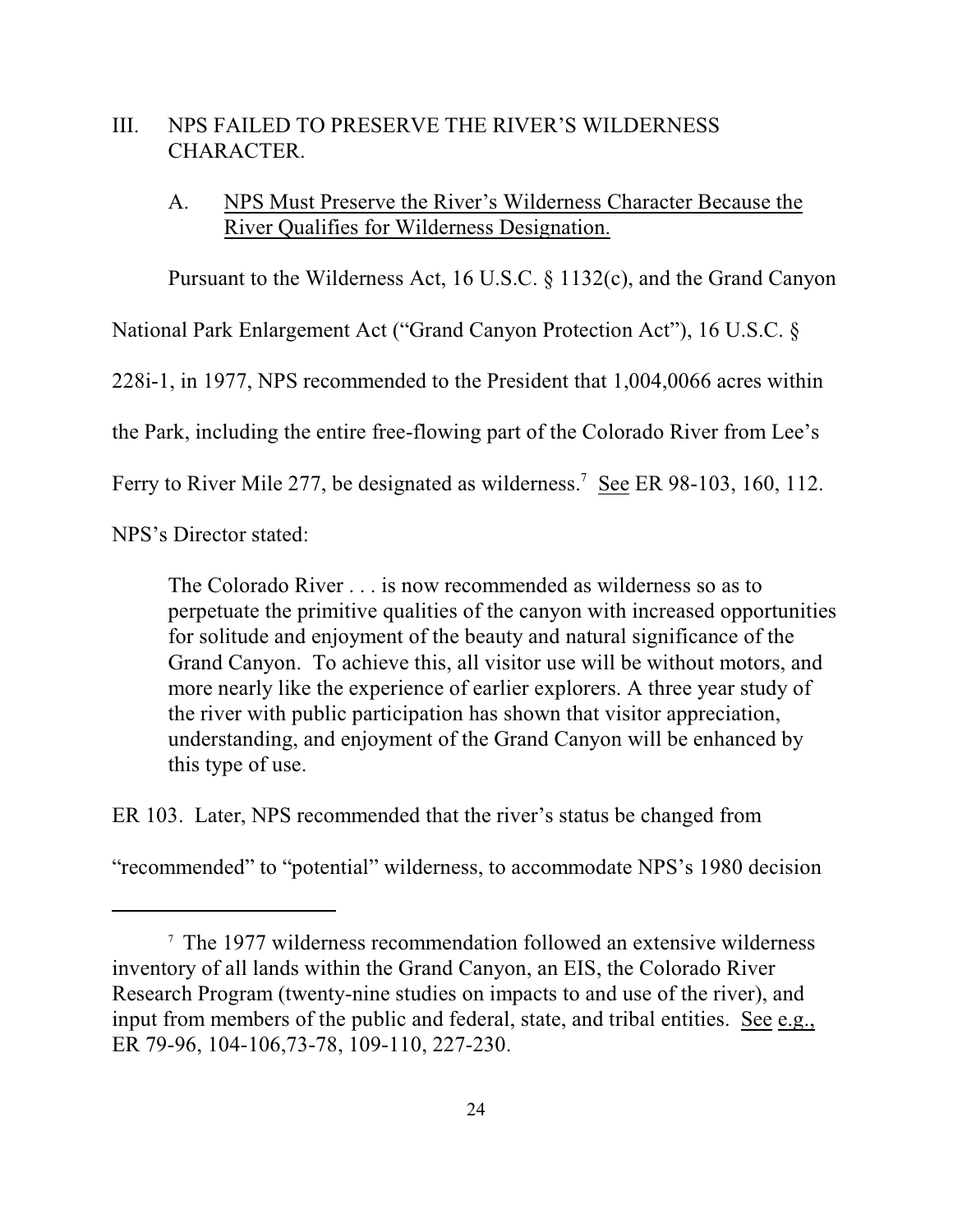### III. NPS FAILED TO PRESERVE THE RIVER'S WILDERNESS CHARACTER.

### A. NPS Must Preserve the River's Wilderness Character Because the River Qualifies for Wilderness Designation.

Pursuant to the Wilderness Act, 16 U.S.C. § 1132(c), and the Grand Canyon

National Park Enlargement Act ("Grand Canyon Protection Act"), 16 U.S.C. §

228i-1, in 1977, NPS recommended to the President that 1,004,0066 acres within

the Park, including the entire free-flowing part of the Colorado River from Lee's

Ferry to River Mile 277, be designated as wilderness.<sup>7</sup> See ER 98-103, 160, 112.

NPS's Director stated:

The Colorado River . . . is now recommended as wilderness so as to perpetuate the primitive qualities of the canyon with increased opportunities for solitude and enjoyment of the beauty and natural significance of the Grand Canyon. To achieve this, all visitor use will be without motors, and more nearly like the experience of earlier explorers. A three year study of the river with public participation has shown that visitor appreciation, understanding, and enjoyment of the Grand Canyon will be enhanced by this type of use.

ER 103. Later, NPS recommended that the river's status be changed from

"recommended" to "potential" wilderness, to accommodate NPS's 1980 decision

 $\frac{7}{7}$  The 1977 wilderness recommendation followed an extensive wilderness inventory of all lands within the Grand Canyon, an EIS, the Colorado River Research Program (twenty-nine studies on impacts to and use of the river), and input from members of the public and federal, state, and tribal entities. See e.g., ER 79-96, 104-106,73-78, 109-110, 227-230.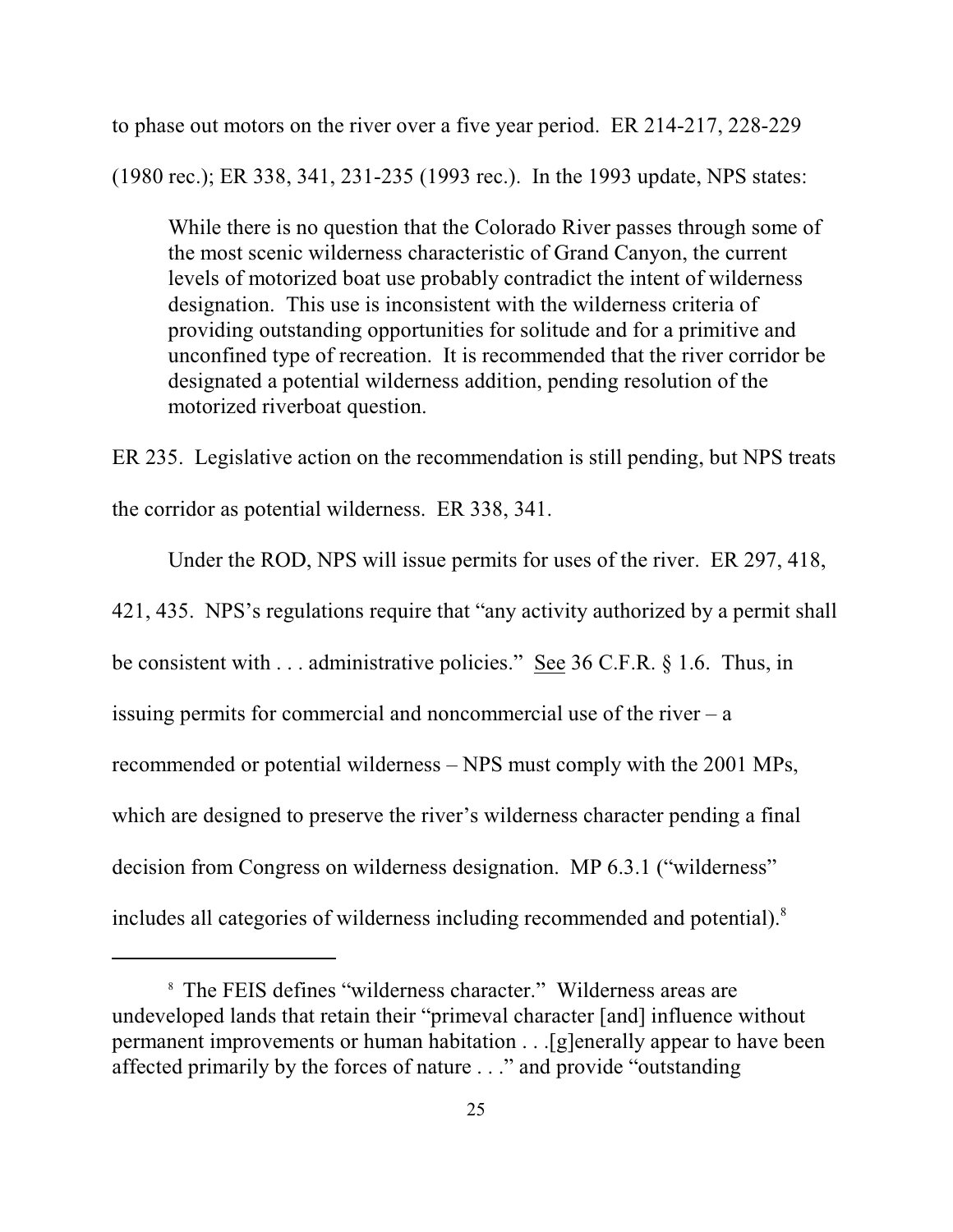to phase out motors on the river over a five year period. ER 214-217, 228-229

(1980 rec.); ER 338, 341, 231-235 (1993 rec.). In the 1993 update, NPS states:

While there is no question that the Colorado River passes through some of the most scenic wilderness characteristic of Grand Canyon, the current levels of motorized boat use probably contradict the intent of wilderness designation. This use is inconsistent with the wilderness criteria of providing outstanding opportunities for solitude and for a primitive and unconfined type of recreation. It is recommended that the river corridor be designated a potential wilderness addition, pending resolution of the motorized riverboat question.

ER 235. Legislative action on the recommendation is still pending, but NPS treats the corridor as potential wilderness. ER 338, 341.

Under the ROD, NPS will issue permits for uses of the river. ER 297, 418, 421, 435. NPS's regulations require that "any activity authorized by a permit shall be consistent with . . . administrative policies." See 36 C.F.R. § 1.6. Thus, in issuing permits for commercial and noncommercial use of the river  $-$  a recommended or potential wilderness – NPS must comply with the 2001 MPs, which are designed to preserve the river's wilderness character pending a final decision from Congress on wilderness designation. MP 6.3.1 ("wilderness" includes all categories of wilderness including recommended and potential).<sup>8</sup>

<sup>&</sup>lt;sup>8</sup> The FEIS defines "wilderness character." Wilderness areas are undeveloped lands that retain their "primeval character [and] influence without permanent improvements or human habitation . . .[g]enerally appear to have been affected primarily by the forces of nature . . ." and provide "outstanding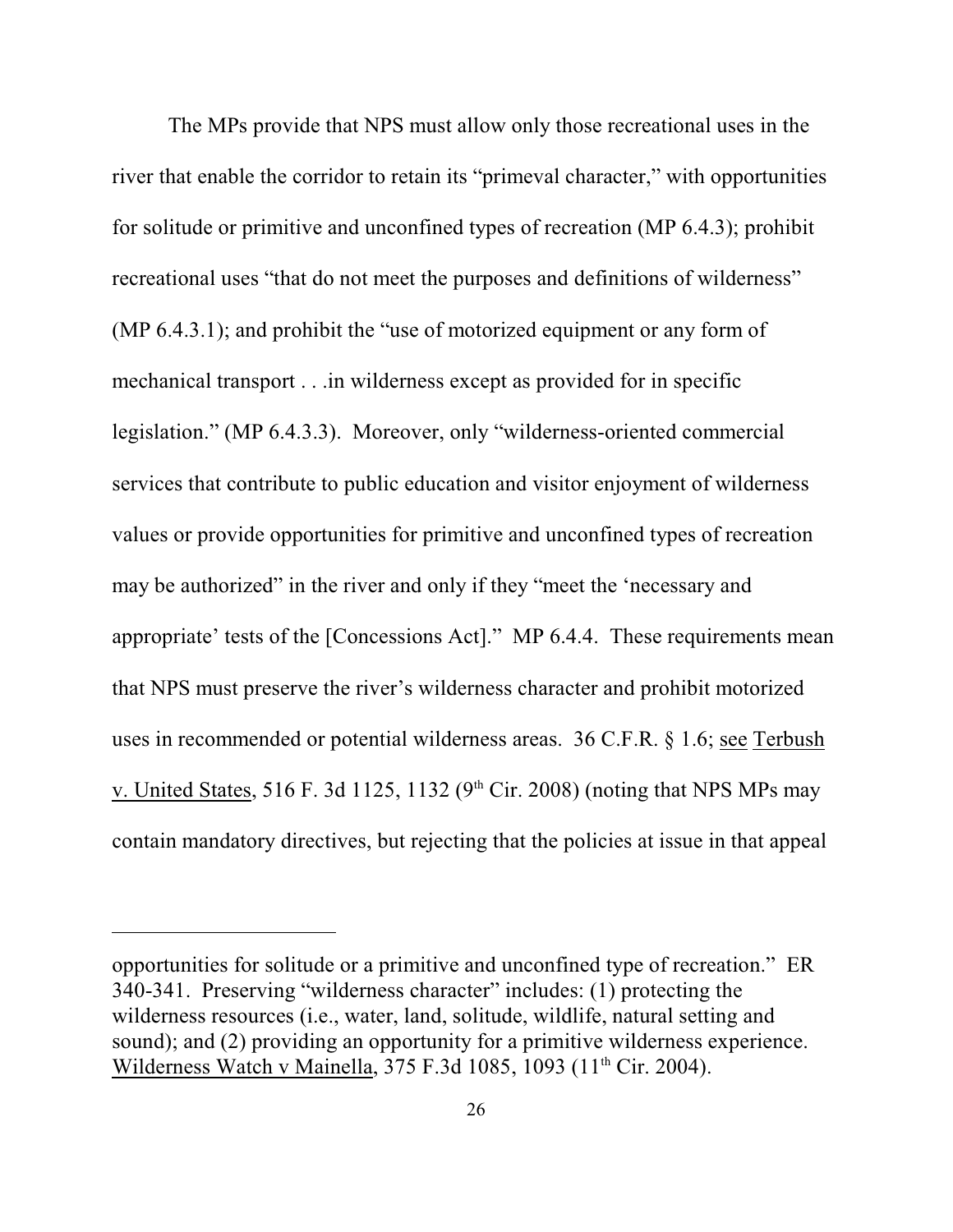The MPs provide that NPS must allow only those recreational uses in the river that enable the corridor to retain its "primeval character," with opportunities for solitude or primitive and unconfined types of recreation (MP 6.4.3); prohibit recreational uses "that do not meet the purposes and definitions of wilderness" (MP 6.4.3.1); and prohibit the "use of motorized equipment or any form of mechanical transport . . .in wilderness except as provided for in specific legislation." (MP 6.4.3.3). Moreover, only "wilderness-oriented commercial services that contribute to public education and visitor enjoyment of wilderness values or provide opportunities for primitive and unconfined types of recreation may be authorized" in the river and only if they "meet the 'necessary and appropriate' tests of the [Concessions Act]." MP 6.4.4. These requirements mean that NPS must preserve the river's wilderness character and prohibit motorized uses in recommended or potential wilderness areas. 36 C.F.R. § 1.6; see Terbush v. United States, 516 F. 3d 1125, 1132 ( $9<sup>th</sup>$  Cir. 2008) (noting that NPS MPs may contain mandatory directives, but rejecting that the policies at issue in that appeal

opportunities for solitude or a primitive and unconfined type of recreation." ER 340-341. Preserving "wilderness character" includes: (1) protecting the wilderness resources (i.e., water, land, solitude, wildlife, natural setting and sound); and (2) providing an opportunity for a primitive wilderness experience. Wilderness Watch v Mainella, 375 F.3d 1085, 1093 (11<sup>th</sup> Cir. 2004).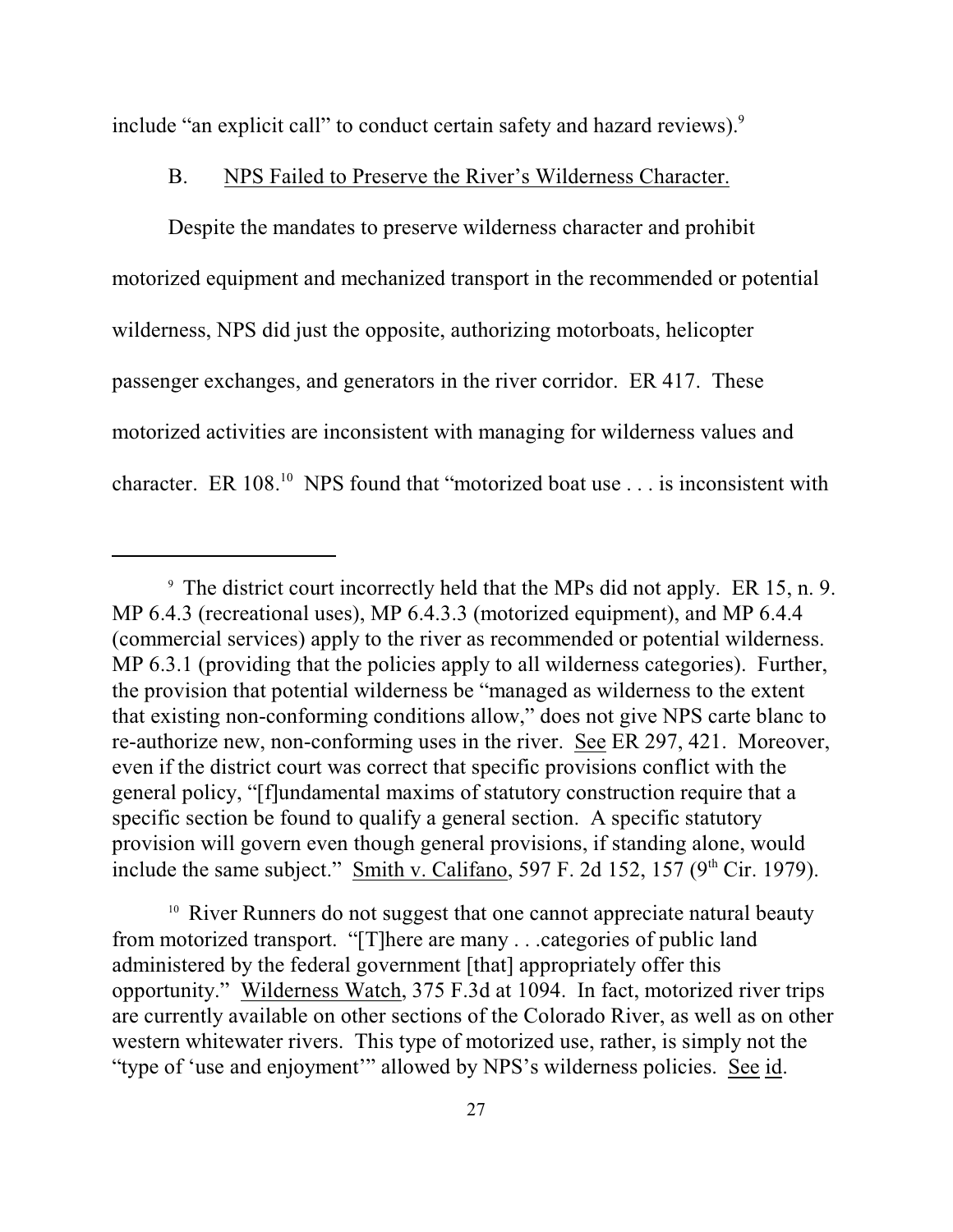include "an explicit call" to conduct certain safety and hazard reviews).<sup>9</sup>

#### B. NPS Failed to Preserve the River's Wilderness Character.

Despite the mandates to preserve wilderness character and prohibit motorized equipment and mechanized transport in the recommended or potential wilderness, NPS did just the opposite, authorizing motorboats, helicopter passenger exchanges, and generators in the river corridor. ER 417. These motorized activities are inconsistent with managing for wilderness values and character. ER  $108$ <sup>10</sup> NPS found that "motorized boat use . . . is inconsistent with

The district court incorrectly held that the MPs did not apply. ER 15, n. 9. 9 MP 6.4.3 (recreational uses), MP 6.4.3.3 (motorized equipment), and MP 6.4.4 (commercial services) apply to the river as recommended or potential wilderness. MP 6.3.1 (providing that the policies apply to all wilderness categories). Further, the provision that potential wilderness be "managed as wilderness to the extent that existing non-conforming conditions allow," does not give NPS carte blanc to re-authorize new, non-conforming uses in the river. See ER 297, 421. Moreover, even if the district court was correct that specific provisions conflict with the general policy, "[f]undamental maxims of statutory construction require that a specific section be found to qualify a general section. A specific statutory provision will govern even though general provisions, if standing alone, would include the same subject." Smith v. Califano, 597 F. 2d 152, 157 ( $9<sup>th</sup>$  Cir. 1979).

<sup>&</sup>lt;sup>10</sup> River Runners do not suggest that one cannot appreciate natural beauty from motorized transport. "[T]here are many . . .categories of public land administered by the federal government [that] appropriately offer this opportunity." Wilderness Watch, 375 F.3d at 1094. In fact, motorized river trips are currently available on other sections of the Colorado River, as well as on other western whitewater rivers. This type of motorized use, rather, is simply not the "type of 'use and enjoyment'" allowed by NPS's wilderness policies. See id.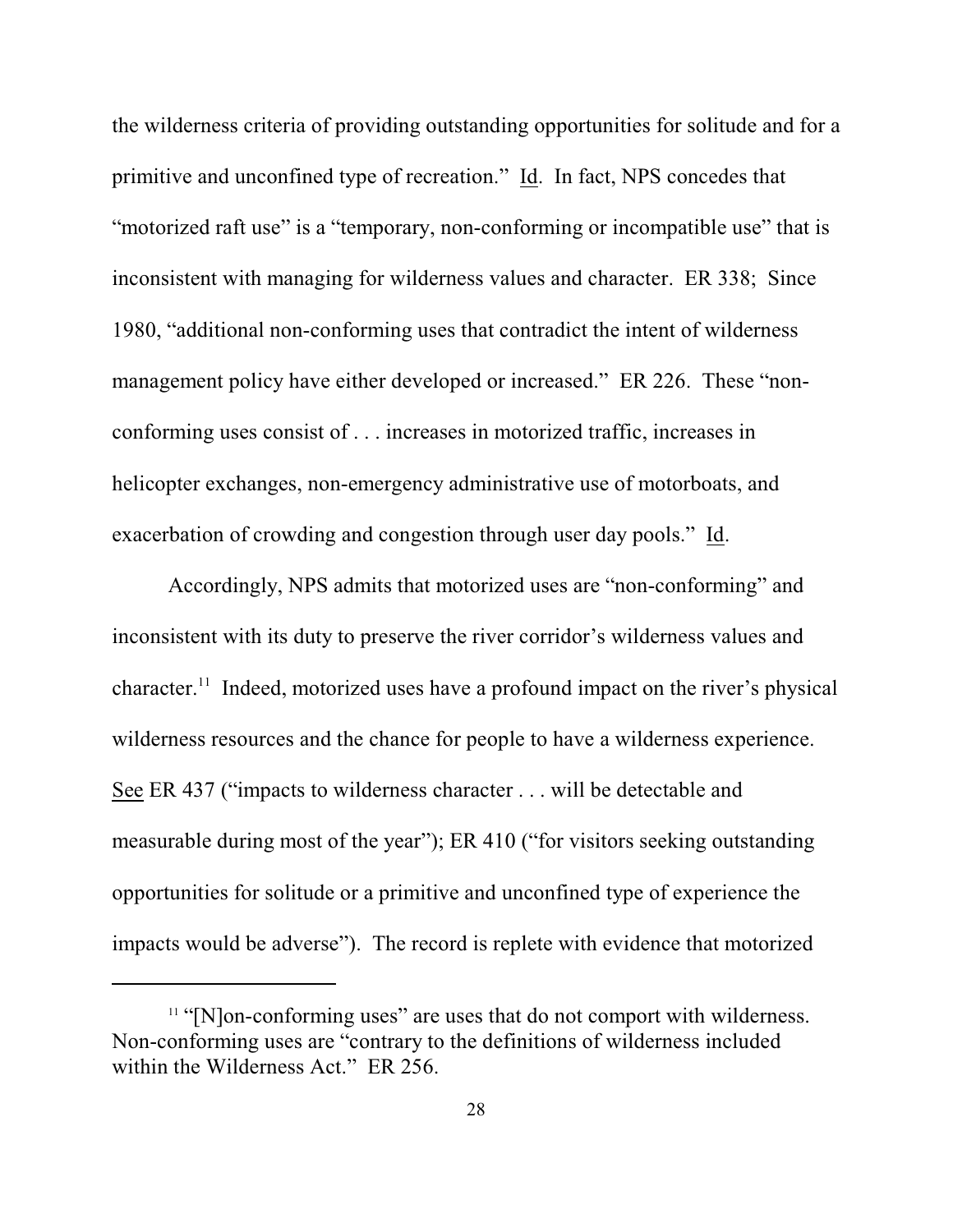the wilderness criteria of providing outstanding opportunities for solitude and for a primitive and unconfined type of recreation." Id. In fact, NPS concedes that "motorized raft use" is a "temporary, non-conforming or incompatible use" that is inconsistent with managing for wilderness values and character. ER 338; Since 1980, "additional non-conforming uses that contradict the intent of wilderness management policy have either developed or increased." ER 226. These "nonconforming uses consist of . . . increases in motorized traffic, increases in helicopter exchanges, non-emergency administrative use of motorboats, and exacerbation of crowding and congestion through user day pools." Id.

Accordingly, NPS admits that motorized uses are "non-conforming" and inconsistent with its duty to preserve the river corridor's wilderness values and character.<sup>11</sup> Indeed, motorized uses have a profound impact on the river's physical wilderness resources and the chance for people to have a wilderness experience. See ER 437 ("impacts to wilderness character . . . will be detectable and measurable during most of the year"); ER 410 ("for visitors seeking outstanding opportunities for solitude or a primitive and unconfined type of experience the impacts would be adverse"). The record is replete with evidence that motorized

 $<sup>11</sup>$  "[N]on-conforming uses" are uses that do not comport with wilderness.</sup> Non-conforming uses are "contrary to the definitions of wilderness included within the Wilderness Act." ER 256.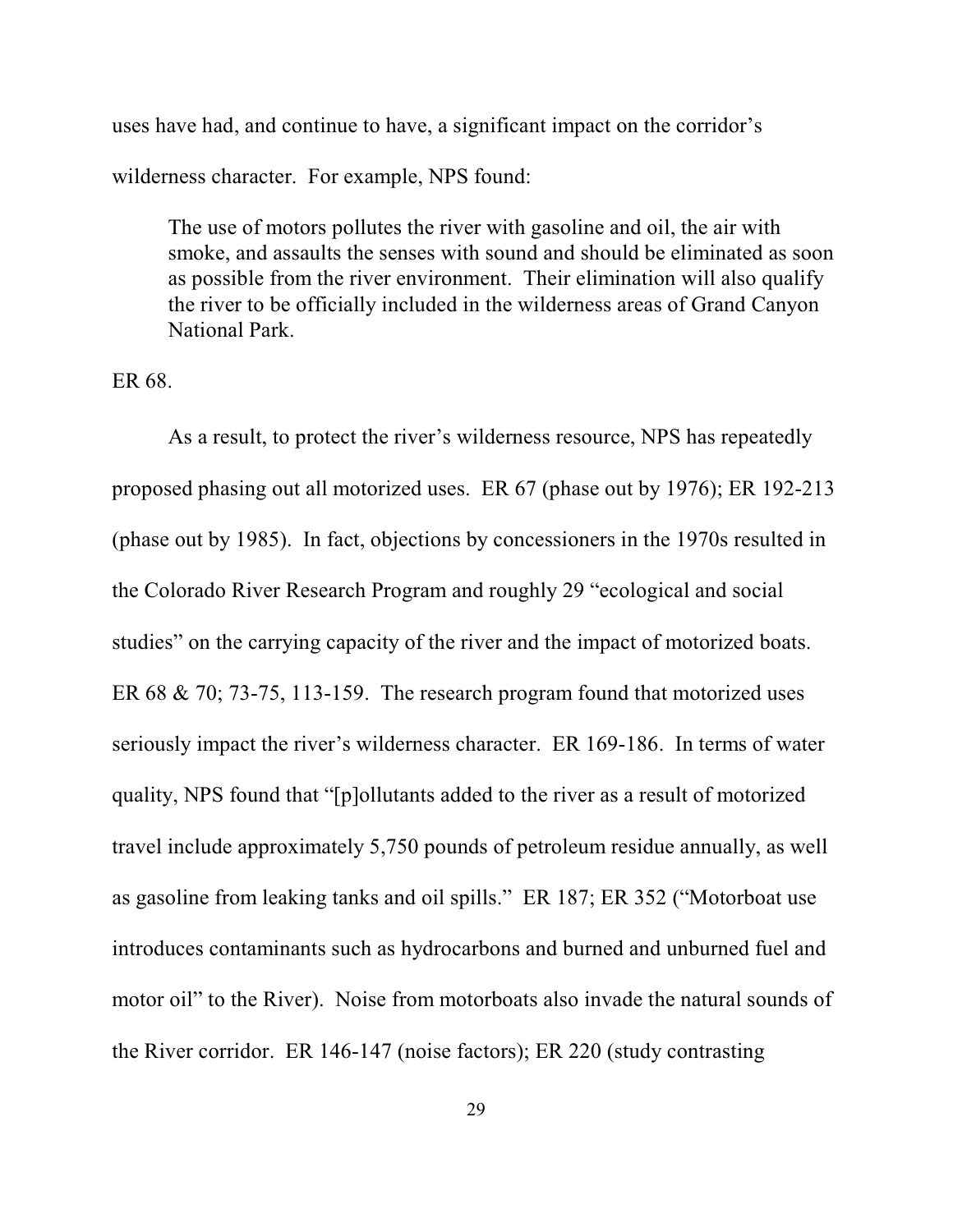uses have had, and continue to have, a significant impact on the corridor's wilderness character. For example, NPS found:

The use of motors pollutes the river with gasoline and oil, the air with smoke, and assaults the senses with sound and should be eliminated as soon as possible from the river environment. Their elimination will also qualify the river to be officially included in the wilderness areas of Grand Canyon National Park.

ER 68.

As a result, to protect the river's wilderness resource, NPS has repeatedly proposed phasing out all motorized uses. ER 67 (phase out by 1976); ER 192-213 (phase out by 1985). In fact, objections by concessioners in the 1970s resulted in the Colorado River Research Program and roughly 29 "ecological and social studies" on the carrying capacity of the river and the impact of motorized boats. ER 68 & 70; 73-75, 113-159. The research program found that motorized uses seriously impact the river's wilderness character. ER 169-186. In terms of water quality, NPS found that "[p]ollutants added to the river as a result of motorized travel include approximately 5,750 pounds of petroleum residue annually, as well as gasoline from leaking tanks and oil spills." ER 187; ER 352 ("Motorboat use introduces contaminants such as hydrocarbons and burned and unburned fuel and motor oil" to the River). Noise from motorboats also invade the natural sounds of the River corridor. ER 146-147 (noise factors); ER 220 (study contrasting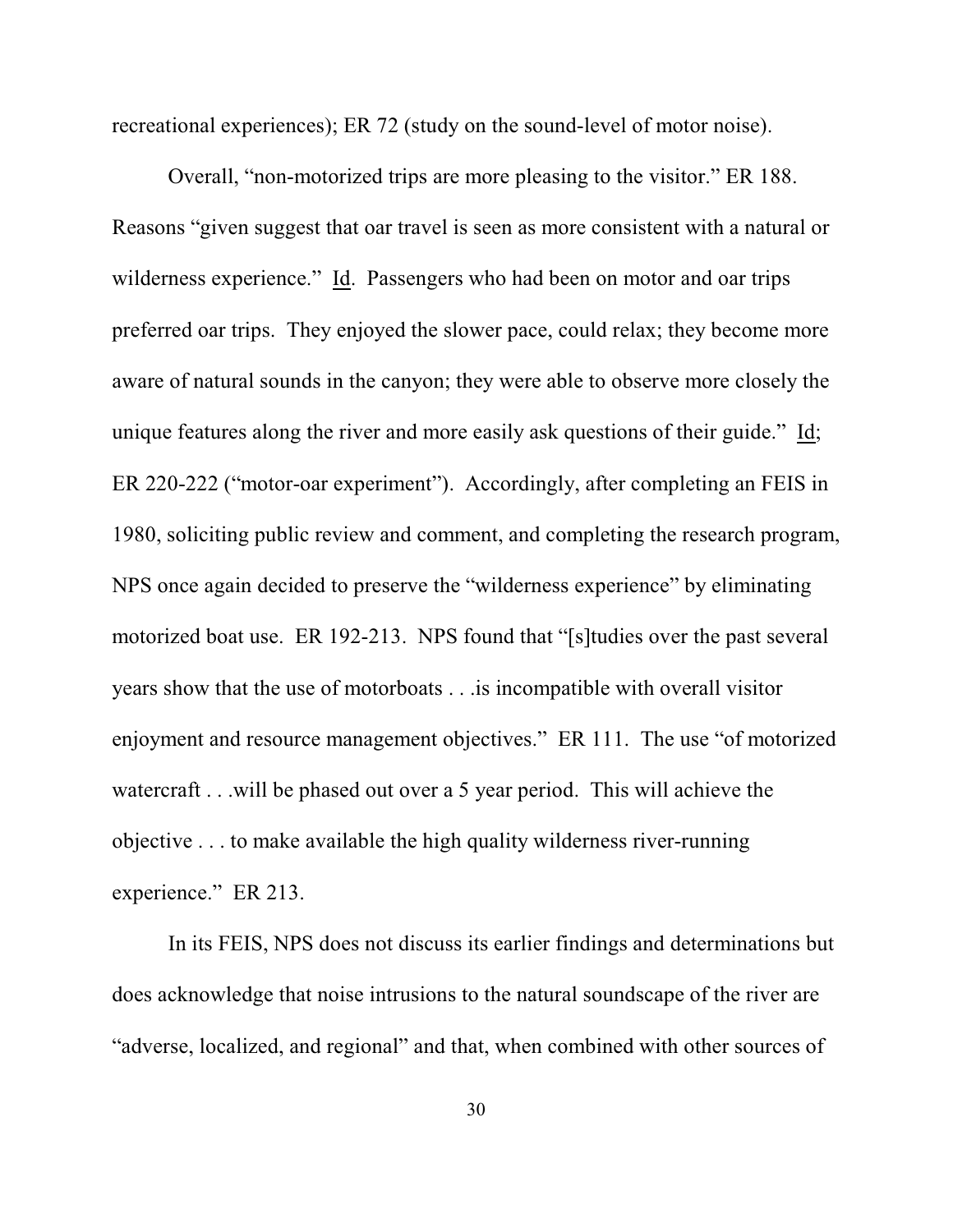recreational experiences); ER 72 (study on the sound-level of motor noise).

Overall, "non-motorized trips are more pleasing to the visitor." ER 188. Reasons "given suggest that oar travel is seen as more consistent with a natural or wilderness experience." Id. Passengers who had been on motor and oar trips preferred oar trips. They enjoyed the slower pace, could relax; they become more aware of natural sounds in the canyon; they were able to observe more closely the unique features along the river and more easily ask questions of their guide." Id; ER 220-222 ("motor-oar experiment"). Accordingly, after completing an FEIS in 1980, soliciting public review and comment, and completing the research program, NPS once again decided to preserve the "wilderness experience" by eliminating motorized boat use. ER 192-213. NPS found that "[s]tudies over the past several years show that the use of motorboats . . .is incompatible with overall visitor enjoyment and resource management objectives." ER 111. The use "of motorized watercraft . . .will be phased out over a 5 year period. This will achieve the objective . . . to make available the high quality wilderness river-running experience." ER 213.

In its FEIS, NPS does not discuss its earlier findings and determinations but does acknowledge that noise intrusions to the natural soundscape of the river are "adverse, localized, and regional" and that, when combined with other sources of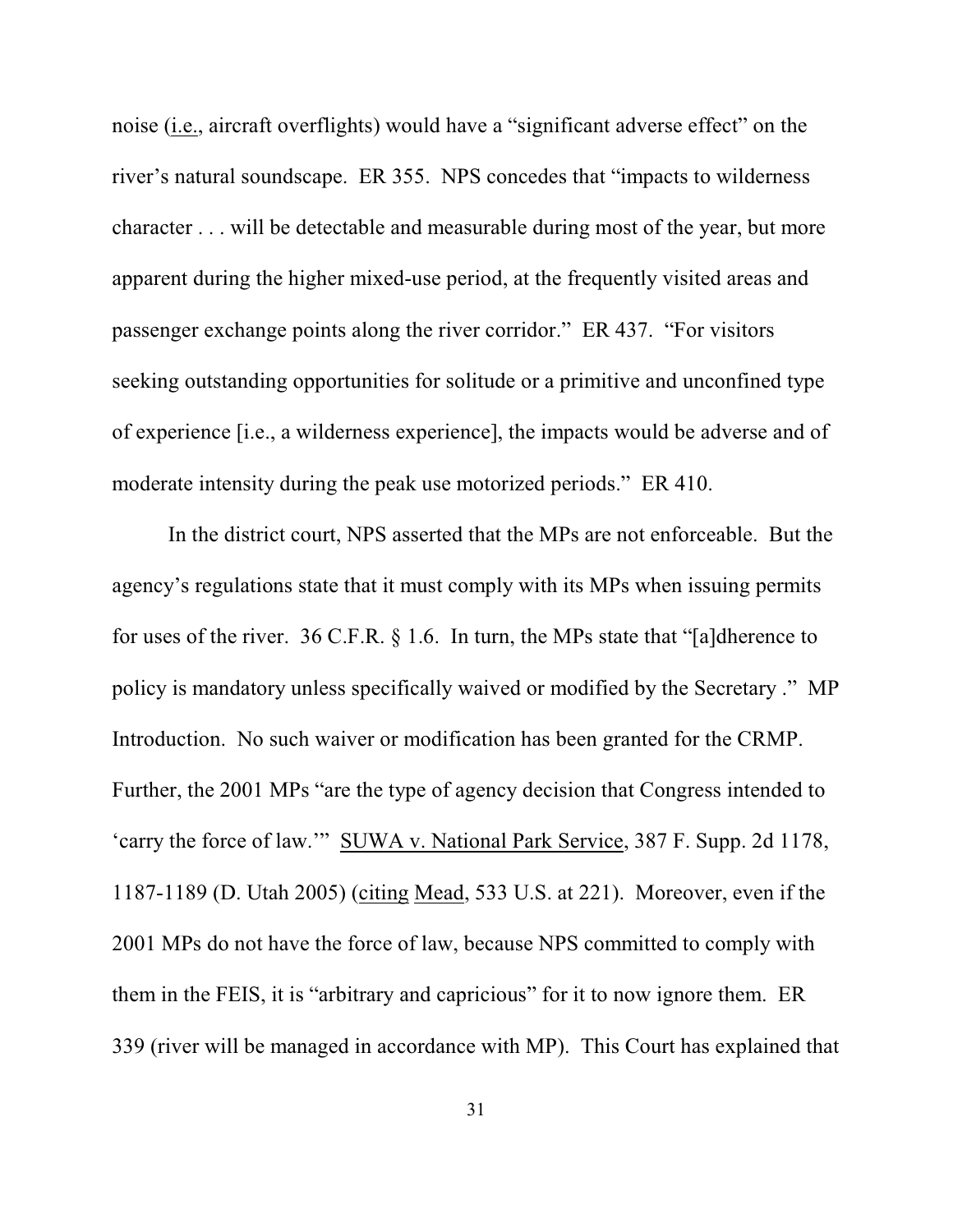noise (i.e., aircraft overflights) would have a "significant adverse effect" on the river's natural soundscape. ER 355. NPS concedes that "impacts to wilderness character . . . will be detectable and measurable during most of the year, but more apparent during the higher mixed-use period, at the frequently visited areas and passenger exchange points along the river corridor." ER 437. "For visitors seeking outstanding opportunities for solitude or a primitive and unconfined type of experience [i.e., a wilderness experience], the impacts would be adverse and of moderate intensity during the peak use motorized periods." ER 410.

In the district court, NPS asserted that the MPs are not enforceable. But the agency's regulations state that it must comply with its MPs when issuing permits for uses of the river. 36 C.F.R. § 1.6. In turn, the MPs state that "[a]dherence to policy is mandatory unless specifically waived or modified by the Secretary ." MP Introduction. No such waiver or modification has been granted for the CRMP. Further, the 2001 MPs "are the type of agency decision that Congress intended to 'carry the force of law.'" SUWA v. National Park Service, 387 F. Supp. 2d 1178, 1187-1189 (D. Utah 2005) (citing Mead, 533 U.S. at 221). Moreover, even if the 2001 MPs do not have the force of law, because NPS committed to comply with them in the FEIS, it is "arbitrary and capricious" for it to now ignore them. ER 339 (river will be managed in accordance with MP). This Court has explained that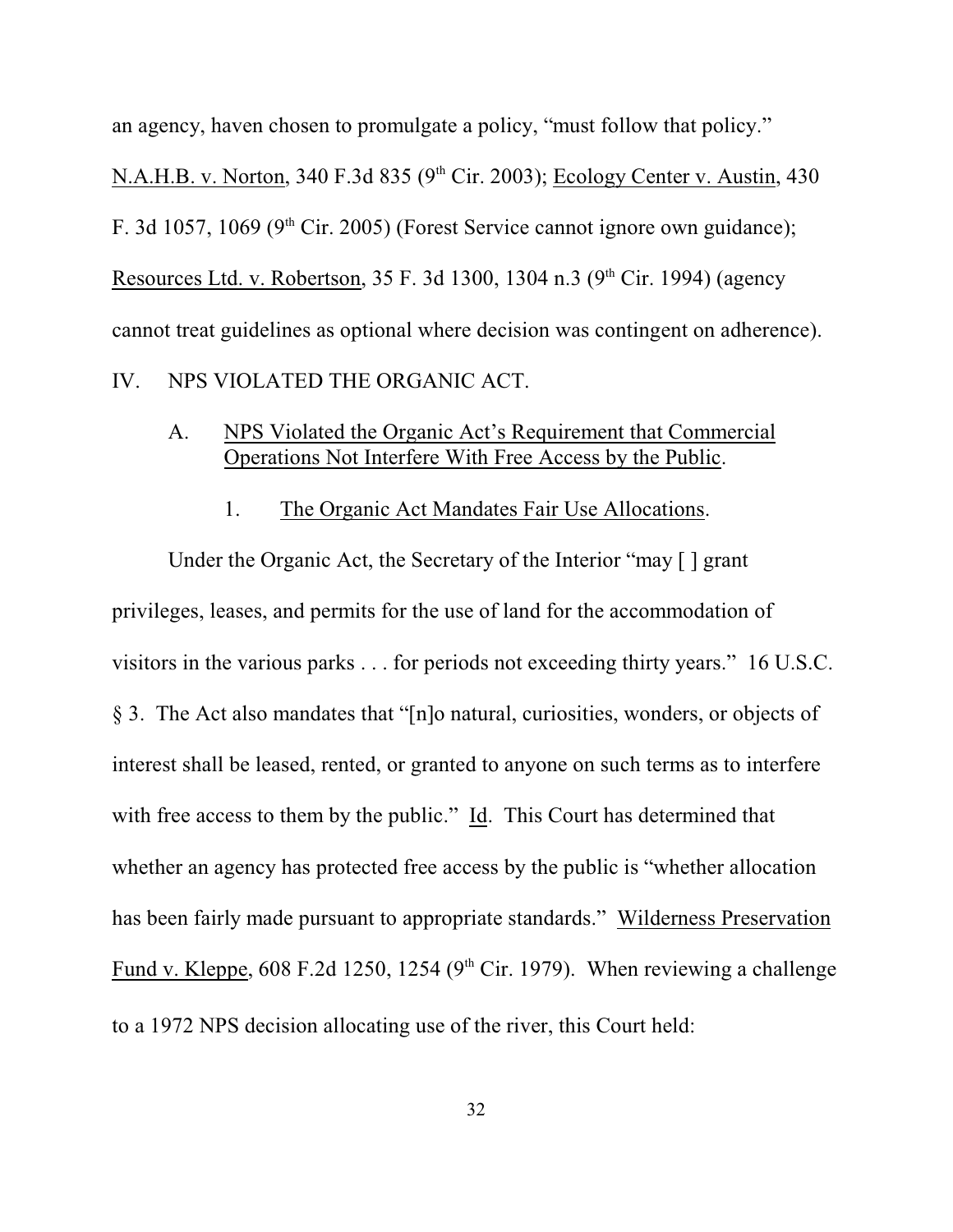an agency, haven chosen to promulgate a policy, "must follow that policy."

N.A.H.B. v. Norton, 340 F.3d 835 ( $9<sup>th</sup>$  Cir. 2003); Ecology Center v. Austin, 430 F. 3d 1057, 1069 ( $9<sup>th</sup>$  Cir. 2005) (Forest Service cannot ignore own guidance); Resources Ltd. v. Robertson, 35 F. 3d 1300, 1304 n.3 (9<sup>th</sup> Cir. 1994) (agency cannot treat guidelines as optional where decision was contingent on adherence).

IV. NPS VIOLATED THE ORGANIC ACT.

## A. NPS Violated the Organic Act's Requirement that Commercial Operations Not Interfere With Free Access by the Public.

1. The Organic Act Mandates Fair Use Allocations.

Under the Organic Act, the Secretary of the Interior "may [ ] grant privileges, leases, and permits for the use of land for the accommodation of visitors in the various parks . . . for periods not exceeding thirty years." 16 U.S.C. § 3. The Act also mandates that "[n]o natural, curiosities, wonders, or objects of interest shall be leased, rented, or granted to anyone on such terms as to interfere with free access to them by the public." Id. This Court has determined that whether an agency has protected free access by the public is "whether allocation has been fairly made pursuant to appropriate standards." Wilderness Preservation Fund v. Kleppe, 608 F.2d 1250, 1254 ( $9<sup>th</sup>$  Cir. 1979). When reviewing a challenge to a 1972 NPS decision allocating use of the river, this Court held: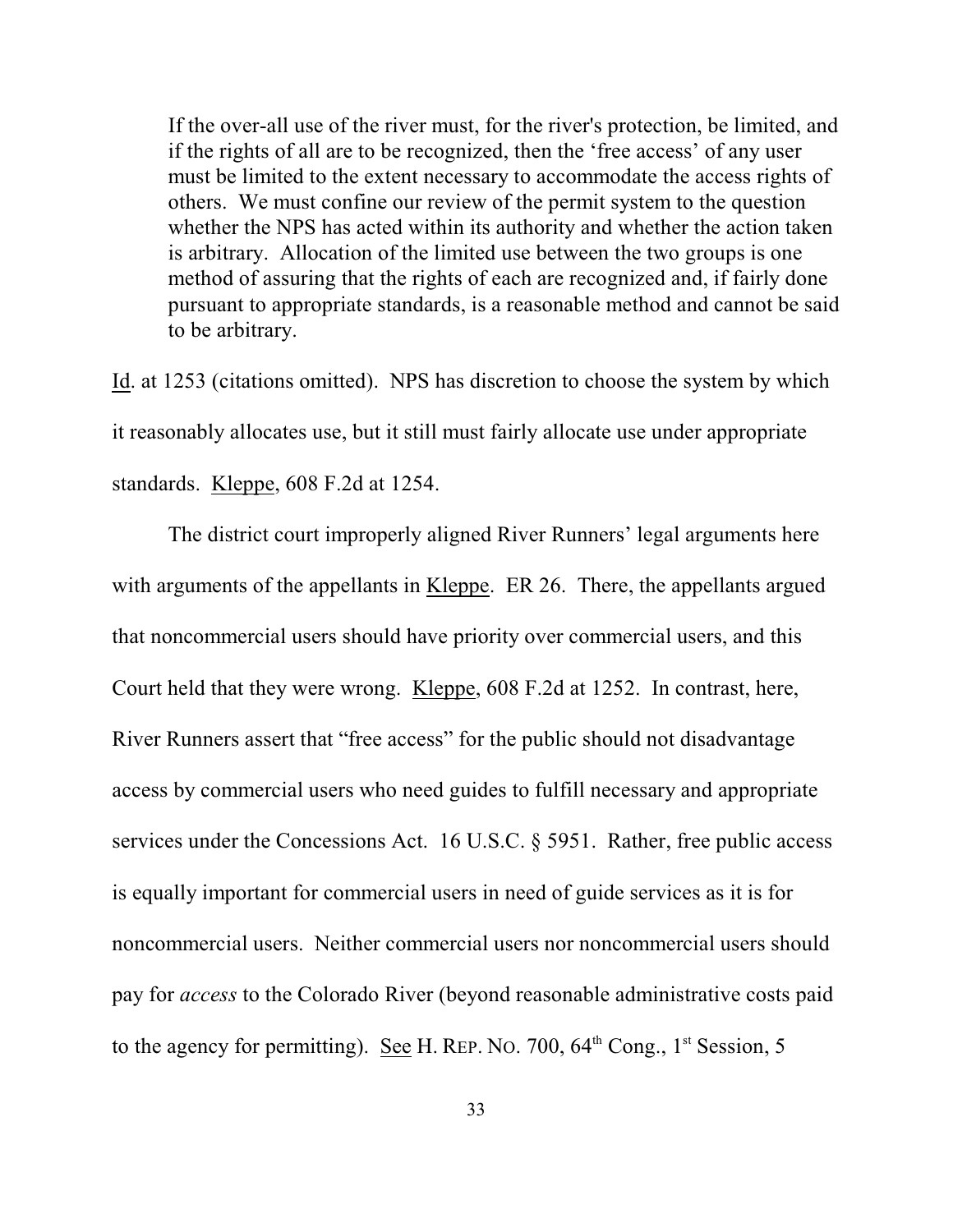If the over-all use of the river must, for the river's protection, be limited, and if the rights of all are to be recognized, then the 'free access' of any user must be limited to the extent necessary to accommodate the access rights of others. We must confine our review of the permit system to the question whether the NPS has acted within its authority and whether the action taken is arbitrary. Allocation of the limited use between the two groups is one method of assuring that the rights of each are recognized and, if fairly done pursuant to appropriate standards, is a reasonable method and cannot be said to be arbitrary.

Id. at 1253 (citations omitted). NPS has discretion to choose the system by which it reasonably allocates use, but it still must fairly allocate use under appropriate standards. Kleppe, 608 F.2d at 1254.

The district court improperly aligned River Runners' legal arguments here with arguments of the appellants in Kleppe. ER 26. There, the appellants argued that noncommercial users should have priority over commercial users, and this Court held that they were wrong. Kleppe, 608 F.2d at 1252. In contrast, here, River Runners assert that "free access" for the public should not disadvantage access by commercial users who need guides to fulfill necessary and appropriate services under the Concessions Act. 16 U.S.C. § 5951. Rather, free public access is equally important for commercial users in need of guide services as it is for noncommercial users. Neither commercial users nor noncommercial users should pay for *access* to the Colorado River (beyond reasonable administrative costs paid to the agency for permitting). See H. REP. No. 700,  $64<sup>th</sup>$  Cong.,  $1<sup>st</sup>$  Session, 5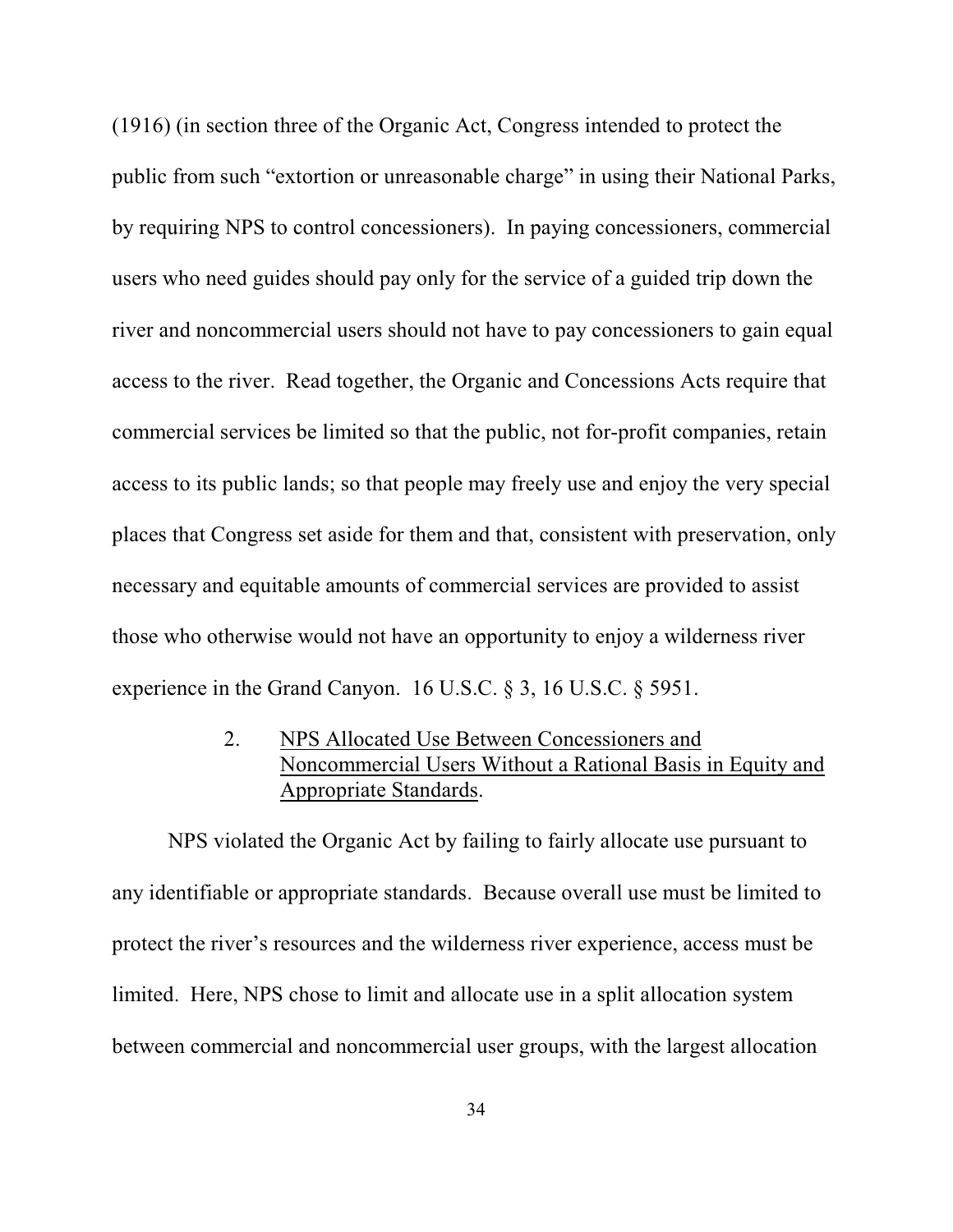(1916) (in section three of the Organic Act, Congress intended to protect the public from such "extortion or unreasonable charge" in using their National Parks, by requiring NPS to control concessioners). In paying concessioners, commercial users who need guides should pay only for the service of a guided trip down the river and noncommercial users should not have to pay concessioners to gain equal access to the river. Read together, the Organic and Concessions Acts require that commercial services be limited so that the public, not for-profit companies, retain access to its public lands; so that people may freely use and enjoy the very special places that Congress set aside for them and that, consistent with preservation, only necessary and equitable amounts of commercial services are provided to assist those who otherwise would not have an opportunity to enjoy a wilderness river experience in the Grand Canyon. 16 U.S.C. § 3, 16 U.S.C. § 5951.

> 2. NPS Allocated Use Between Concessioners and Noncommercial Users Without a Rational Basis in Equity and Appropriate Standards.

NPS violated the Organic Act by failing to fairly allocate use pursuant to any identifiable or appropriate standards. Because overall use must be limited to protect the river's resources and the wilderness river experience, access must be limited. Here, NPS chose to limit and allocate use in a split allocation system between commercial and noncommercial user groups, with the largest allocation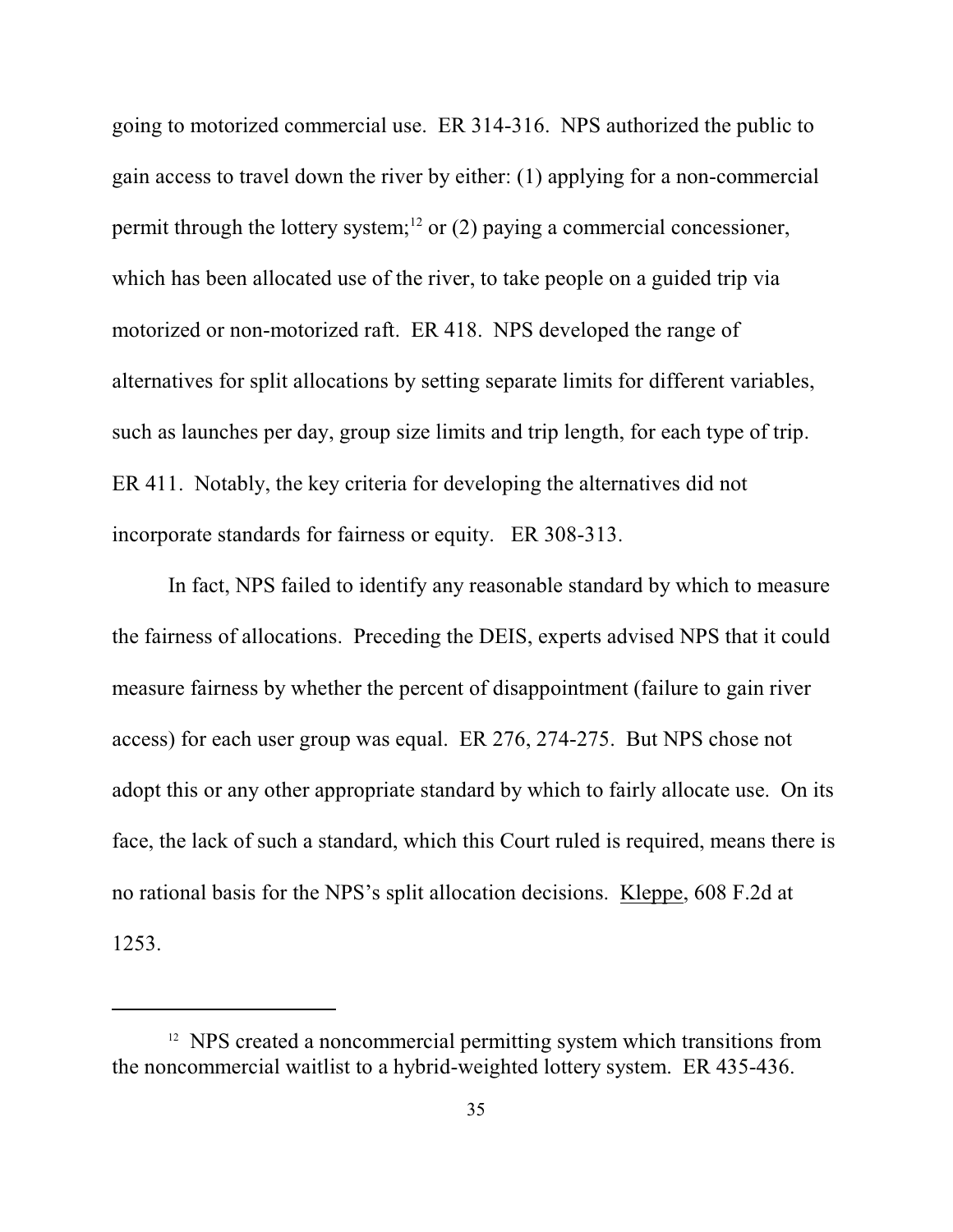going to motorized commercial use. ER 314-316. NPS authorized the public to gain access to travel down the river by either: (1) applying for a non-commercial permit through the lottery system;<sup>12</sup> or (2) paying a commercial concessioner, which has been allocated use of the river, to take people on a guided trip via motorized or non-motorized raft. ER 418. NPS developed the range of alternatives for split allocations by setting separate limits for different variables, such as launches per day, group size limits and trip length, for each type of trip. ER 411. Notably, the key criteria for developing the alternatives did not incorporate standards for fairness or equity. ER 308-313.

In fact, NPS failed to identify any reasonable standard by which to measure the fairness of allocations. Preceding the DEIS, experts advised NPS that it could measure fairness by whether the percent of disappointment (failure to gain river access) for each user group was equal. ER 276, 274-275. But NPS chose not adopt this or any other appropriate standard by which to fairly allocate use. On its face, the lack of such a standard, which this Court ruled is required, means there is no rational basis for the NPS's split allocation decisions. Kleppe, 608 F.2d at

1253.

<sup>&</sup>lt;sup>12</sup> NPS created a noncommercial permitting system which transitions from the noncommercial waitlist to a hybrid-weighted lottery system. ER 435-436.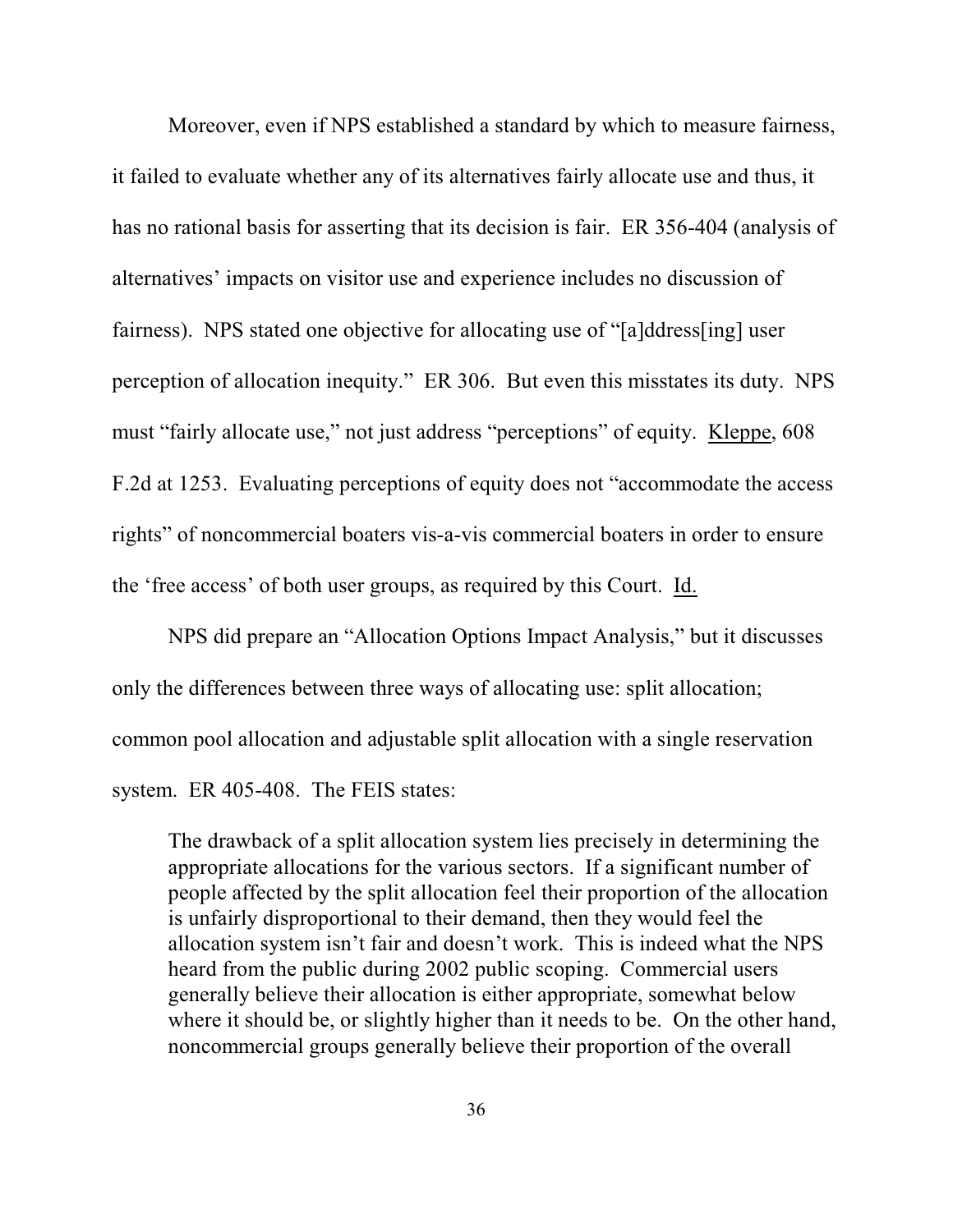Moreover, even if NPS established a standard by which to measure fairness, it failed to evaluate whether any of its alternatives fairly allocate use and thus, it has no rational basis for asserting that its decision is fair. ER 356-404 (analysis of alternatives' impacts on visitor use and experience includes no discussion of fairness). NPS stated one objective for allocating use of "[a]ddress[ing] user perception of allocation inequity." ER 306. But even this misstates its duty. NPS must "fairly allocate use," not just address "perceptions" of equity. Kleppe, 608 F.2d at 1253. Evaluating perceptions of equity does not "accommodate the access rights" of noncommercial boaters vis-a-vis commercial boaters in order to ensure the 'free access' of both user groups, as required by this Court. Id.

NPS did prepare an "Allocation Options Impact Analysis," but it discusses only the differences between three ways of allocating use: split allocation; common pool allocation and adjustable split allocation with a single reservation system. ER 405-408. The FEIS states:

The drawback of a split allocation system lies precisely in determining the appropriate allocations for the various sectors. If a significant number of people affected by the split allocation feel their proportion of the allocation is unfairly disproportional to their demand, then they would feel the allocation system isn't fair and doesn't work. This is indeed what the NPS heard from the public during 2002 public scoping. Commercial users generally believe their allocation is either appropriate, somewhat below where it should be, or slightly higher than it needs to be. On the other hand, noncommercial groups generally believe their proportion of the overall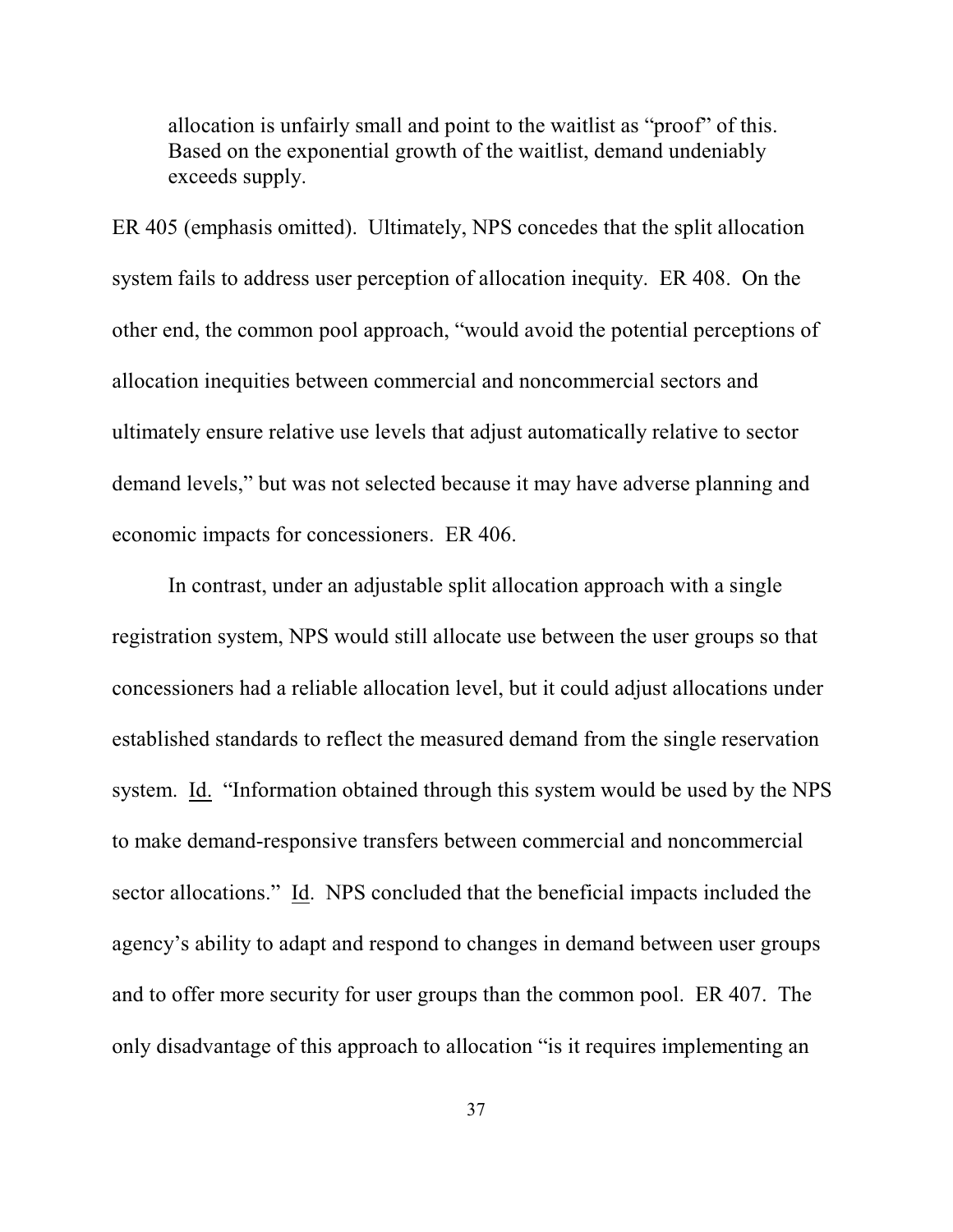allocation is unfairly small and point to the waitlist as "proof" of this. Based on the exponential growth of the waitlist, demand undeniably exceeds supply.

ER 405 (emphasis omitted). Ultimately, NPS concedes that the split allocation system fails to address user perception of allocation inequity. ER 408. On the other end, the common pool approach, "would avoid the potential perceptions of allocation inequities between commercial and noncommercial sectors and ultimately ensure relative use levels that adjust automatically relative to sector demand levels," but was not selected because it may have adverse planning and economic impacts for concessioners. ER 406.

In contrast, under an adjustable split allocation approach with a single registration system, NPS would still allocate use between the user groups so that concessioners had a reliable allocation level, but it could adjust allocations under established standards to reflect the measured demand from the single reservation system. Id. "Information obtained through this system would be used by the NPS to make demand-responsive transfers between commercial and noncommercial sector allocations." Id. NPS concluded that the beneficial impacts included the agency's ability to adapt and respond to changes in demand between user groups and to offer more security for user groups than the common pool. ER 407. The only disadvantage of this approach to allocation "is it requires implementing an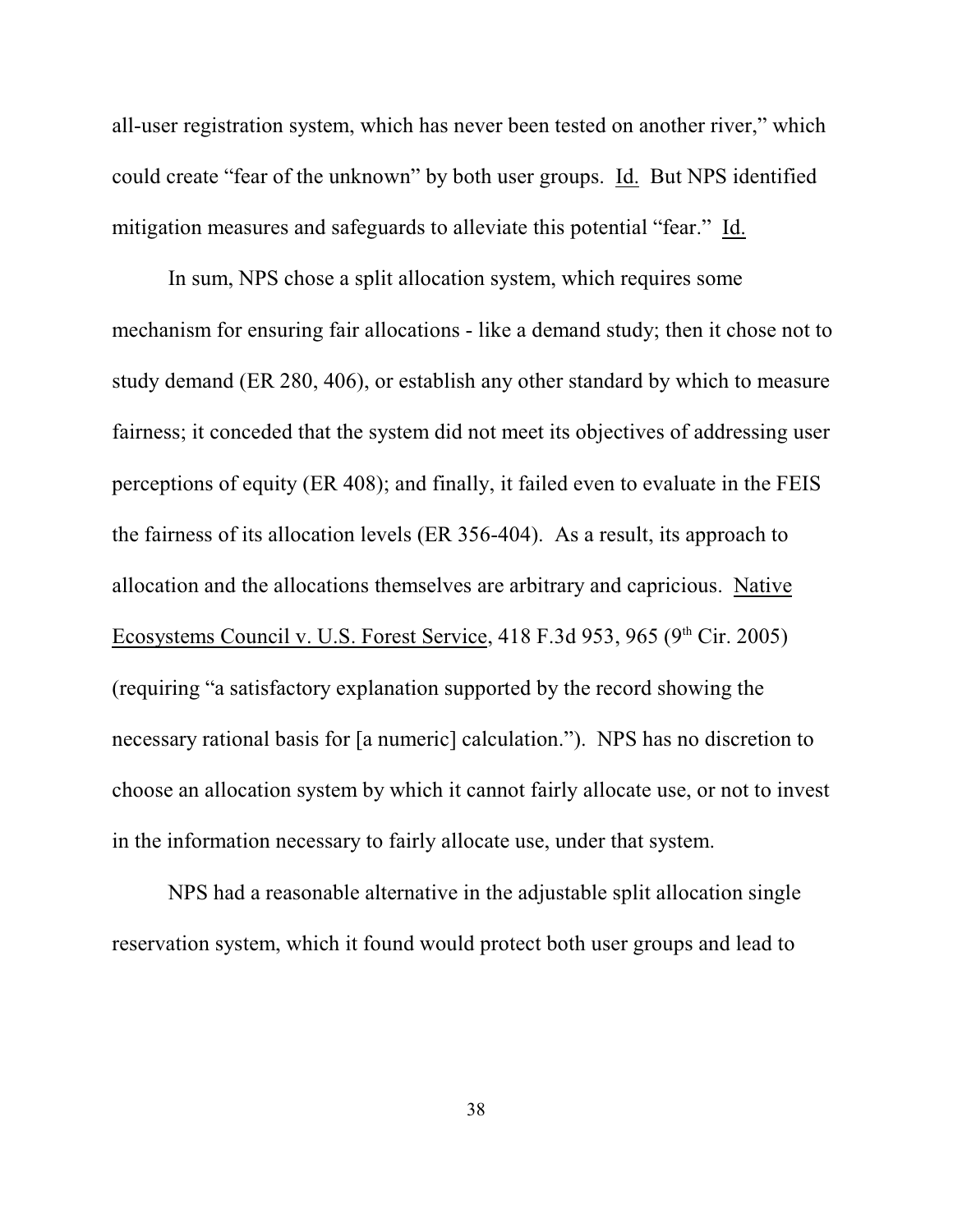all-user registration system, which has never been tested on another river," which could create "fear of the unknown" by both user groups. Id. But NPS identified mitigation measures and safeguards to alleviate this potential "fear." Id.

In sum, NPS chose a split allocation system, which requires some mechanism for ensuring fair allocations - like a demand study; then it chose not to study demand (ER 280, 406), or establish any other standard by which to measure fairness; it conceded that the system did not meet its objectives of addressing user perceptions of equity (ER 408); and finally, it failed even to evaluate in the FEIS the fairness of its allocation levels (ER 356-404). As a result, its approach to allocation and the allocations themselves are arbitrary and capricious. Native Ecosystems Council v. U.S. Forest Service,  $418$  F.3d 953, 965 (9<sup>th</sup> Cir. 2005) (requiring "a satisfactory explanation supported by the record showing the necessary rational basis for [a numeric] calculation."). NPS has no discretion to choose an allocation system by which it cannot fairly allocate use, or not to invest in the information necessary to fairly allocate use, under that system.

NPS had a reasonable alternative in the adjustable split allocation single reservation system, which it found would protect both user groups and lead to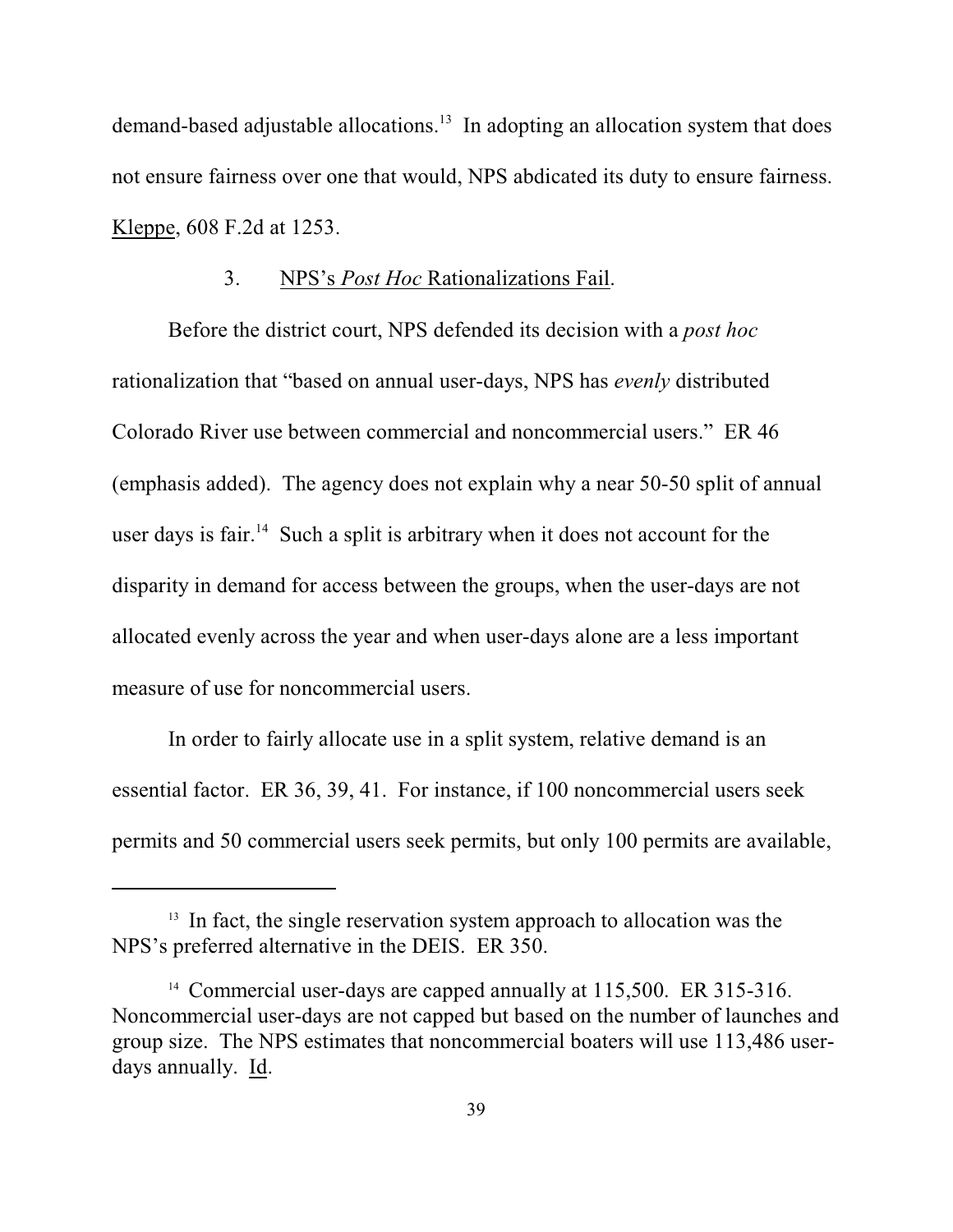demand-based adjustable allocations.<sup>13</sup> In adopting an allocation system that does not ensure fairness over one that would, NPS abdicated its duty to ensure fairness. Kleppe, 608 F.2d at 1253.

#### 3. NPS's *Post Hoc* Rationalizations Fail.

Before the district court, NPS defended its decision with a *post hoc* rationalization that "based on annual user-days, NPS has *evenly* distributed Colorado River use between commercial and noncommercial users." ER 46 (emphasis added). The agency does not explain why a near 50-50 split of annual user days is fair.<sup>14</sup> Such a split is arbitrary when it does not account for the disparity in demand for access between the groups, when the user-days are not allocated evenly across the year and when user-days alone are a less important measure of use for noncommercial users.

In order to fairly allocate use in a split system, relative demand is an essential factor. ER 36, 39, 41. For instance, if 100 noncommercial users seek permits and 50 commercial users seek permits, but only 100 permits are available,

 $13$  In fact, the single reservation system approach to allocation was the NPS's preferred alternative in the DEIS. ER 350.

<sup>&</sup>lt;sup>14</sup> Commercial user-days are capped annually at 115,500. ER 315-316. Noncommercial user-days are not capped but based on the number of launches and group size. The NPS estimates that noncommercial boaters will use 113,486 userdays annually. Id.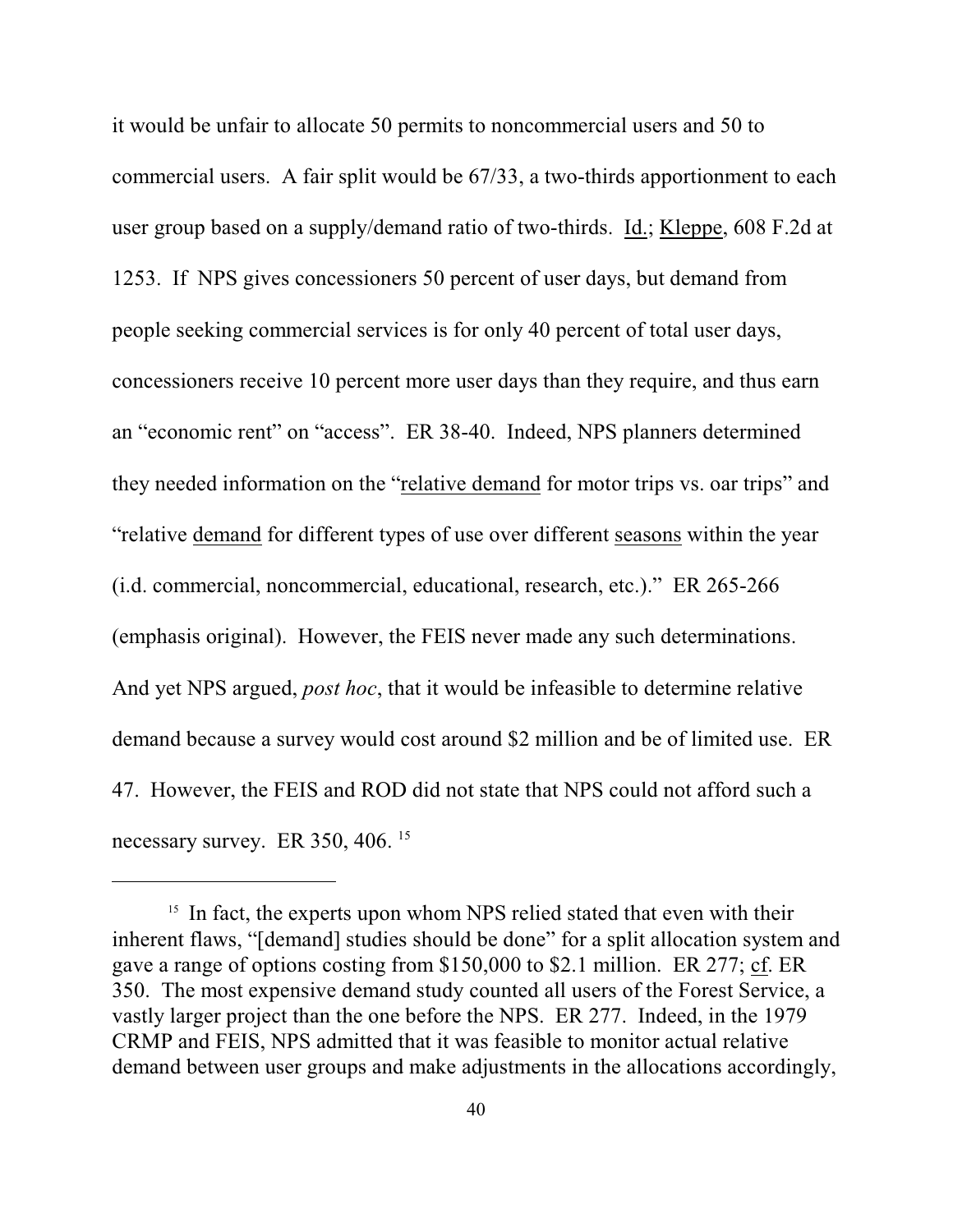it would be unfair to allocate 50 permits to noncommercial users and 50 to commercial users. A fair split would be 67/33, a two-thirds apportionment to each user group based on a supply/demand ratio of two-thirds. Id.; Kleppe, 608 F.2d at 1253. If NPS gives concessioners 50 percent of user days, but demand from people seeking commercial services is for only 40 percent of total user days, concessioners receive 10 percent more user days than they require, and thus earn an "economic rent" on "access". ER 38-40. Indeed, NPS planners determined they needed information on the "relative demand for motor trips vs. oar trips" and "relative demand for different types of use over different seasons within the year (i.d. commercial, noncommercial, educational, research, etc.)." ER 265-266 (emphasis original). However, the FEIS never made any such determinations. And yet NPS argued, *post hoc*, that it would be infeasible to determine relative demand because a survey would cost around \$2 million and be of limited use. ER 47. However, the FEIS and ROD did not state that NPS could not afford such a necessary survey. ER 350, 406.<sup>15</sup>

 $15$  In fact, the experts upon whom NPS relied stated that even with their inherent flaws, "[demand] studies should be done" for a split allocation system and gave a range of options costing from \$150,000 to \$2.1 million. ER 277; cf. ER 350. The most expensive demand study counted all users of the Forest Service, a vastly larger project than the one before the NPS. ER 277. Indeed, in the 1979 CRMP and FEIS, NPS admitted that it was feasible to monitor actual relative demand between user groups and make adjustments in the allocations accordingly,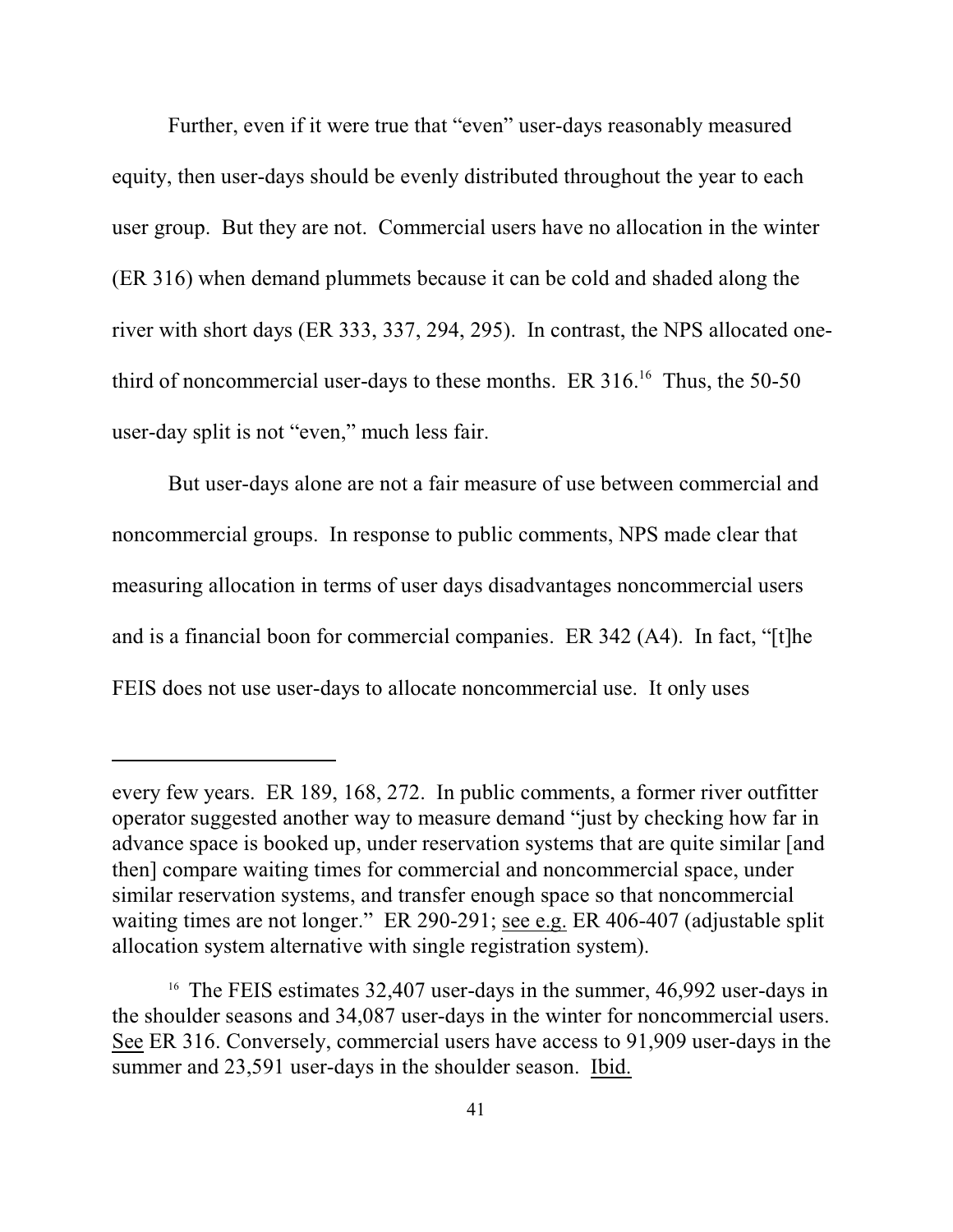Further, even if it were true that "even" user-days reasonably measured equity, then user-days should be evenly distributed throughout the year to each user group. But they are not. Commercial users have no allocation in the winter (ER 316) when demand plummets because it can be cold and shaded along the river with short days (ER 333, 337, 294, 295). In contrast, the NPS allocated onethird of noncommercial user-days to these months. ER  $316$ .<sup>16</sup> Thus, the 50-50 user-day split is not "even," much less fair.

But user-days alone are not a fair measure of use between commercial and noncommercial groups. In response to public comments, NPS made clear that measuring allocation in terms of user days disadvantages noncommercial users and is a financial boon for commercial companies. ER 342 (A4). In fact, "[t]he FEIS does not use user-days to allocate noncommercial use. It only uses

every few years. ER 189, 168, 272. In public comments, a former river outfitter operator suggested another way to measure demand "just by checking how far in advance space is booked up, under reservation systems that are quite similar [and then] compare waiting times for commercial and noncommercial space, under similar reservation systems, and transfer enough space so that noncommercial waiting times are not longer." ER 290-291; see e.g. ER 406-407 (adjustable split allocation system alternative with single registration system).

<sup>&</sup>lt;sup>16</sup> The FEIS estimates  $32,407$  user-days in the summer,  $46,992$  user-days in the shoulder seasons and 34,087 user-days in the winter for noncommercial users. See ER 316. Conversely, commercial users have access to 91,909 user-days in the summer and 23,591 user-days in the shoulder season. Ibid.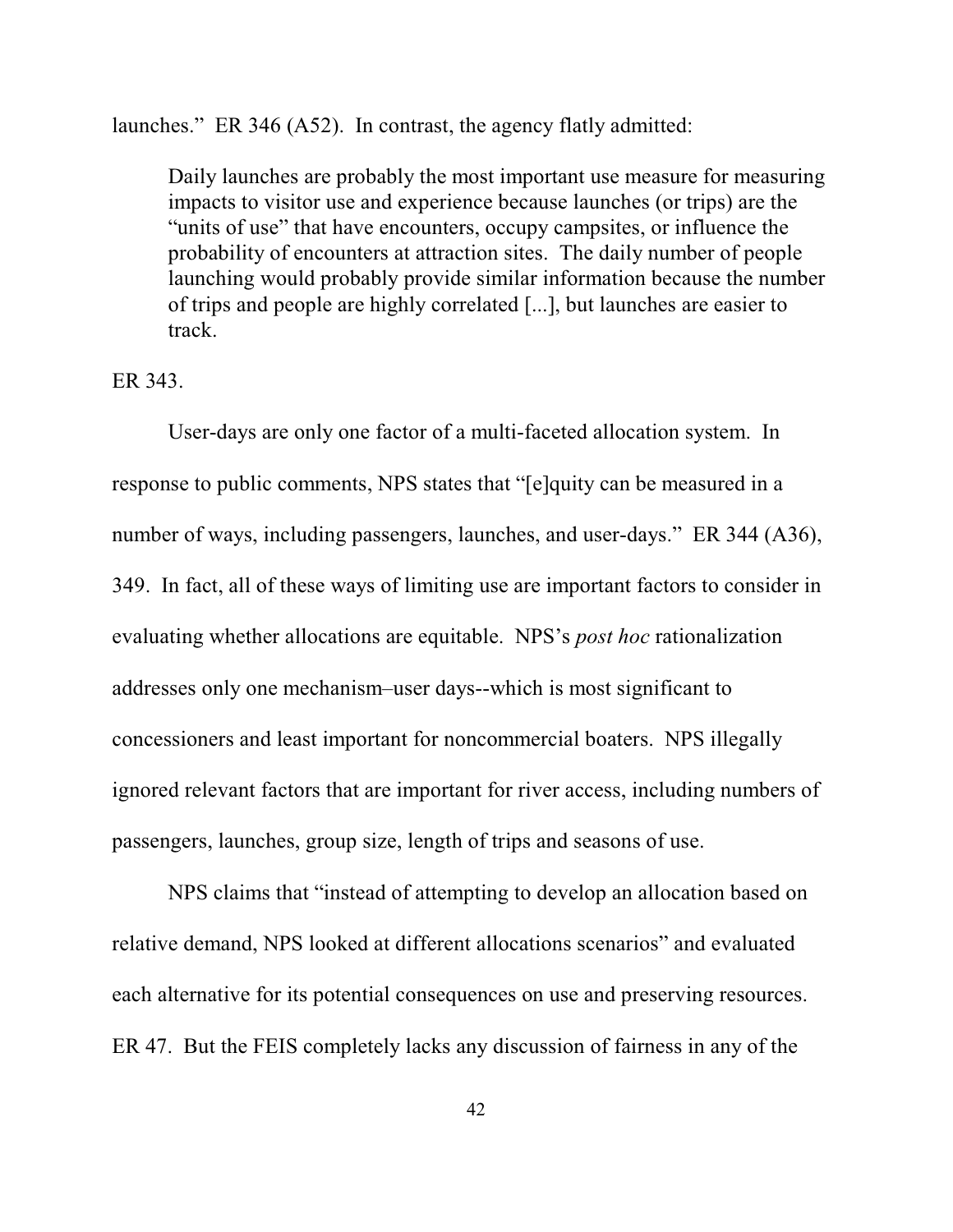launches." ER 346 (A52). In contrast, the agency flatly admitted:

Daily launches are probably the most important use measure for measuring impacts to visitor use and experience because launches (or trips) are the "units of use" that have encounters, occupy campsites, or influence the probability of encounters at attraction sites. The daily number of people launching would probably provide similar information because the number of trips and people are highly correlated [...], but launches are easier to track.

#### ER 343.

User-days are only one factor of a multi-faceted allocation system. In response to public comments, NPS states that "[e]quity can be measured in a number of ways, including passengers, launches, and user-days." ER 344 (A36), 349. In fact, all of these ways of limiting use are important factors to consider in evaluating whether allocations are equitable. NPS's *post hoc* rationalization addresses only one mechanism–user days--which is most significant to concessioners and least important for noncommercial boaters. NPS illegally ignored relevant factors that are important for river access, including numbers of passengers, launches, group size, length of trips and seasons of use.

NPS claims that "instead of attempting to develop an allocation based on relative demand, NPS looked at different allocations scenarios" and evaluated each alternative for its potential consequences on use and preserving resources. ER 47. But the FEIS completely lacks any discussion of fairness in any of the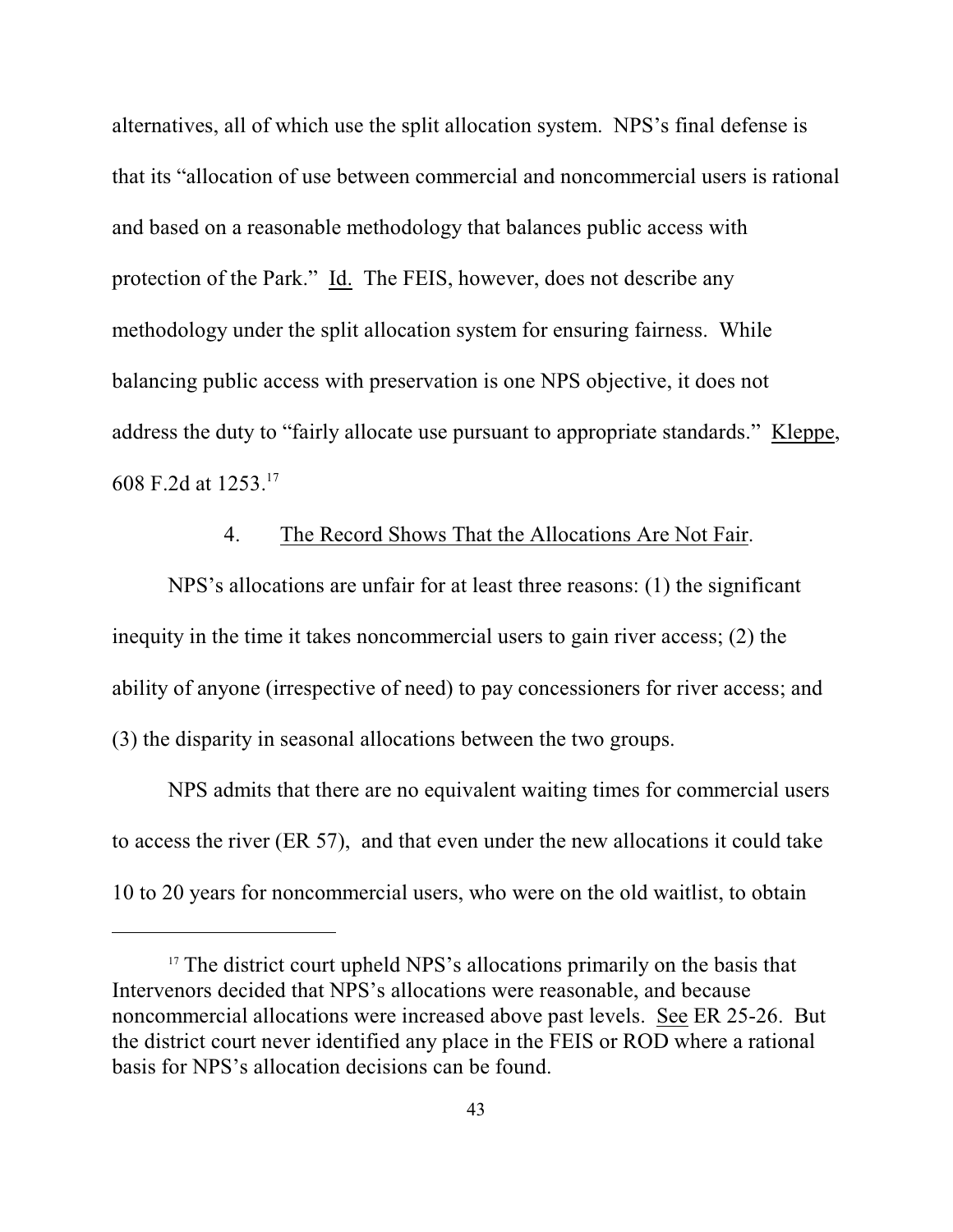alternatives, all of which use the split allocation system. NPS's final defense is that its "allocation of use between commercial and noncommercial users is rational and based on a reasonable methodology that balances public access with protection of the Park." Id. The FEIS, however, does not describe any methodology under the split allocation system for ensuring fairness. While balancing public access with preservation is one NPS objective, it does not address the duty to "fairly allocate use pursuant to appropriate standards." Kleppe, 608 F.2d at 1253.<sup>17</sup>

### 4. The Record Shows That the Allocations Are Not Fair.

NPS's allocations are unfair for at least three reasons: (1) the significant inequity in the time it takes noncommercial users to gain river access; (2) the ability of anyone (irrespective of need) to pay concessioners for river access; and (3) the disparity in seasonal allocations between the two groups.

NPS admits that there are no equivalent waiting times for commercial users to access the river (ER 57), and that even under the new allocations it could take 10 to 20 years for noncommercial users, who were on the old waitlist, to obtain

 $17$  The district court upheld NPS's allocations primarily on the basis that Intervenors decided that NPS's allocations were reasonable, and because noncommercial allocations were increased above past levels. See ER 25-26. But the district court never identified any place in the FEIS or ROD where a rational basis for NPS's allocation decisions can be found.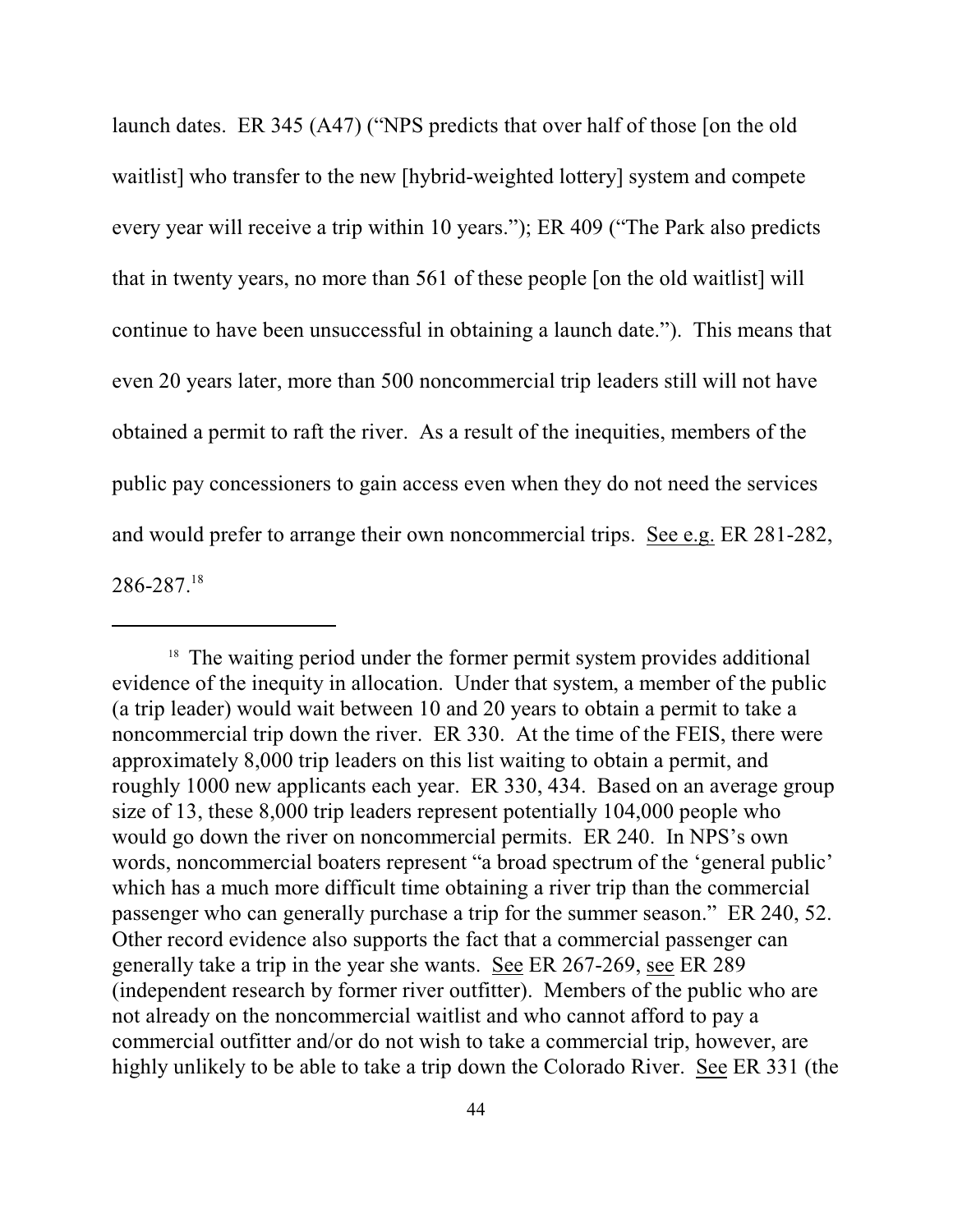launch dates. ER 345 (A47) ("NPS predicts that over half of those [on the old waitlist] who transfer to the new [hybrid-weighted lottery] system and compete every year will receive a trip within 10 years."); ER 409 ("The Park also predicts that in twenty years, no more than 561 of these people [on the old waitlist] will continue to have been unsuccessful in obtaining a launch date."). This means that even 20 years later, more than 500 noncommercial trip leaders still will not have obtained a permit to raft the river. As a result of the inequities, members of the public pay concessioners to gain access even when they do not need the services and would prefer to arrange their own noncommercial trips. See e.g. ER 281-282, 286-287.18

 $18$  The waiting period under the former permit system provides additional evidence of the inequity in allocation. Under that system, a member of the public (a trip leader) would wait between 10 and 20 years to obtain a permit to take a noncommercial trip down the river. ER 330. At the time of the FEIS, there were approximately 8,000 trip leaders on this list waiting to obtain a permit, and roughly 1000 new applicants each year. ER 330, 434. Based on an average group size of 13, these 8,000 trip leaders represent potentially 104,000 people who would go down the river on noncommercial permits. ER 240. In NPS's own words, noncommercial boaters represent "a broad spectrum of the 'general public' which has a much more difficult time obtaining a river trip than the commercial passenger who can generally purchase a trip for the summer season." ER 240, 52. Other record evidence also supports the fact that a commercial passenger can generally take a trip in the year she wants. See ER 267-269, see ER 289 (independent research by former river outfitter). Members of the public who are not already on the noncommercial waitlist and who cannot afford to pay a commercial outfitter and/or do not wish to take a commercial trip, however, are highly unlikely to be able to take a trip down the Colorado River. See ER 331 (the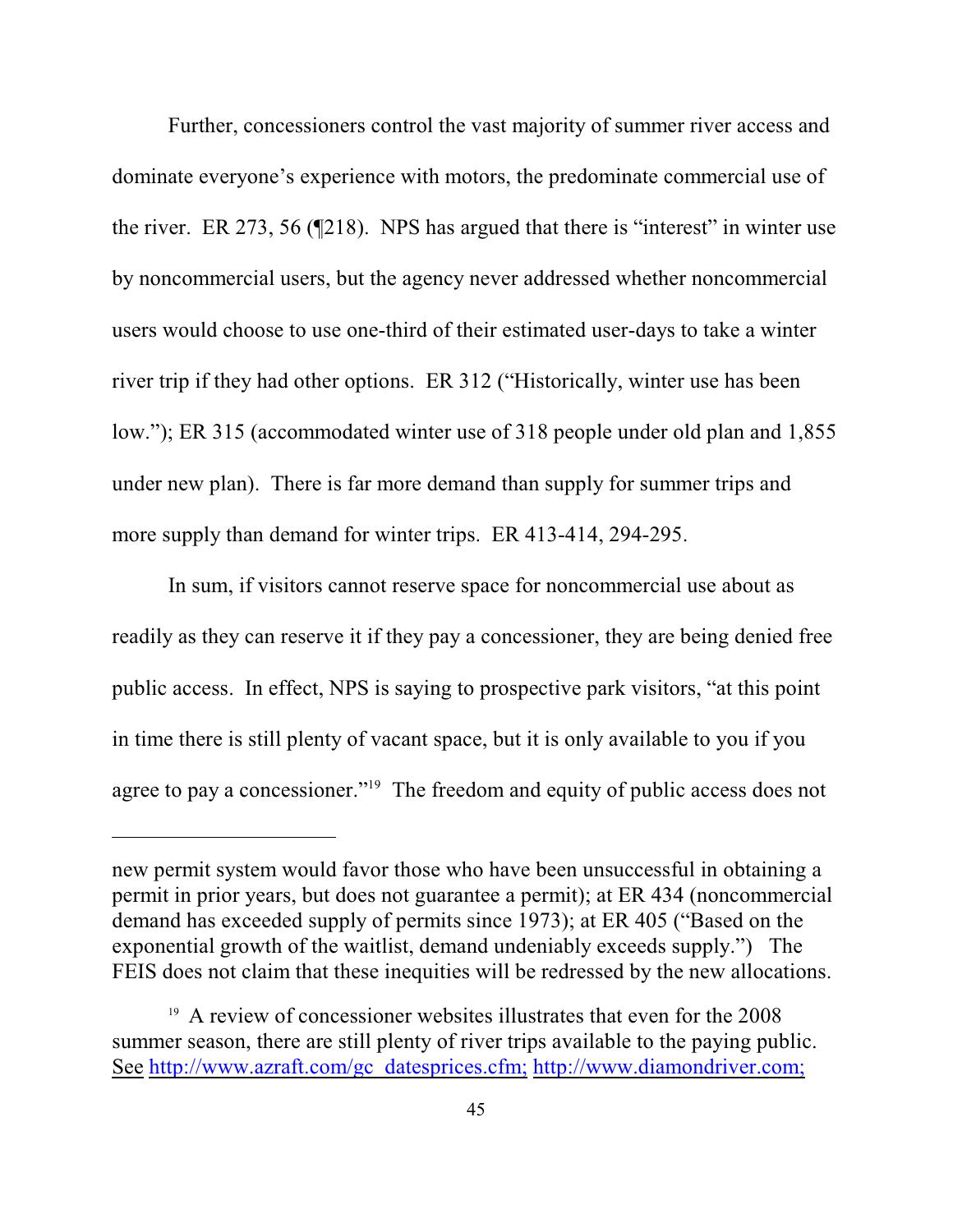Further, concessioners control the vast majority of summer river access and dominate everyone's experience with motors, the predominate commercial use of the river. ER 273, 56 (¶218). NPS has argued that there is "interest" in winter use by noncommercial users, but the agency never addressed whether noncommercial users would choose to use one-third of their estimated user-days to take a winter river trip if they had other options. ER 312 ("Historically, winter use has been low."); ER 315 (accommodated winter use of 318 people under old plan and 1,855 under new plan). There is far more demand than supply for summer trips and more supply than demand for winter trips. ER 413-414, 294-295.

In sum, if visitors cannot reserve space for noncommercial use about as readily as they can reserve it if they pay a concessioner, they are being denied free public access. In effect, NPS is saying to prospective park visitors, "at this point in time there is still plenty of vacant space, but it is only available to you if you agree to pay a concessioner."<sup> $19$ </sup> The freedom and equity of public access does not

new permit system would favor those who have been unsuccessful in obtaining a permit in prior years, but does not guarantee a permit); at ER 434 (noncommercial demand has exceeded supply of permits since 1973); at ER 405 ("Based on the exponential growth of the waitlist, demand undeniably exceeds supply.") The FEIS does not claim that these inequities will be redressed by the new allocations.

<sup>&</sup>lt;sup>19</sup> A review of concessioner websites illustrates that even for the 2008 summer season, there are still plenty of river trips available to the paying public. See [http://www.azraft.com/gc\\_datesprices.cfm;](http://www.azraft.com/gc_datesprices.cfm;) <http://www.diamondriver.com;>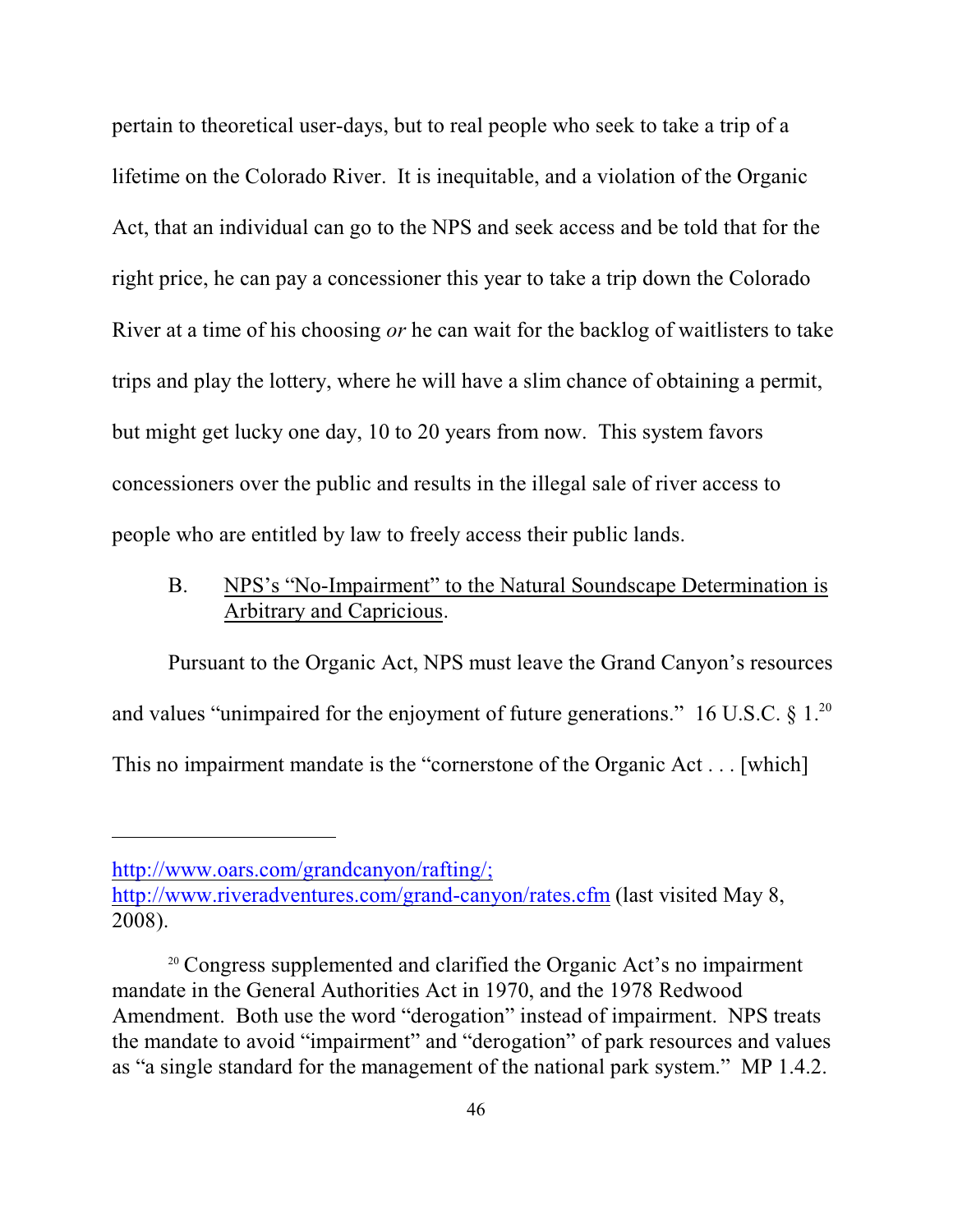pertain to theoretical user-days, but to real people who seek to take a trip of a lifetime on the Colorado River. It is inequitable, and a violation of the Organic Act, that an individual can go to the NPS and seek access and be told that for the right price, he can pay a concessioner this year to take a trip down the Colorado River at a time of his choosing *or* he can wait for the backlog of waitlisters to take trips and play the lottery, where he will have a slim chance of obtaining a permit, but might get lucky one day, 10 to 20 years from now. This system favors concessioners over the public and results in the illegal sale of river access to people who are entitled by law to freely access their public lands.

# B. NPS's "No-Impairment" to the Natural Soundscape Determination is Arbitrary and Capricious.

Pursuant to the Organic Act, NPS must leave the Grand Canyon's resources and values "unimpaired for the enjoyment of future generations." 16 U.S.C.  $\S 1$ .<sup>20</sup> This no impairment mandate is the "cornerstone of the Organic Act . . . [which]

<http://www.oars.com/grandcanyon/rafting/;>

<http://www.riveradventures.com/grand-canyon/rates.cfm> (last visited May 8, 2008).

<sup>&</sup>lt;sup>20</sup> Congress supplemented and clarified the Organic Act's no impairment mandate in the General Authorities Act in 1970, and the 1978 Redwood Amendment. Both use the word "derogation" instead of impairment. NPS treats the mandate to avoid "impairment" and "derogation" of park resources and values as "a single standard for the management of the national park system." MP 1.4.2.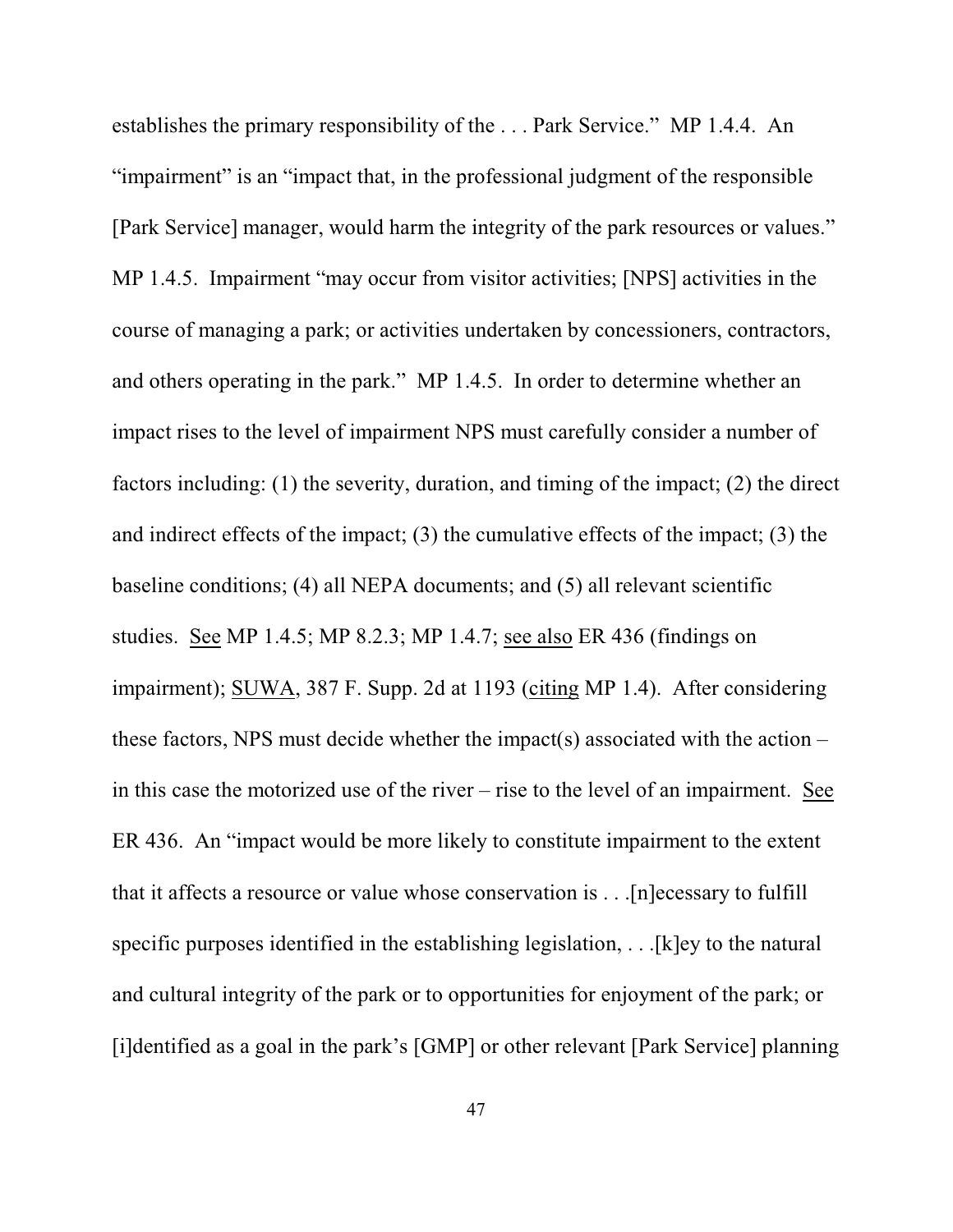establishes the primary responsibility of the . . . Park Service." MP 1.4.4. An "impairment" is an "impact that, in the professional judgment of the responsible [Park Service] manager, would harm the integrity of the park resources or values." MP 1.4.5. Impairment "may occur from visitor activities; [NPS] activities in the course of managing a park; or activities undertaken by concessioners, contractors, and others operating in the park." MP 1.4.5. In order to determine whether an impact rises to the level of impairment NPS must carefully consider a number of factors including: (1) the severity, duration, and timing of the impact; (2) the direct and indirect effects of the impact; (3) the cumulative effects of the impact; (3) the baseline conditions; (4) all NEPA documents; and (5) all relevant scientific studies. See MP 1.4.5; MP 8.2.3; MP 1.4.7; see also ER 436 (findings on impairment); SUWA, 387 F. Supp. 2d at 1193 (citing MP 1.4). After considering these factors, NPS must decide whether the impact(s) associated with the action – in this case the motorized use of the river – rise to the level of an impairment. See ER 436. An "impact would be more likely to constitute impairment to the extent that it affects a resource or value whose conservation is . . .[n]ecessary to fulfill specific purposes identified in the establishing legislation, . . .[k]ey to the natural and cultural integrity of the park or to opportunities for enjoyment of the park; or [i]dentified as a goal in the park's [GMP] or other relevant [Park Service] planning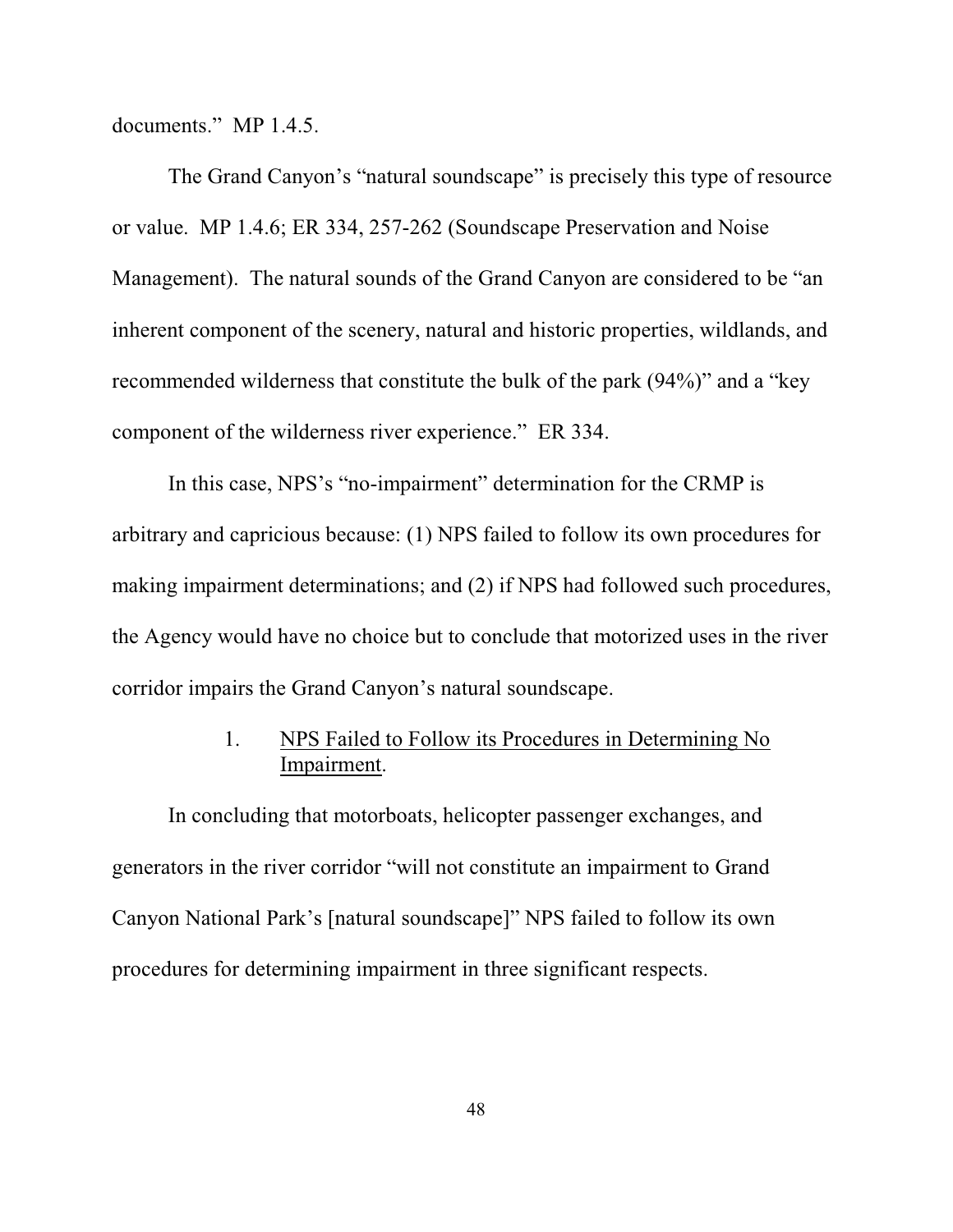documents." MP 1.4.5.

The Grand Canyon's "natural soundscape" is precisely this type of resource or value. MP 1.4.6; ER 334, 257-262 (Soundscape Preservation and Noise Management). The natural sounds of the Grand Canyon are considered to be "an inherent component of the scenery, natural and historic properties, wildlands, and recommended wilderness that constitute the bulk of the park (94%)" and a "key component of the wilderness river experience." ER 334.

In this case, NPS's "no-impairment" determination for the CRMP is arbitrary and capricious because: (1) NPS failed to follow its own procedures for making impairment determinations; and (2) if NPS had followed such procedures, the Agency would have no choice but to conclude that motorized uses in the river corridor impairs the Grand Canyon's natural soundscape.

# 1. NPS Failed to Follow its Procedures in Determining No Impairment.

In concluding that motorboats, helicopter passenger exchanges, and generators in the river corridor "will not constitute an impairment to Grand Canyon National Park's [natural soundscape]" NPS failed to follow its own procedures for determining impairment in three significant respects.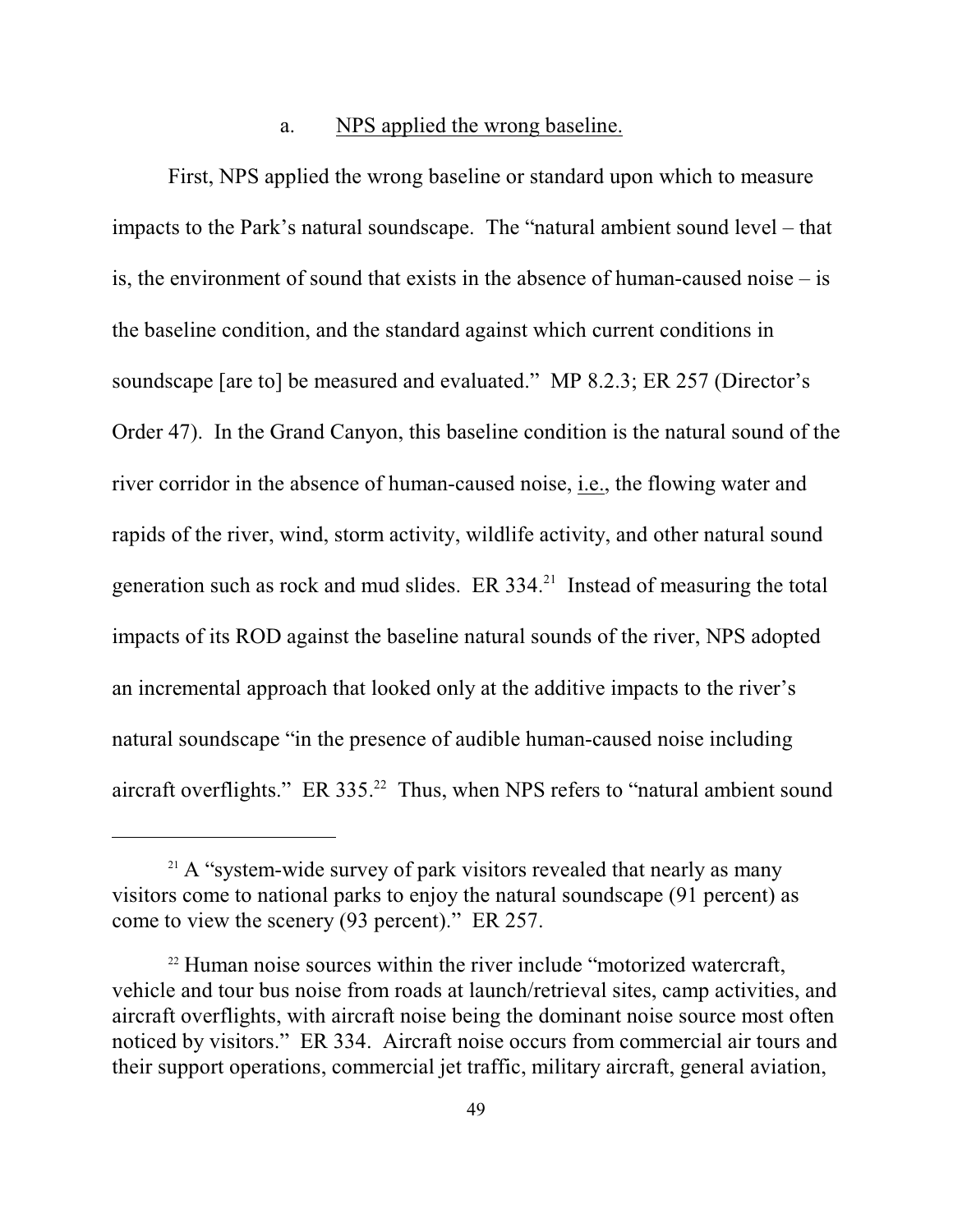#### a. NPS applied the wrong baseline.

First, NPS applied the wrong baseline or standard upon which to measure impacts to the Park's natural soundscape. The "natural ambient sound level – that is, the environment of sound that exists in the absence of human-caused noise – is the baseline condition, and the standard against which current conditions in soundscape [are to] be measured and evaluated." MP 8.2.3; ER 257 (Director's Order 47). In the Grand Canyon, this baseline condition is the natural sound of the river corridor in the absence of human-caused noise, i.e., the flowing water and rapids of the river, wind, storm activity, wildlife activity, and other natural sound generation such as rock and mud slides. ER  $334<sup>21</sup>$  Instead of measuring the total impacts of its ROD against the baseline natural sounds of the river, NPS adopted an incremental approach that looked only at the additive impacts to the river's natural soundscape "in the presence of audible human-caused noise including aircraft overflights." ER  $335<sup>22</sup>$  Thus, when NPS refers to "natural ambient sound

 $21$  A "system-wide survey of park visitors revealed that nearly as many visitors come to national parks to enjoy the natural soundscape (91 percent) as come to view the scenery (93 percent)." ER 257.

 $22$  Human noise sources within the river include "motorized watercraft, vehicle and tour bus noise from roads at launch/retrieval sites, camp activities, and aircraft overflights, with aircraft noise being the dominant noise source most often noticed by visitors." ER 334. Aircraft noise occurs from commercial air tours and their support operations, commercial jet traffic, military aircraft, general aviation,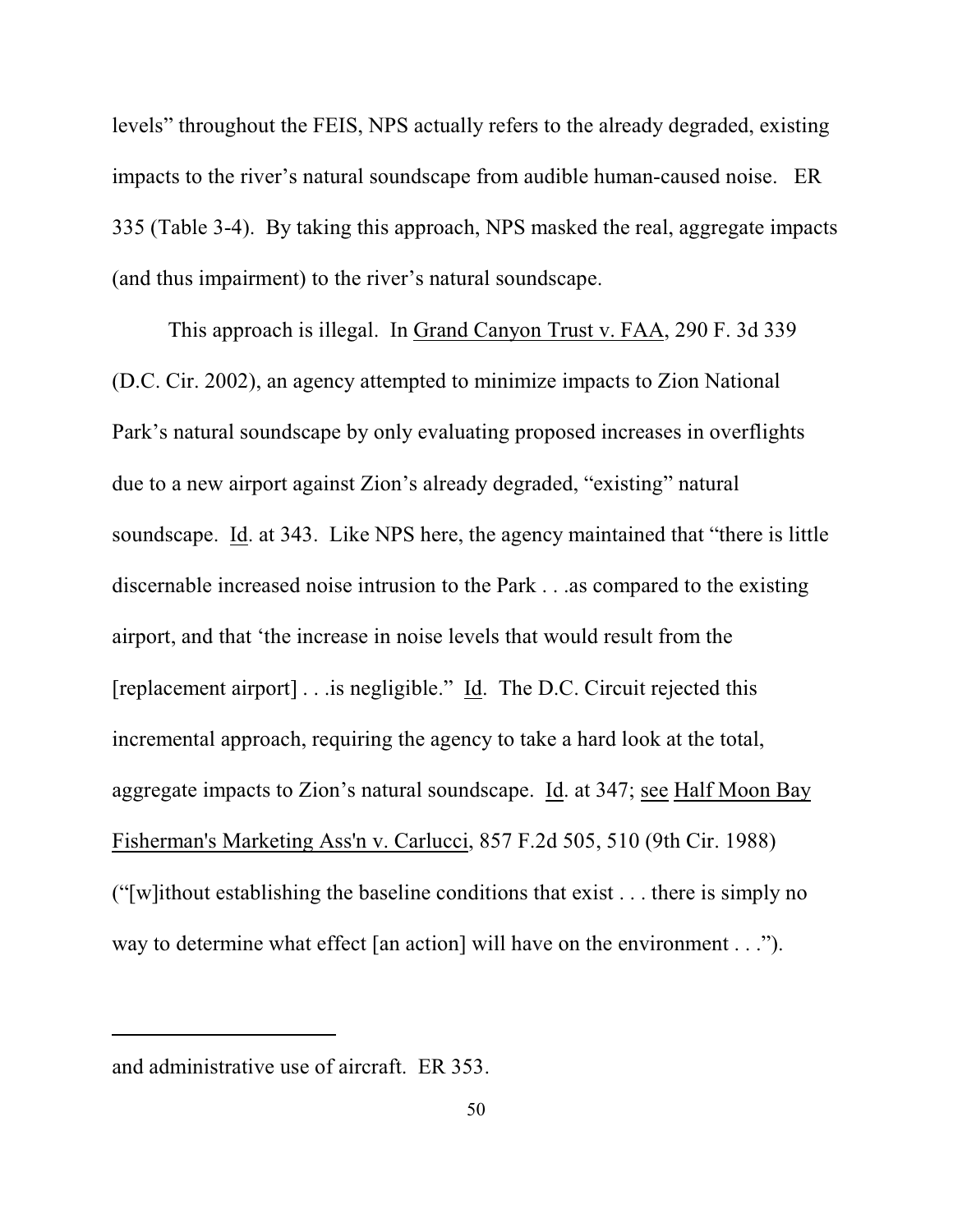levels" throughout the FEIS, NPS actually refers to the already degraded, existing impacts to the river's natural soundscape from audible human-caused noise. ER 335 (Table 3-4). By taking this approach, NPS masked the real, aggregate impacts (and thus impairment) to the river's natural soundscape.

This approach is illegal. In Grand Canyon Trust v. FAA, 290 F. 3d 339 (D.C. Cir. 2002), an agency attempted to minimize impacts to Zion National Park's natural soundscape by only evaluating proposed increases in overflights due to a new airport against Zion's already degraded, "existing" natural soundscape. Id. at 343. Like NPS here, the agency maintained that "there is little discernable increased noise intrusion to the Park . . .as compared to the existing airport, and that 'the increase in noise levels that would result from the [replacement airport] . . .is negligible." Id. The D.C. Circuit rejected this incremental approach, requiring the agency to take a hard look at the total, aggregate impacts to Zion's natural soundscape. Id. at 347; see Half Moon Bay Fisherman's Marketing Ass'n v. Carlucci, 857 F.2d 505, 510 (9th Cir. 1988) ("[w]ithout establishing the baseline conditions that exist . . . there is simply no way to determine what effect [an action] will have on the environment . . .").

and administrative use of aircraft. ER 353.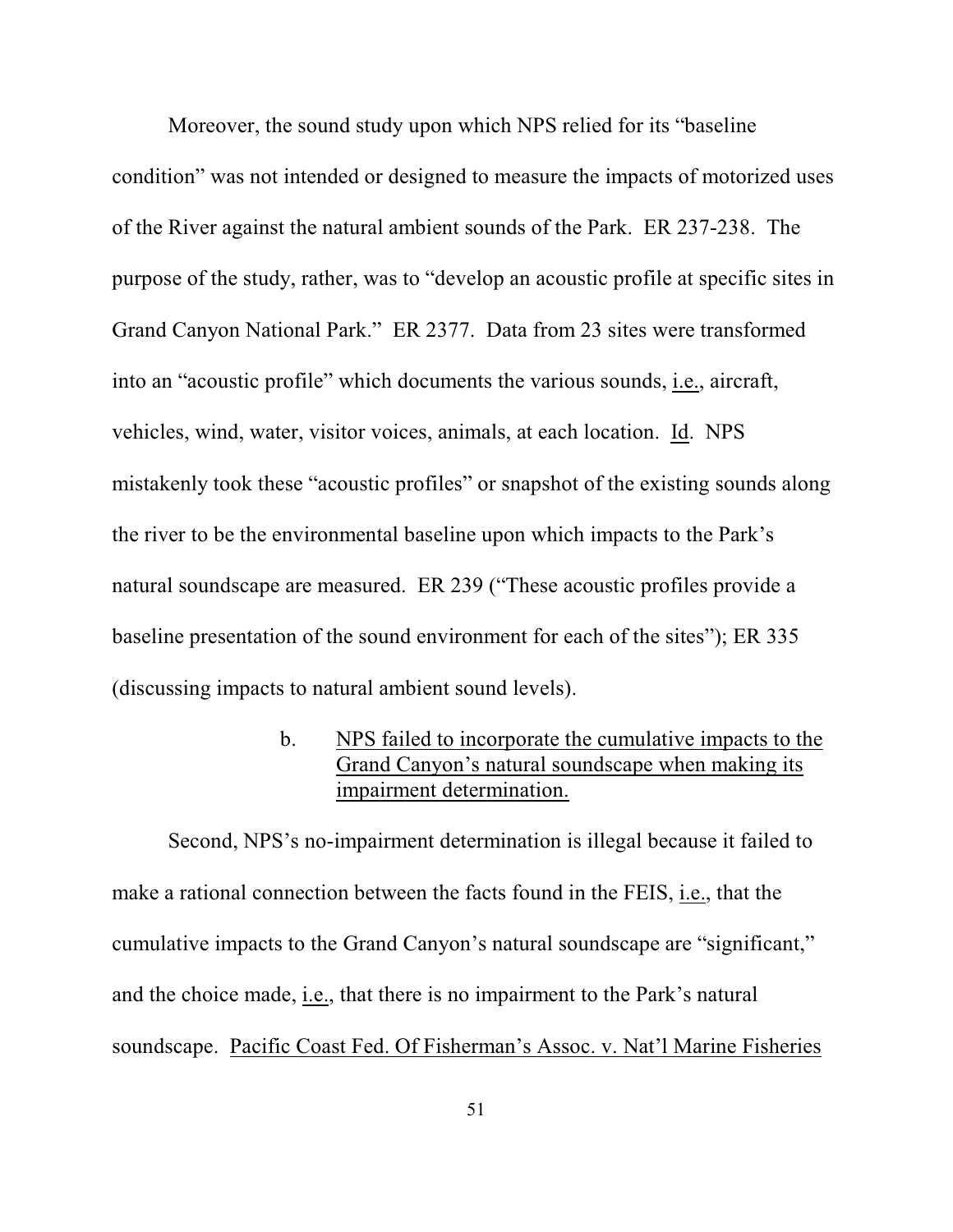Moreover, the sound study upon which NPS relied for its "baseline condition" was not intended or designed to measure the impacts of motorized uses of the River against the natural ambient sounds of the Park. ER 237-238. The purpose of the study, rather, was to "develop an acoustic profile at specific sites in Grand Canyon National Park." ER 2377. Data from 23 sites were transformed into an "acoustic profile" which documents the various sounds, i.e., aircraft, vehicles, wind, water, visitor voices, animals, at each location. Id. NPS mistakenly took these "acoustic profiles" or snapshot of the existing sounds along the river to be the environmental baseline upon which impacts to the Park's natural soundscape are measured. ER 239 ("These acoustic profiles provide a baseline presentation of the sound environment for each of the sites"); ER 335 (discussing impacts to natural ambient sound levels).

> b. NPS failed to incorporate the cumulative impacts to the Grand Canyon's natural soundscape when making its impairment determination.

Second, NPS's no-impairment determination is illegal because it failed to make a rational connection between the facts found in the FEIS, i.e., that the cumulative impacts to the Grand Canyon's natural soundscape are "significant," and the choice made, i.e., that there is no impairment to the Park's natural soundscape. Pacific Coast Fed. Of Fisherman's Assoc. v. Nat'l Marine Fisheries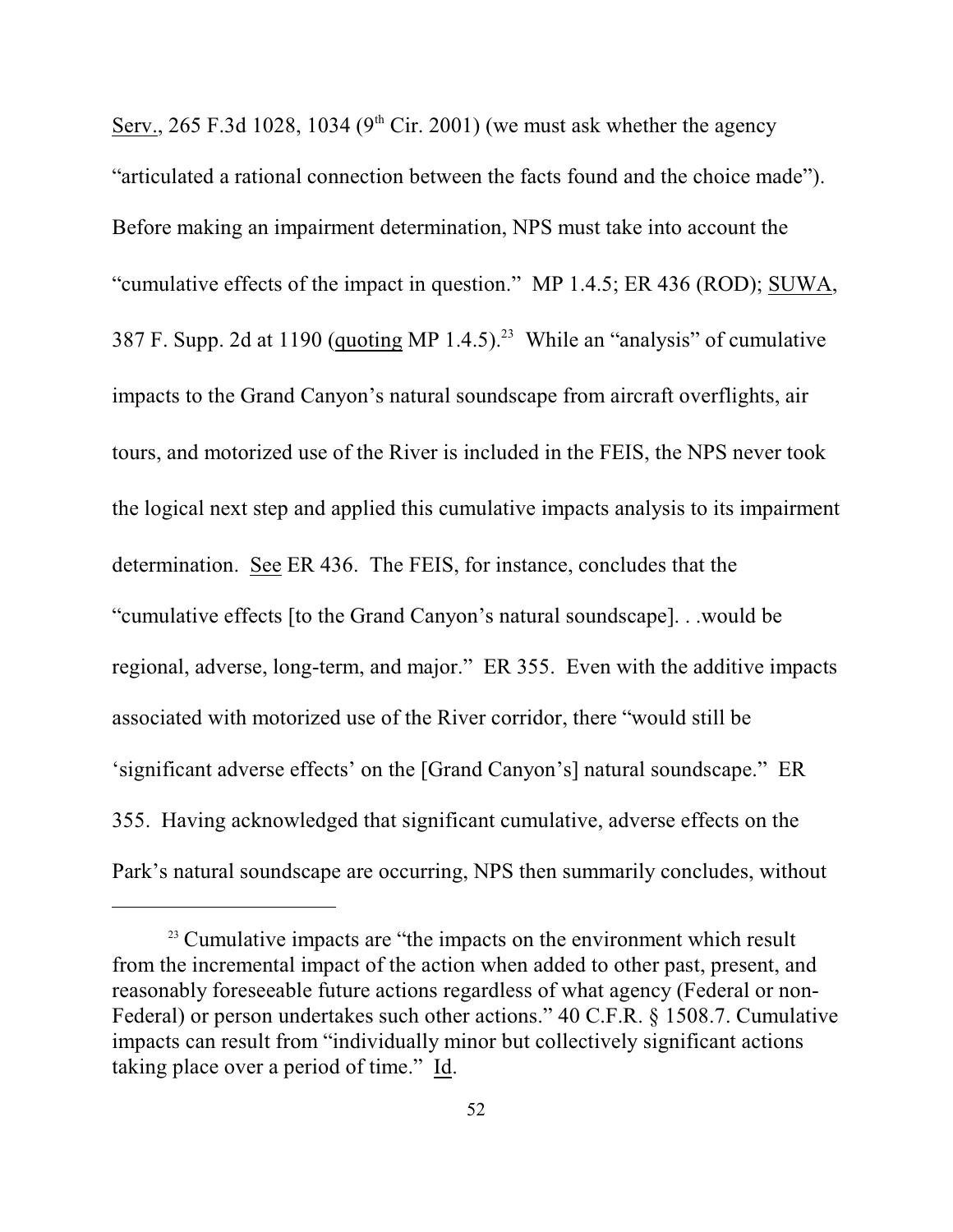Serv., 265 F.3d 1028, 1034 (9<sup>th</sup> Cir. 2001) (we must ask whether the agency "articulated a rational connection between the facts found and the choice made"). Before making an impairment determination, NPS must take into account the "cumulative effects of the impact in question." MP 1.4.5; ER 436 (ROD); SUWA, 387 F. Supp. 2d at 1190 (quoting MP 1.4.5).<sup>23</sup> While an "analysis" of cumulative impacts to the Grand Canyon's natural soundscape from aircraft overflights, air tours, and motorized use of the River is included in the FEIS, the NPS never took the logical next step and applied this cumulative impacts analysis to its impairment determination. See ER 436. The FEIS, for instance, concludes that the "cumulative effects [to the Grand Canyon's natural soundscape]. . .would be regional, adverse, long-term, and major." ER 355. Even with the additive impacts associated with motorized use of the River corridor, there "would still be 'significant adverse effects' on the [Grand Canyon's] natural soundscape." ER 355. Having acknowledged that significant cumulative, adverse effects on the Park's natural soundscape are occurring, NPS then summarily concludes, without

 $23$  Cumulative impacts are "the impacts on the environment which result from the incremental impact of the action when added to other past, present, and reasonably foreseeable future actions regardless of what agency (Federal or non-Federal) or person undertakes such other actions." 40 C.F.R. § 1508.7. Cumulative impacts can result from "individually minor but collectively significant actions taking place over a period of time." Id.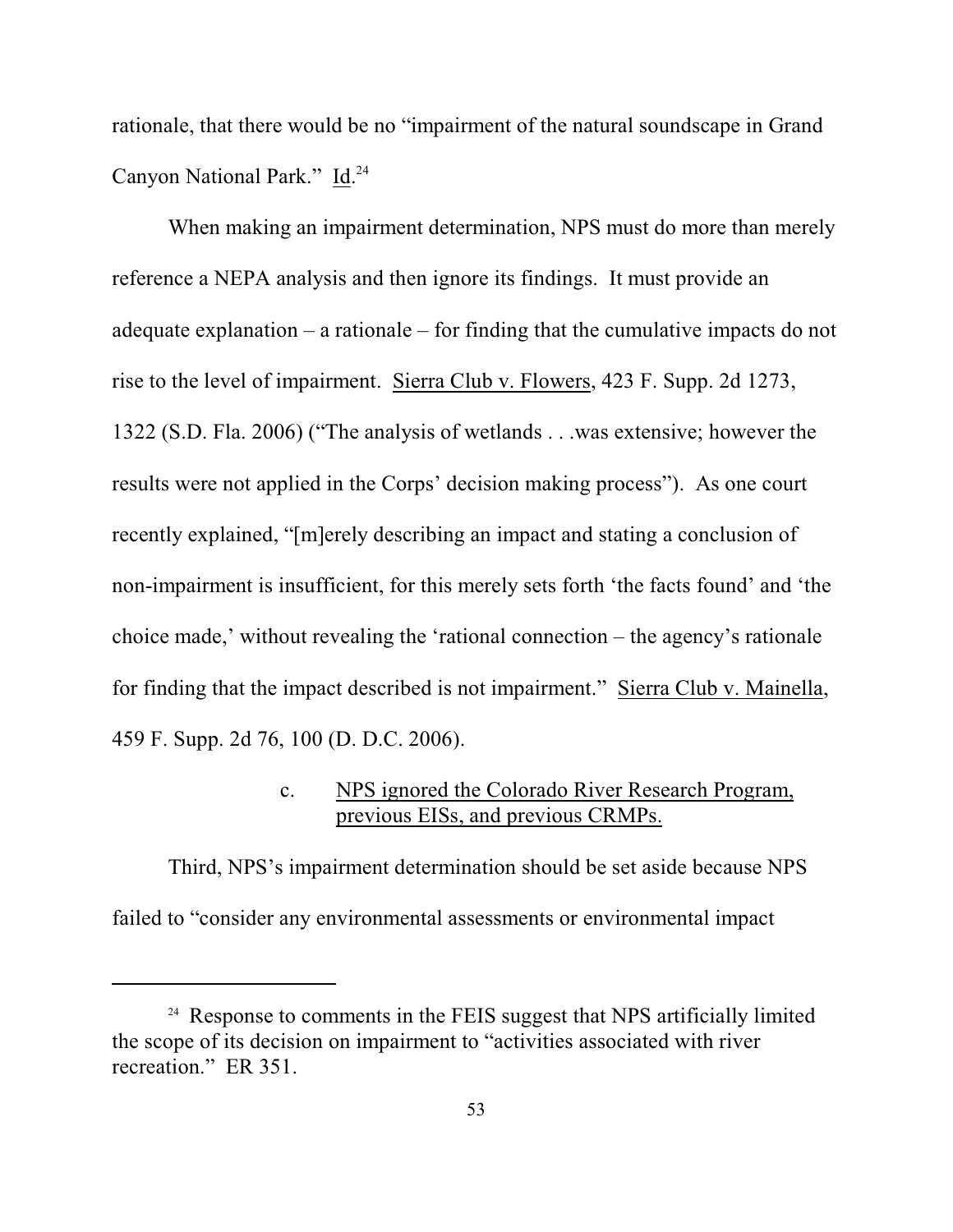rationale, that there would be no "impairment of the natural soundscape in Grand Canyon National Park." Id.<sup>24</sup>

When making an impairment determination, NPS must do more than merely reference a NEPA analysis and then ignore its findings. It must provide an adequate explanation – a rationale – for finding that the cumulative impacts do not rise to the level of impairment. Sierra Club v. Flowers, 423 F. Supp. 2d 1273, 1322 (S.D. Fla. 2006) ("The analysis of wetlands . . .was extensive; however the results were not applied in the Corps' decision making process"). As one court recently explained, "[m]erely describing an impact and stating a conclusion of non-impairment is insufficient, for this merely sets forth 'the facts found' and 'the choice made,' without revealing the 'rational connection – the agency's rationale for finding that the impact described is not impairment." Sierra Club v. Mainella, 459 F. Supp. 2d 76, 100 (D. D.C. 2006).

### c. NPS ignored the Colorado River Research Program, previous EISs, and previous CRMPs.

Third, NPS's impairment determination should be set aside because NPS failed to "consider any environmental assessments or environmental impact

<sup>&</sup>lt;sup>24</sup> Response to comments in the FEIS suggest that NPS artificially limited the scope of its decision on impairment to "activities associated with river recreation." ER 351.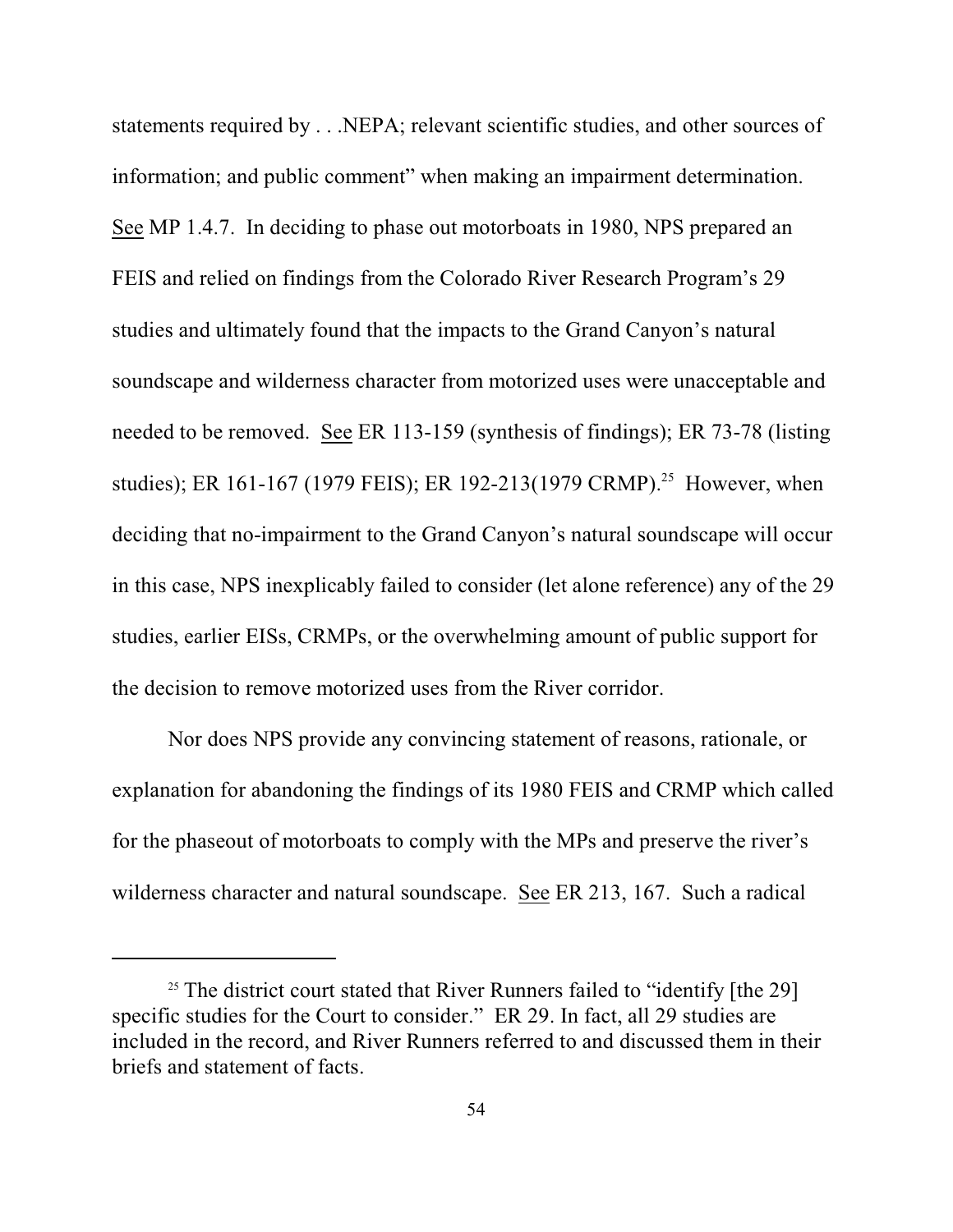statements required by . . .NEPA; relevant scientific studies, and other sources of information; and public comment" when making an impairment determination. See MP 1.4.7. In deciding to phase out motorboats in 1980, NPS prepared an FEIS and relied on findings from the Colorado River Research Program's 29 studies and ultimately found that the impacts to the Grand Canyon's natural soundscape and wilderness character from motorized uses were unacceptable and needed to be removed. See ER 113-159 (synthesis of findings); ER 73-78 (listing studies); ER 161-167 (1979 FEIS); ER 192-213(1979 CRMP).<sup>25</sup> However, when deciding that no-impairment to the Grand Canyon's natural soundscape will occur in this case, NPS inexplicably failed to consider (let alone reference) any of the 29 studies, earlier EISs, CRMPs, or the overwhelming amount of public support for the decision to remove motorized uses from the River corridor.

Nor does NPS provide any convincing statement of reasons, rationale, or explanation for abandoning the findings of its 1980 FEIS and CRMP which called for the phaseout of motorboats to comply with the MPs and preserve the river's wilderness character and natural soundscape. See ER 213, 167. Such a radical

 $25$  The district court stated that River Runners failed to "identify [the 29] specific studies for the Court to consider." ER 29. In fact, all 29 studies are included in the record, and River Runners referred to and discussed them in their briefs and statement of facts.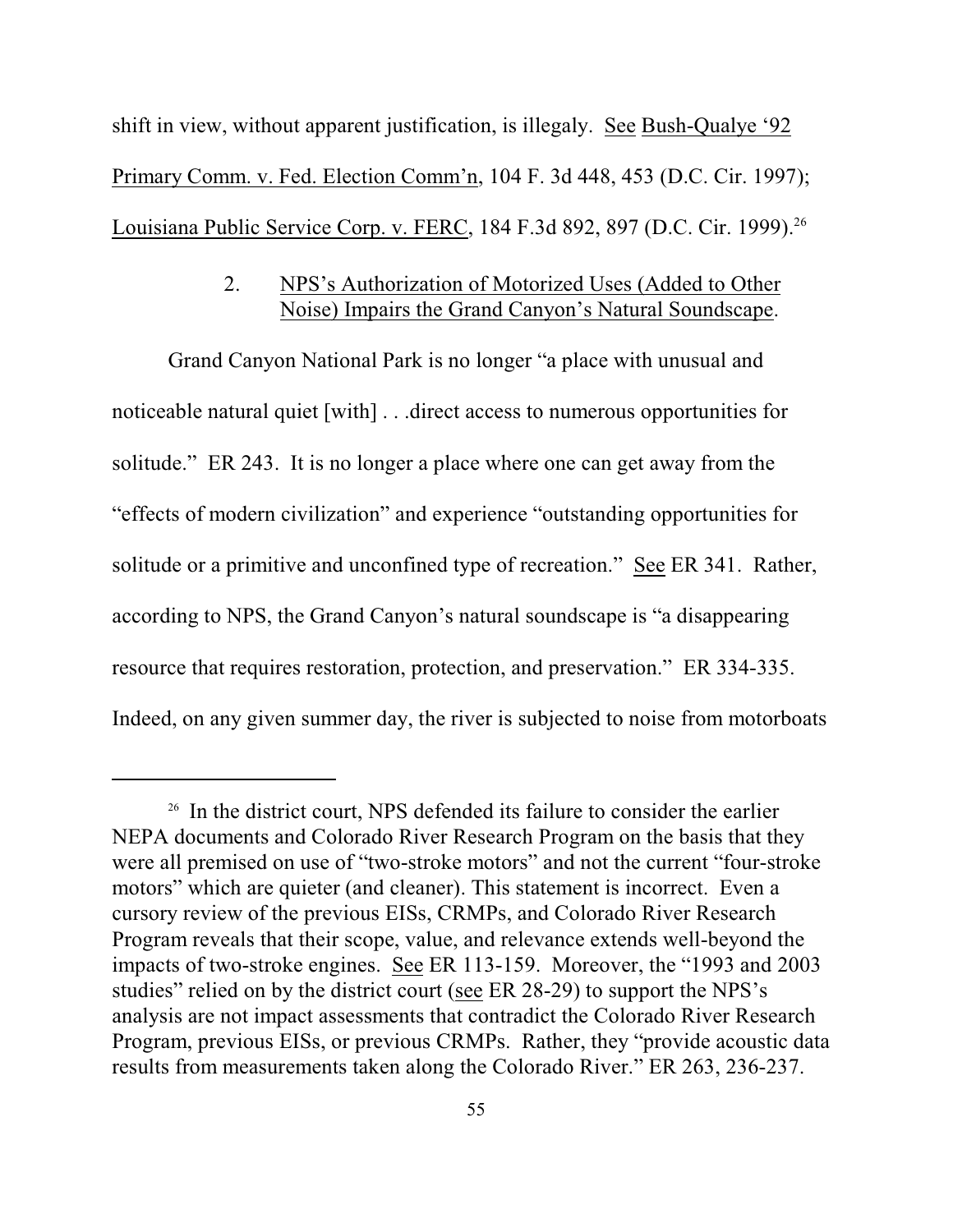shift in view, without apparent justification, is illegaly. See Bush-Qualye '92 Primary Comm. v. Fed. Election Comm'n, 104 F. 3d 448, 453 (D.C. Cir. 1997); Louisiana Public Service Corp. v. FERC, 184 F.3d 892, 897 (D.C. Cir. 1999).<sup>26</sup>

## 2. NPS's Authorization of Motorized Uses (Added to Other Noise) Impairs the Grand Canyon's Natural Soundscape.

Grand Canyon National Park is no longer "a place with unusual and noticeable natural quiet [with] . . .direct access to numerous opportunities for solitude." ER 243. It is no longer a place where one can get away from the "effects of modern civilization" and experience "outstanding opportunities for solitude or a primitive and unconfined type of recreation." See ER 341. Rather, according to NPS, the Grand Canyon's natural soundscape is "a disappearing resource that requires restoration, protection, and preservation." ER 334-335. Indeed, on any given summer day, the river is subjected to noise from motorboats

 $26$  In the district court, NPS defended its failure to consider the earlier NEPA documents and Colorado River Research Program on the basis that they were all premised on use of "two-stroke motors" and not the current "four-stroke motors" which are quieter (and cleaner). This statement is incorrect. Even a cursory review of the previous EISs, CRMPs, and Colorado River Research Program reveals that their scope, value, and relevance extends well-beyond the impacts of two-stroke engines. See ER 113-159. Moreover, the "1993 and 2003 studies" relied on by the district court (see ER 28-29) to support the NPS's analysis are not impact assessments that contradict the Colorado River Research Program, previous EISs, or previous CRMPs. Rather, they "provide acoustic data results from measurements taken along the Colorado River." ER 263, 236-237.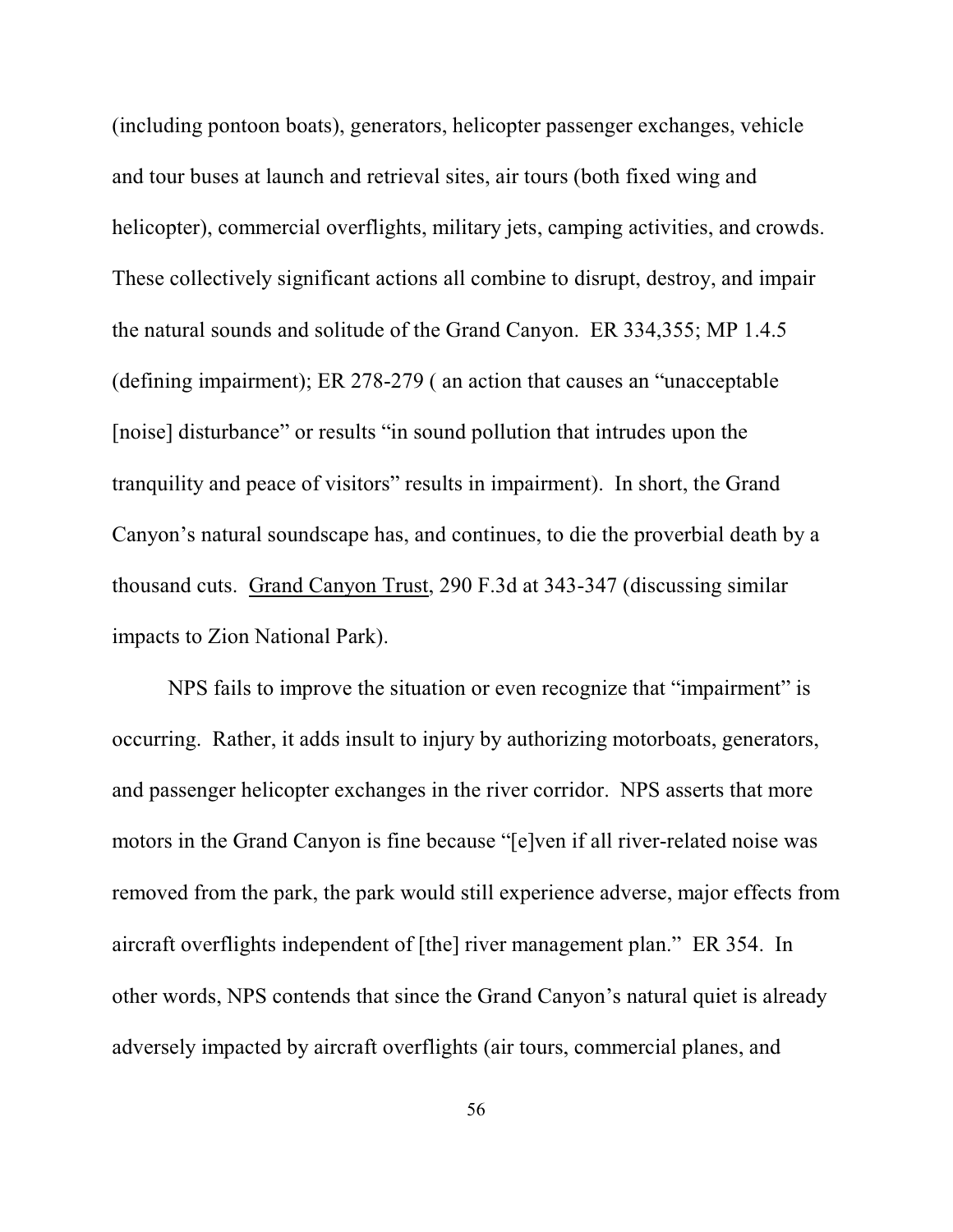(including pontoon boats), generators, helicopter passenger exchanges, vehicle and tour buses at launch and retrieval sites, air tours (both fixed wing and helicopter), commercial overflights, military jets, camping activities, and crowds. These collectively significant actions all combine to disrupt, destroy, and impair the natural sounds and solitude of the Grand Canyon. ER 334,355; MP 1.4.5 (defining impairment); ER 278-279 ( an action that causes an "unacceptable [noise] disturbance" or results "in sound pollution that intrudes upon the tranquility and peace of visitors" results in impairment). In short, the Grand Canyon's natural soundscape has, and continues, to die the proverbial death by a thousand cuts. Grand Canyon Trust, 290 F.3d at 343-347 (discussing similar impacts to Zion National Park).

NPS fails to improve the situation or even recognize that "impairment" is occurring. Rather, it adds insult to injury by authorizing motorboats, generators, and passenger helicopter exchanges in the river corridor. NPS asserts that more motors in the Grand Canyon is fine because "[e]ven if all river-related noise was removed from the park, the park would still experience adverse, major effects from aircraft overflights independent of [the] river management plan." ER 354.In other words, NPS contends that since the Grand Canyon's natural quiet is already adversely impacted by aircraft overflights (air tours, commercial planes, and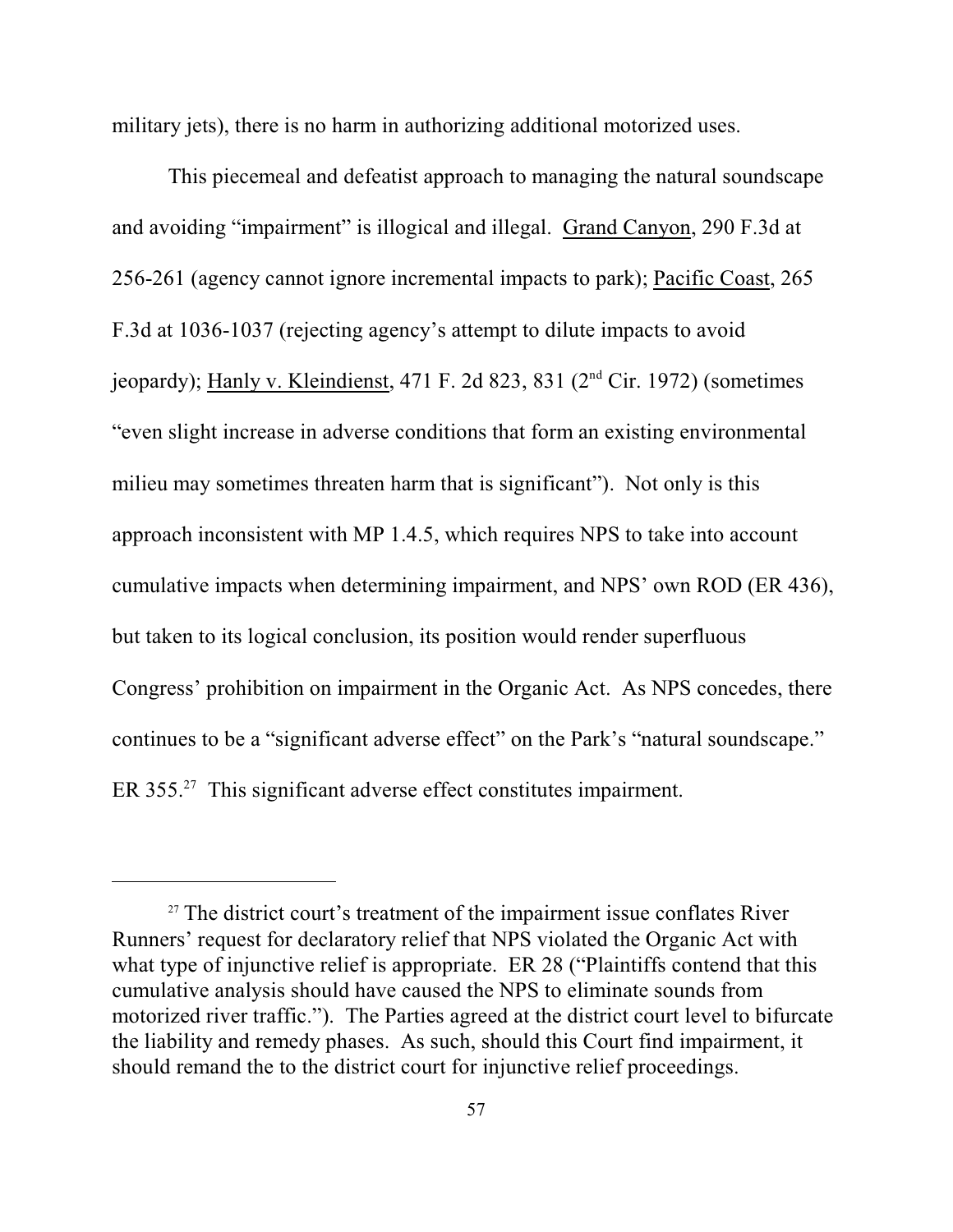military jets), there is no harm in authorizing additional motorized uses.

This piecemeal and defeatist approach to managing the natural soundscape and avoiding "impairment" is illogical and illegal. Grand Canyon, 290 F.3d at 256-261 (agency cannot ignore incremental impacts to park); Pacific Coast, 265 F.3d at 1036-1037 (rejecting agency's attempt to dilute impacts to avoid jeopardy); Hanly v. Kleindienst, 471 F. 2d 823, 831 ( $2<sup>nd</sup>$  Cir. 1972) (sometimes "even slight increase in adverse conditions that form an existing environmental milieu may sometimes threaten harm that is significant"). Not only is this approach inconsistent with MP 1.4.5, which requires NPS to take into account cumulative impacts when determining impairment, and NPS' own ROD (ER 436), but taken to its logical conclusion, its position would render superfluous Congress' prohibition on impairment in the Organic Act. As NPS concedes, there continues to be a "significant adverse effect" on the Park's "natural soundscape." ER  $355.^{27}$  This significant adverse effect constitutes impairment.

 $27$  The district court's treatment of the impairment issue conflates River Runners' request for declaratory relief that NPS violated the Organic Act with what type of injunctive relief is appropriate. ER 28 ("Plaintiffs contend that this cumulative analysis should have caused the NPS to eliminate sounds from motorized river traffic."). The Parties agreed at the district court level to bifurcate the liability and remedy phases. As such, should this Court find impairment, it should remand the to the district court for injunctive relief proceedings.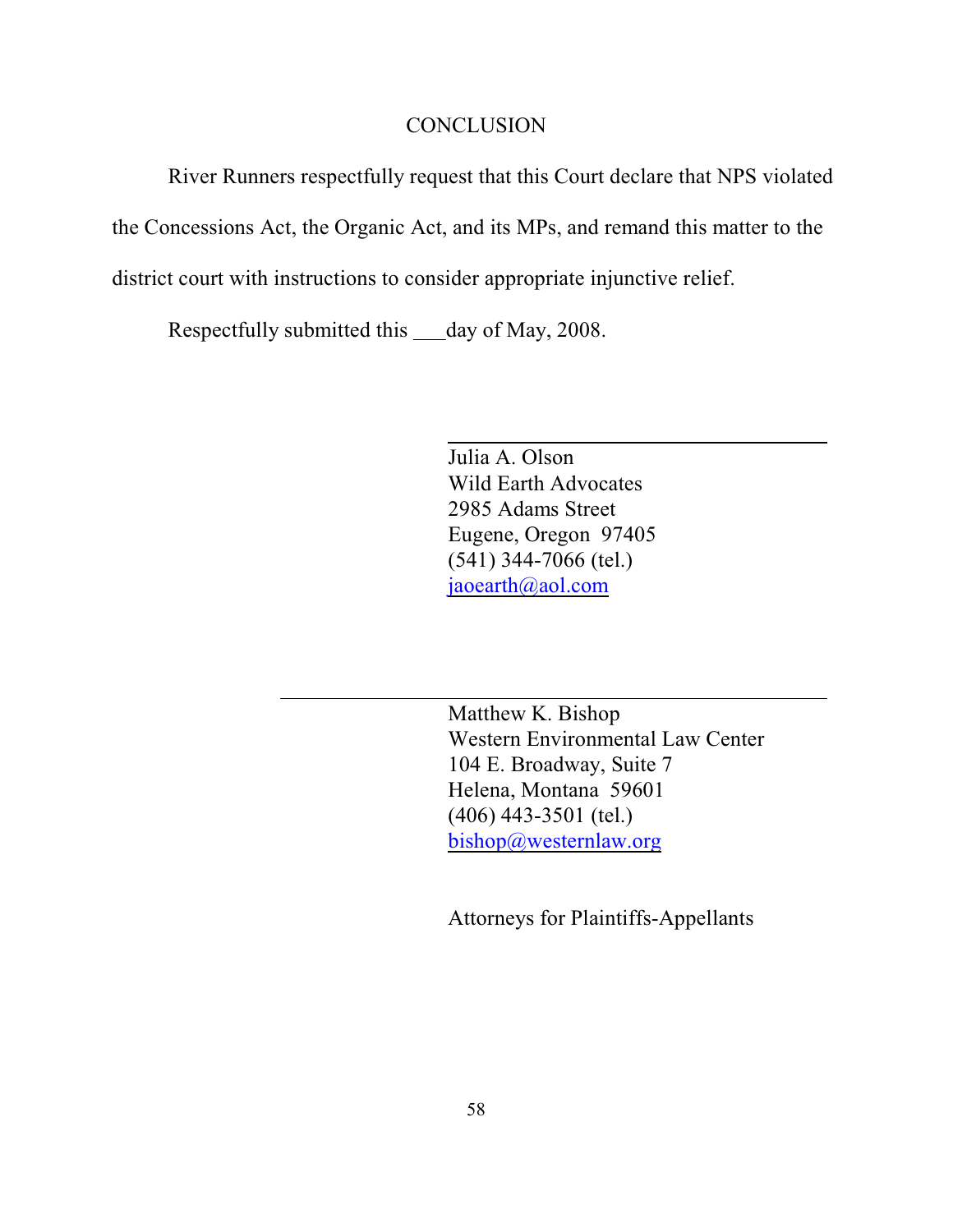#### **CONCLUSION**

River Runners respectfully request that this Court declare that NPS violated

the Concessions Act, the Organic Act, and its MPs, and remand this matter to the

district court with instructions to consider appropriate injunctive relief.

Respectfully submitted this \_\_\_day of May, 2008.

Julia A. Olson Wild Earth Advocates 2985 Adams Street Eugene, Oregon 97405 (541) 344-7066 (tel.) [jaoearth@aol.com](mailto:jaoearth@aol.com)

Matthew K. Bishop Western Environmental Law Center 104 E. Broadway, Suite 7 Helena, Montana 59601 (406) 443-3501 (tel.) [bishop@westernlaw.org](mailto:bishop@westernlaw.org)

Attorneys for Plaintiffs-Appellants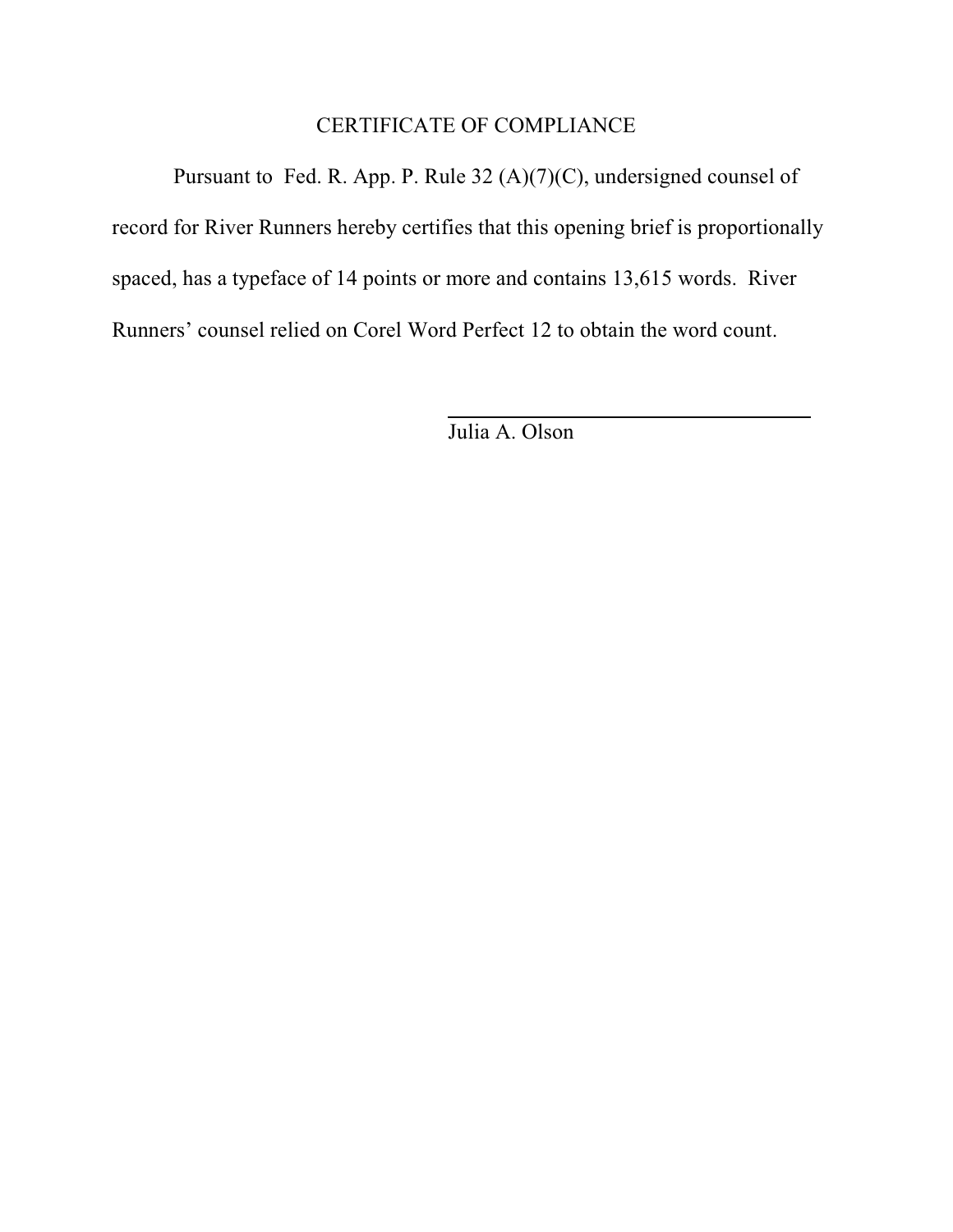# CERTIFICATE OF COMPLIANCE

 Pursuant to Fed. R. App. P. Rule 32 (A)(7)(C), undersigned counsel of record for River Runners hereby certifies that this opening brief is proportionally spaced, has a typeface of 14 points or more and contains 13,615 words. River Runners' counsel relied on Corel Word Perfect 12 to obtain the word count.

Julia A. Olson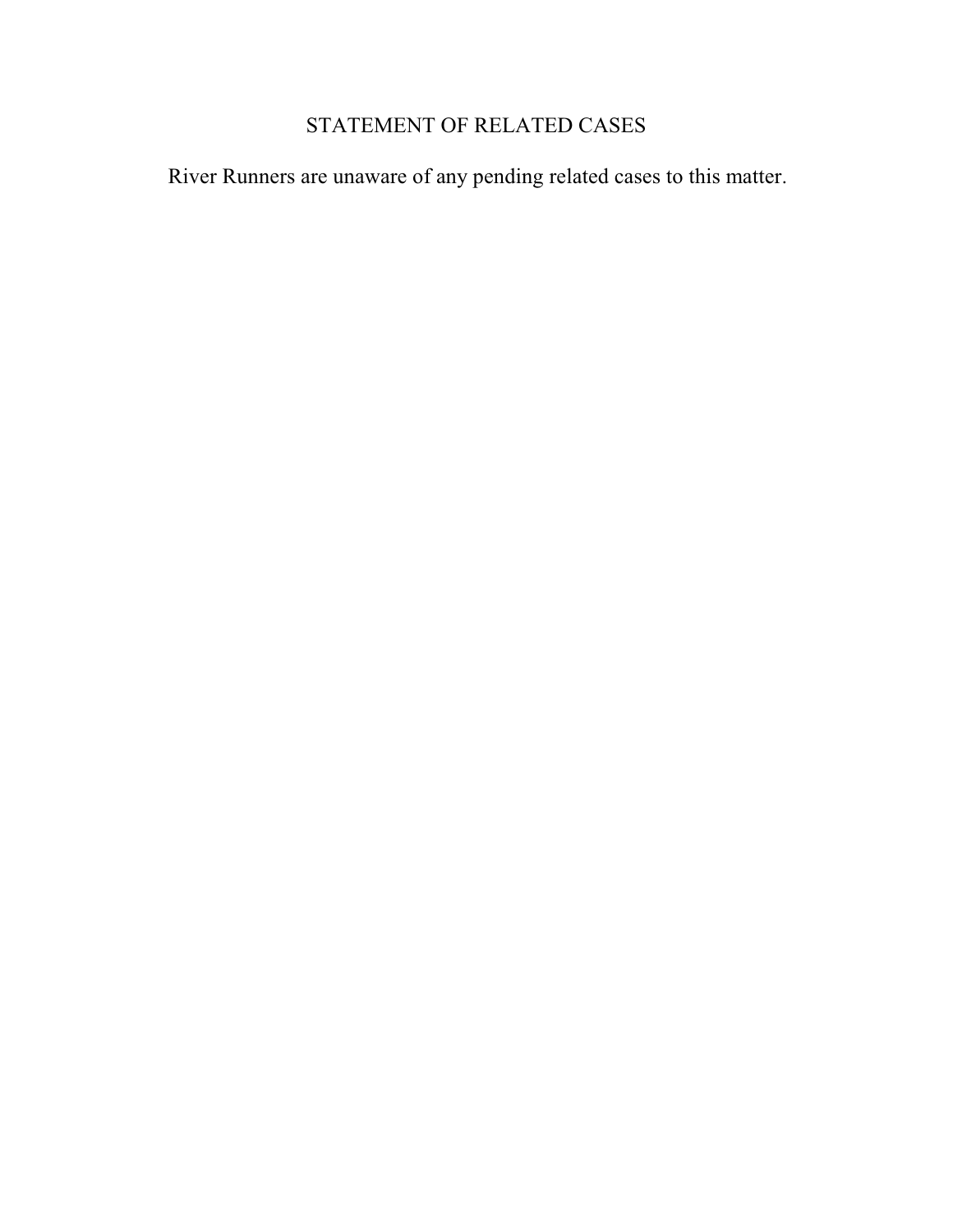# STATEMENT OF RELATED CASES

River Runners are unaware of any pending related cases to this matter.